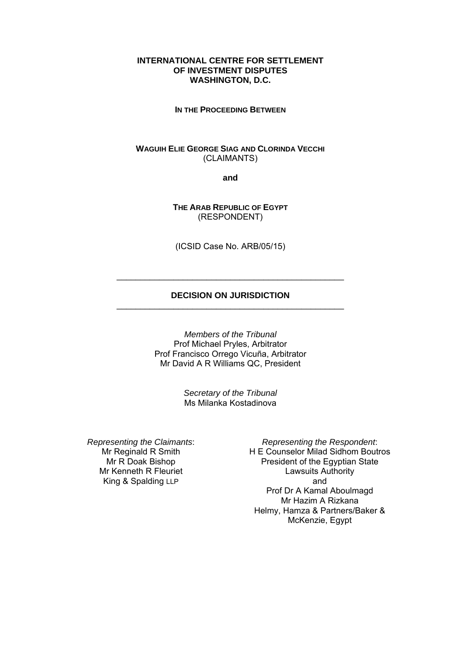#### **INTERNATIONAL CENTRE FOR SETTLEMENT OF INVESTMENT DISPUTES WASHINGTON, D.C.**

### **IN THE PROCEEDING BETWEEN**

#### **WAGUIH ELIE GEORGE SIAG AND CLORINDA VECCHI** (CLAIMANTS)

**and** 

**THE ARAB REPUBLIC OF EGYPT** (RESPONDENT)

(ICSID Case No. ARB/05/15)

#### **DECISION ON JURISDICTION**  \_\_\_\_\_\_\_\_\_\_\_\_\_\_\_\_\_\_\_\_\_\_\_\_\_\_\_\_\_\_\_\_\_\_\_\_\_\_\_\_\_\_\_\_\_\_\_\_

\_\_\_\_\_\_\_\_\_\_\_\_\_\_\_\_\_\_\_\_\_\_\_\_\_\_\_\_\_\_\_\_\_\_\_\_\_\_\_\_\_\_\_\_\_\_\_\_

*Members of the Tribunal* Prof Michael Pryles, Arbitrator Prof Francisco Orrego Vicuña, Arbitrator Mr David A R Williams QC, President

> *Secretary of the Tribunal* Ms Milanka Kostadinova

*Representing the Claimants*: Mr Reginald R Smith Mr R Doak Bishop Mr Kenneth R Fleuriet King & Spalding LLP

*Representing the Respondent*: H E Counselor Milad Sidhom Boutros President of the Egyptian State Lawsuits Authority and Prof Dr A Kamal Aboulmagd Mr Hazim A Rizkana Helmy, Hamza & Partners/Baker & McKenzie, Egypt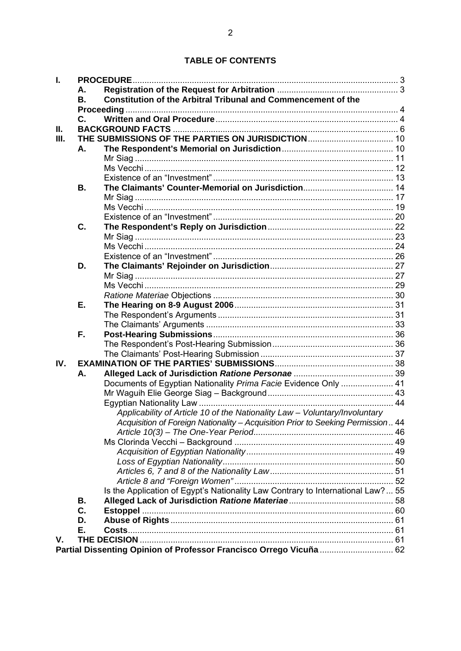# **TABLE OF CONTENTS**

| ı.                                                                  |           |                                                                                  |  |
|---------------------------------------------------------------------|-----------|----------------------------------------------------------------------------------|--|
|                                                                     | Α.        |                                                                                  |  |
|                                                                     | В.        | <b>Constitution of the Arbitral Tribunal and Commencement of the</b>             |  |
|                                                                     |           |                                                                                  |  |
|                                                                     | C.        |                                                                                  |  |
| Ш.                                                                  |           |                                                                                  |  |
| Ш.                                                                  |           |                                                                                  |  |
|                                                                     | А.        |                                                                                  |  |
|                                                                     |           |                                                                                  |  |
|                                                                     |           |                                                                                  |  |
|                                                                     |           |                                                                                  |  |
|                                                                     | <b>B.</b> |                                                                                  |  |
|                                                                     |           |                                                                                  |  |
|                                                                     |           |                                                                                  |  |
|                                                                     |           |                                                                                  |  |
|                                                                     | C.        |                                                                                  |  |
|                                                                     |           |                                                                                  |  |
|                                                                     |           |                                                                                  |  |
|                                                                     |           |                                                                                  |  |
|                                                                     | D.        |                                                                                  |  |
|                                                                     |           |                                                                                  |  |
|                                                                     |           |                                                                                  |  |
|                                                                     |           |                                                                                  |  |
|                                                                     | Е.        |                                                                                  |  |
|                                                                     |           |                                                                                  |  |
|                                                                     |           |                                                                                  |  |
|                                                                     | F.        |                                                                                  |  |
|                                                                     |           |                                                                                  |  |
|                                                                     |           |                                                                                  |  |
| IV.                                                                 |           |                                                                                  |  |
|                                                                     | А.        |                                                                                  |  |
|                                                                     |           | Documents of Egyptian Nationality Prima Facie Evidence Only  41                  |  |
|                                                                     |           |                                                                                  |  |
|                                                                     |           |                                                                                  |  |
|                                                                     |           | Applicability of Article 10 of the Nationality Law - Voluntary/Involuntary       |  |
|                                                                     |           | Acquisition of Foreign Nationality - Acquisition Prior to Seeking Permission 44  |  |
|                                                                     |           |                                                                                  |  |
|                                                                     |           |                                                                                  |  |
|                                                                     |           |                                                                                  |  |
|                                                                     |           |                                                                                  |  |
|                                                                     |           |                                                                                  |  |
|                                                                     |           |                                                                                  |  |
|                                                                     |           | Is the Application of Egypt's Nationality Law Contrary to International Law?  55 |  |
|                                                                     | В.        |                                                                                  |  |
|                                                                     | C.        |                                                                                  |  |
|                                                                     | D.        |                                                                                  |  |
|                                                                     | Е.        |                                                                                  |  |
| V.                                                                  |           |                                                                                  |  |
| Partial Dissenting Opinion of Professor Francisco Orrego Vicuña  62 |           |                                                                                  |  |
|                                                                     |           |                                                                                  |  |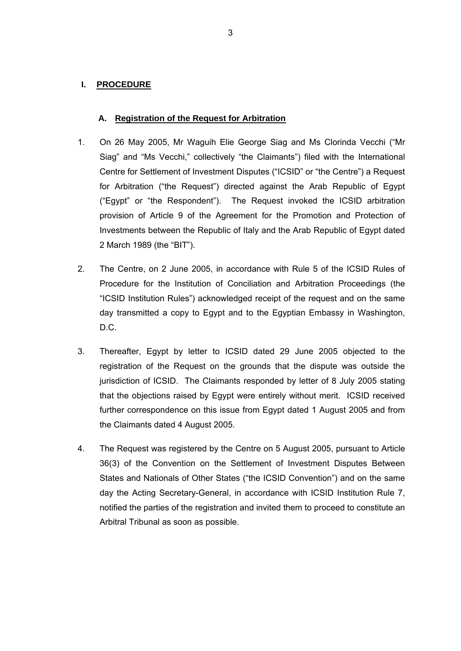# <span id="page-2-0"></span>**I. PROCEDURE**

# **A. Registration of the Request for Arbitration**

- 1. On 26 May 2005, Mr Waguih Elie George Siag and Ms Clorinda Vecchi ("Mr Siag" and "Ms Vecchi," collectively "the Claimants") filed with the International Centre for Settlement of Investment Disputes ("ICSID" or "the Centre") a Request for Arbitration ("the Request") directed against the Arab Republic of Egypt ("Egypt" or "the Respondent"). The Request invoked the ICSID arbitration provision of Article 9 of the Agreement for the Promotion and Protection of Investments between the Republic of Italy and the Arab Republic of Egypt dated 2 March 1989 (the "BIT").
- 2. The Centre, on 2 June 2005, in accordance with Rule 5 of the ICSID Rules of Procedure for the Institution of Conciliation and Arbitration Proceedings (the "ICSID Institution Rules") acknowledged receipt of the request and on the same day transmitted a copy to Egypt and to the Egyptian Embassy in Washington, D.C.
- 3. Thereafter, Egypt by letter to ICSID dated 29 June 2005 objected to the registration of the Request on the grounds that the dispute was outside the jurisdiction of ICSID. The Claimants responded by letter of 8 July 2005 stating that the objections raised by Egypt were entirely without merit. ICSID received further correspondence on this issue from Egypt dated 1 August 2005 and from the Claimants dated 4 August 2005.
- 4. The Request was registered by the Centre on 5 August 2005, pursuant to Article 36(3) of the Convention on the Settlement of Investment Disputes Between States and Nationals of Other States ("the ICSID Convention") and on the same day the Acting Secretary-General, in accordance with ICSID Institution Rule 7, notified the parties of the registration and invited them to proceed to constitute an Arbitral Tribunal as soon as possible.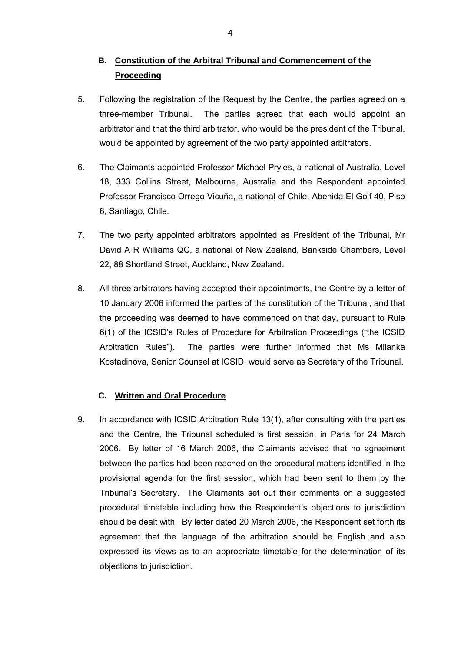# <span id="page-3-0"></span>**B. Constitution of the Arbitral Tribunal and Commencement of the Proceeding**

- 5. Following the registration of the Request by the Centre, the parties agreed on a three-member Tribunal. The parties agreed that each would appoint an arbitrator and that the third arbitrator, who would be the president of the Tribunal, would be appointed by agreement of the two party appointed arbitrators.
- 6. The Claimants appointed Professor Michael Pryles, a national of Australia, Level 18, 333 Collins Street, Melbourne, Australia and the Respondent appointed Professor Francisco Orrego Vicuña, a national of Chile, Abenida El Golf 40, Piso 6, Santiago, Chile.
- 7. The two party appointed arbitrators appointed as President of the Tribunal, Mr David A R Williams QC, a national of New Zealand, Bankside Chambers, Level 22, 88 Shortland Street, Auckland, New Zealand.
- 8. All three arbitrators having accepted their appointments, the Centre by a letter of 10 January 2006 informed the parties of the constitution of the Tribunal, and that the proceeding was deemed to have commenced on that day, pursuant to Rule 6(1) of the ICSID's Rules of Procedure for Arbitration Proceedings ("the ICSID Arbitration Rules"). The parties were further informed that Ms Milanka Kostadinova, Senior Counsel at ICSID, would serve as Secretary of the Tribunal.

# **C. Written and Oral Procedure**

9. In accordance with ICSID Arbitration Rule 13(1), after consulting with the parties and the Centre, the Tribunal scheduled a first session, in Paris for 24 March 2006. By letter of 16 March 2006, the Claimants advised that no agreement between the parties had been reached on the procedural matters identified in the provisional agenda for the first session, which had been sent to them by the Tribunal's Secretary. The Claimants set out their comments on a suggested procedural timetable including how the Respondent's objections to jurisdiction should be dealt with. By letter dated 20 March 2006, the Respondent set forth its agreement that the language of the arbitration should be English and also expressed its views as to an appropriate timetable for the determination of its objections to jurisdiction.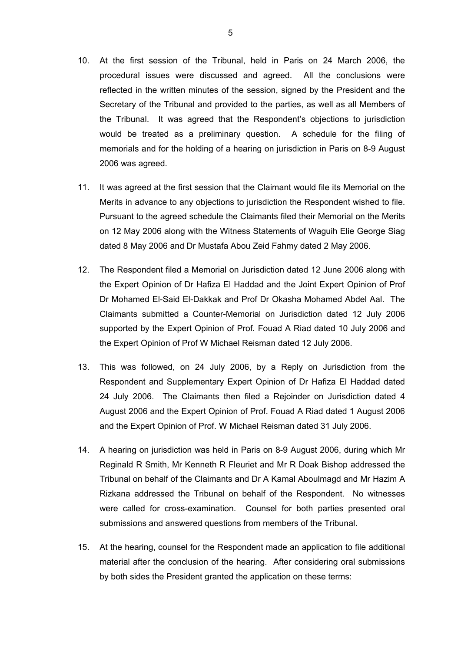- 10. At the first session of the Tribunal, held in Paris on 24 March 2006, the procedural issues were discussed and agreed. All the conclusions were reflected in the written minutes of the session, signed by the President and the Secretary of the Tribunal and provided to the parties, as well as all Members of the Tribunal. It was agreed that the Respondent's objections to jurisdiction would be treated as a preliminary question. A schedule for the filing of memorials and for the holding of a hearing on jurisdiction in Paris on 8-9 August 2006 was agreed.
- 11. It was agreed at the first session that the Claimant would file its Memorial on the Merits in advance to any objections to jurisdiction the Respondent wished to file. Pursuant to the agreed schedule the Claimants filed their Memorial on the Merits on 12 May 2006 along with the Witness Statements of Waguih Elie George Siag dated 8 May 2006 and Dr Mustafa Abou Zeid Fahmy dated 2 May 2006.
- 12. The Respondent filed a Memorial on Jurisdiction dated 12 June 2006 along with the Expert Opinion of Dr Hafiza El Haddad and the Joint Expert Opinion of Prof Dr Mohamed El-Said El-Dakkak and Prof Dr Okasha Mohamed Abdel Aal. The Claimants submitted a Counter-Memorial on Jurisdiction dated 12 July 2006 supported by the Expert Opinion of Prof. Fouad A Riad dated 10 July 2006 and the Expert Opinion of Prof W Michael Reisman dated 12 July 2006.
- 13. This was followed, on 24 July 2006, by a Reply on Jurisdiction from the Respondent and Supplementary Expert Opinion of Dr Hafiza El Haddad dated 24 July 2006. The Claimants then filed a Rejoinder on Jurisdiction dated 4 August 2006 and the Expert Opinion of Prof. Fouad A Riad dated 1 August 2006 and the Expert Opinion of Prof. W Michael Reisman dated 31 July 2006.
- 14. A hearing on jurisdiction was held in Paris on 8-9 August 2006, during which Mr Reginald R Smith, Mr Kenneth R Fleuriet and Mr R Doak Bishop addressed the Tribunal on behalf of the Claimants and Dr A Kamal Aboulmagd and Mr Hazim A Rizkana addressed the Tribunal on behalf of the Respondent. No witnesses were called for cross-examination. Counsel for both parties presented oral submissions and answered questions from members of the Tribunal.
- 15. At the hearing, counsel for the Respondent made an application to file additional material after the conclusion of the hearing. After considering oral submissions by both sides the President granted the application on these terms: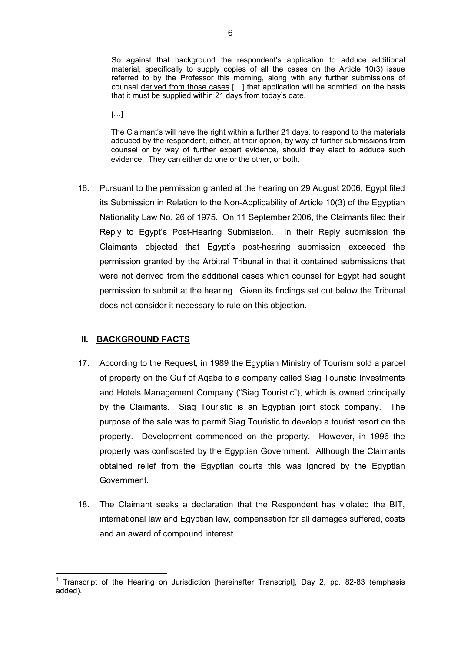<span id="page-5-0"></span>So against that background the respondent's application to adduce additional material, specifically to supply copies of all the cases on the Article 10(3) issue referred to by the Professor this morning, along with any further submissions of counsel derived from those cases […] that application will be admitted, on the basis that it must be supplied within 21 days from today's date.

[…]

The Claimant's will have the right within a further 21 days, to respond to the materials adduced by the respondent, either, at their option, by way of further submissions from counsel or by way of further expert evidence, should they elect to adduce such evidence. They can either do one or the other, or both. $<sup>1</sup>$  $<sup>1</sup>$  $<sup>1</sup>$ </sup>

16. Pursuant to the permission granted at the hearing on 29 August 2006, Egypt filed its Submission in Relation to the Non-Applicability of Article 10(3) of the Egyptian Nationality Law No. 26 of 1975. On 11 September 2006, the Claimants filed their Reply to Egypt's Post-Hearing Submission. In their Reply submission the Claimants objected that Egypt's post-hearing submission exceeded the permission granted by the Arbitral Tribunal in that it contained submissions that were not derived from the additional cases which counsel for Egypt had sought permission to submit at the hearing. Given its findings set out below the Tribunal does not consider it necessary to rule on this objection.

# **II. BACKGROUND FACTS**

- 17. According to the Request, in 1989 the Egyptian Ministry of Tourism sold a parcel of property on the Gulf of Aqaba to a company called Siag Touristic Investments and Hotels Management Company ("Siag Touristic"), which is owned principally by the Claimants. Siag Touristic is an Egyptian joint stock company. The purpose of the sale was to permit Siag Touristic to develop a tourist resort on the property. Development commenced on the property. However, in 1996 the property was confiscated by the Egyptian Government. Although the Claimants obtained relief from the Egyptian courts this was ignored by the Egyptian Government.
- 18. The Claimant seeks a declaration that the Respondent has violated the BIT, international law and Egyptian law, compensation for all damages suffered, costs and an award of compound interest.

<span id="page-5-1"></span><sup>1</sup> <sup>1</sup> Transcript of the Hearing on Jurisdiction [hereinafter Transcript], Day 2, pp. 82-83 (emphasis added).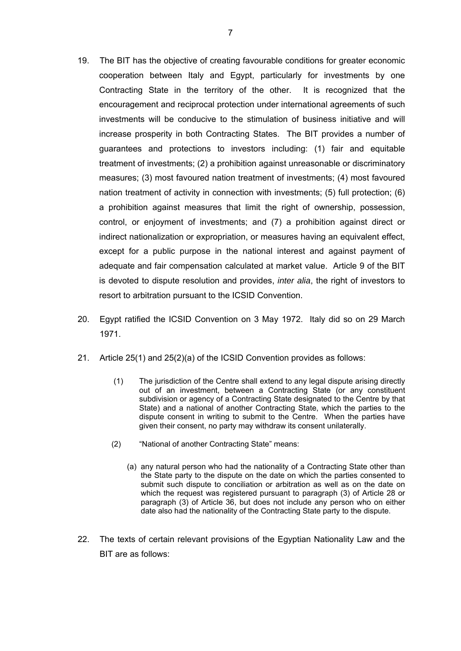- 19. The BIT has the objective of creating favourable conditions for greater economic cooperation between Italy and Egypt, particularly for investments by one Contracting State in the territory of the other. It is recognized that the encouragement and reciprocal protection under international agreements of such investments will be conducive to the stimulation of business initiative and will increase prosperity in both Contracting States. The BIT provides a number of guarantees and protections to investors including: (1) fair and equitable treatment of investments; (2) a prohibition against unreasonable or discriminatory measures; (3) most favoured nation treatment of investments; (4) most favoured nation treatment of activity in connection with investments; (5) full protection; (6) a prohibition against measures that limit the right of ownership, possession, control, or enjoyment of investments; and (7) a prohibition against direct or indirect nationalization or expropriation, or measures having an equivalent effect, except for a public purpose in the national interest and against payment of adequate and fair compensation calculated at market value. Article 9 of the BIT is devoted to dispute resolution and provides, *inter alia*, the right of investors to resort to arbitration pursuant to the ICSID Convention.
- 20. Egypt ratified the ICSID Convention on 3 May 1972. Italy did so on 29 March 1971.
- 21. Article 25(1) and 25(2)(a) of the ICSID Convention provides as follows:
	- (1) The jurisdiction of the Centre shall extend to any legal dispute arising directly out of an investment, between a Contracting State (or any constituent subdivision or agency of a Contracting State designated to the Centre by that State) and a national of another Contracting State, which the parties to the dispute consent in writing to submit to the Centre. When the parties have given their consent, no party may withdraw its consent unilaterally.
	- (2) "National of another Contracting State" means:
		- (a) any natural person who had the nationality of a Contracting State other than the State party to the dispute on the date on which the parties consented to submit such dispute to conciliation or arbitration as well as on the date on which the request was registered pursuant to paragraph (3) of Article 28 or paragraph (3) of Article 36, but does not include any person who on either date also had the nationality of the Contracting State party to the dispute.
- 22. The texts of certain relevant provisions of the Egyptian Nationality Law and the BIT are as follows: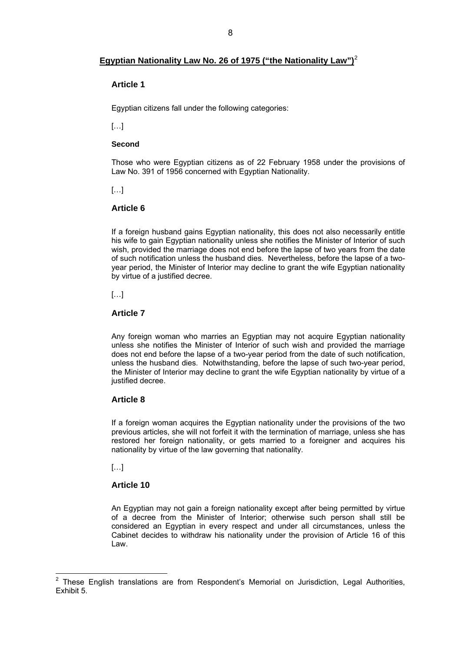#### **Article 1**

Egyptian citizens fall under the following categories:

 $[...]$ 

#### **Second**

Those who were Egyptian citizens as of 22 February 1958 under the provisions of Law No. 391 of 1956 concerned with Egyptian Nationality.

[…]

#### **Article 6**

If a foreign husband gains Egyptian nationality, this does not also necessarily entitle his wife to gain Egyptian nationality unless she notifies the Minister of Interior of such wish, provided the marriage does not end before the lapse of two years from the date of such notification unless the husband dies. Nevertheless, before the lapse of a twoyear period, the Minister of Interior may decline to grant the wife Egyptian nationality by virtue of a justified decree.

 $[...]$ 

#### **Article 7**

Any foreign woman who marries an Egyptian may not acquire Egyptian nationality unless she notifies the Minister of Interior of such wish and provided the marriage does not end before the lapse of a two-year period from the date of such notification, unless the husband dies. Notwithstanding, before the lapse of such two-year period, the Minister of Interior may decline to grant the wife Egyptian nationality by virtue of a justified decree.

#### **Article 8**

If a foreign woman acquires the Egyptian nationality under the provisions of the two previous articles, she will not forfeit it with the termination of marriage, unless she has restored her foreign nationality, or gets married to a foreigner and acquires his nationality by virtue of the law governing that nationality.

[…]

#### **Article 10**

An Egyptian may not gain a foreign nationality except after being permitted by virtue of a decree from the Minister of Interior; otherwise such person shall still be considered an Egyptian in every respect and under all circumstances, unless the Cabinet decides to withdraw his nationality under the provision of Article 16 of this Law.

<span id="page-7-0"></span> 2 These English translations are from Respondent's Memorial on Jurisdiction, Legal Authorities, Exhibit 5.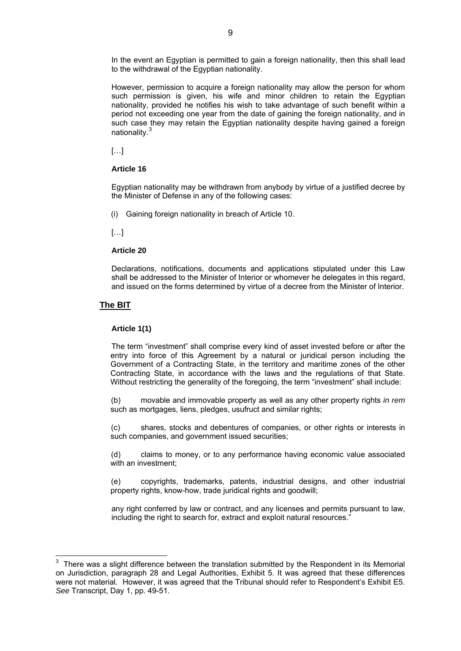In the event an Egyptian is permitted to gain a foreign nationality, then this shall lead to the withdrawal of the Egyptian nationality.

However, permission to acquire a foreign nationality may allow the person for whom such permission is given, his wife and minor children to retain the Egyptian nationality, provided he notifies his wish to take advantage of such benefit within a period not exceeding one year from the date of gaining the foreign nationality, and in such case they may retain the Egyptian nationality despite having gained a foreign nationality.[3](#page-8-0)

[…]

#### **Article 16**

Egyptian nationality may be withdrawn from anybody by virtue of a justified decree by the Minister of Defense in any of the following cases:

(i) Gaining foreign nationality in breach of Article 10.

 $\lceil$ ...]

#### **Article 20**

Declarations, notifications, documents and applications stipulated under this Law shall be addressed to the Minister of Interior or whomever he delegates in this regard, and issued on the forms determined by virtue of a decree from the Minister of Interior.

#### **The BIT**

 $\overline{a}$ 

#### **Article 1(1)**

The term "investment" shall comprise every kind of asset invested before or after the entry into force of this Agreement by a natural or juridical person including the Government of a Contracting State, in the territory and maritime zones of the other Contracting State, in accordance with the laws and the regulations of that State. Without restricting the generality of the foregoing, the term "investment" shall include:

(b) movable and immovable property as well as any other property rights *in rem* such as mortgages, liens, pledges, usufruct and similar rights;

(c) shares, stocks and debentures of companies, or other rights or interests in such companies, and government issued securities;

(d) claims to money, or to any performance having economic value associated with an investment;

(e) copyrights, trademarks, patents, industrial designs, and other industrial property rights, know-how, trade juridical rights and goodwill;

any right conferred by law or contract, and any licenses and permits pursuant to law, including the right to search for, extract and exploit natural resources."

<span id="page-8-0"></span><sup>3</sup> There was a slight difference between the translation submitted by the Respondent in its Memorial on Jurisdiction, paragraph 28 and Legal Authorities, Exhibit 5. It was agreed that these differences were not material. However, it was agreed that the Tribunal should refer to Respondent's Exhibit E5. *See* Transcript, Day 1, pp. 49-51.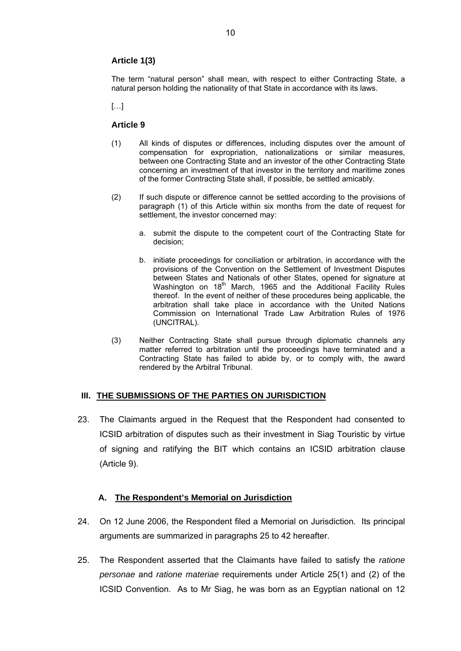# <span id="page-9-0"></span>**Article 1(3)**

The term "natural person" shall mean, with respect to either Contracting State, a natural person holding the nationality of that State in accordance with its laws.

 $\left[\ldots\right]$ 

### **Article 9**

- (1) All kinds of disputes or differences, including disputes over the amount of compensation for expropriation, nationalizations or similar measures, between one Contracting State and an investor of the other Contracting State concerning an investment of that investor in the territory and maritime zones of the former Contracting State shall, if possible, be settled amicably.
- (2) If such dispute or difference cannot be settled according to the provisions of paragraph (1) of this Article within six months from the date of request for settlement, the investor concerned may:
	- a. submit the dispute to the competent court of the Contracting State for decision;
	- b. initiate proceedings for conciliation or arbitration, in accordance with the provisions of the Convention on the Settlement of Investment Disputes between States and Nationals of other States, opened for signature at Washington on 18th March, 1965 and the Additional Facility Rules thereof. In the event of neither of these procedures being applicable, the arbitration shall take place in accordance with the United Nations Commission on International Trade Law Arbitration Rules of 1976 (UNCITRAL).
- (3) Neither Contracting State shall pursue through diplomatic channels any matter referred to arbitration until the proceedings have terminated and a Contracting State has failed to abide by, or to comply with, the award rendered by the Arbitral Tribunal.

# **III. THE SUBMISSIONS OF THE PARTIES ON JURISDICTION**

23. The Claimants argued in the Request that the Respondent had consented to ICSID arbitration of disputes such as their investment in Siag Touristic by virtue of signing and ratifying the BIT which contains an ICSID arbitration clause (Article 9).

# **A. The Respondent's Memorial on Jurisdiction**

- 24. On 12 June 2006, the Respondent filed a Memorial on Jurisdiction. Its principal arguments are summarized in paragraphs 25 to 42 hereafter.
- 25. The Respondent asserted that the Claimants have failed to satisfy the *ratione personae* and *ratione materiae* requirements under Article 25(1) and (2) of the ICSID Convention. As to Mr Siag, he was born as an Egyptian national on 12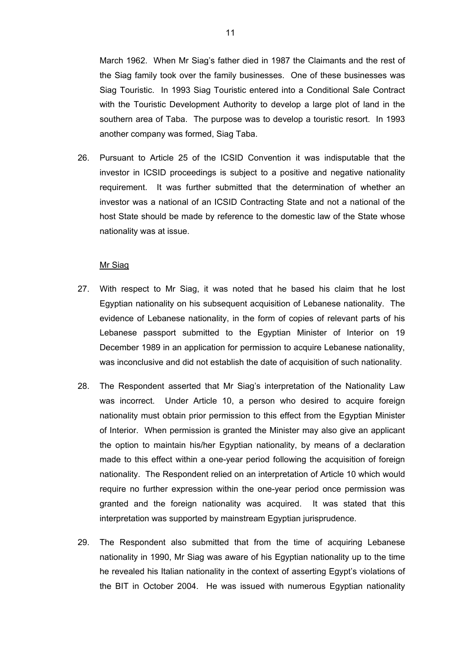<span id="page-10-0"></span>March 1962. When Mr Siag's father died in 1987 the Claimants and the rest of the Siag family took over the family businesses. One of these businesses was Siag Touristic. In 1993 Siag Touristic entered into a Conditional Sale Contract with the Touristic Development Authority to develop a large plot of land in the southern area of Taba. The purpose was to develop a touristic resort. In 1993 another company was formed, Siag Taba.

26. Pursuant to Article 25 of the ICSID Convention it was indisputable that the investor in ICSID proceedings is subject to a positive and negative nationality requirement. It was further submitted that the determination of whether an investor was a national of an ICSID Contracting State and not a national of the host State should be made by reference to the domestic law of the State whose nationality was at issue.

#### Mr Siag

- 27. With respect to Mr Siag, it was noted that he based his claim that he lost Egyptian nationality on his subsequent acquisition of Lebanese nationality. The evidence of Lebanese nationality, in the form of copies of relevant parts of his Lebanese passport submitted to the Egyptian Minister of Interior on 19 December 1989 in an application for permission to acquire Lebanese nationality, was inconclusive and did not establish the date of acquisition of such nationality.
- 28. The Respondent asserted that Mr Siag's interpretation of the Nationality Law was incorrect. Under Article 10, a person who desired to acquire foreign nationality must obtain prior permission to this effect from the Egyptian Minister of Interior. When permission is granted the Minister may also give an applicant the option to maintain his/her Egyptian nationality, by means of a declaration made to this effect within a one-year period following the acquisition of foreign nationality. The Respondent relied on an interpretation of Article 10 which would require no further expression within the one-year period once permission was granted and the foreign nationality was acquired. It was stated that this interpretation was supported by mainstream Egyptian jurisprudence.
- 29. The Respondent also submitted that from the time of acquiring Lebanese nationality in 1990, Mr Siag was aware of his Egyptian nationality up to the time he revealed his Italian nationality in the context of asserting Egypt's violations of the BIT in October 2004. He was issued with numerous Egyptian nationality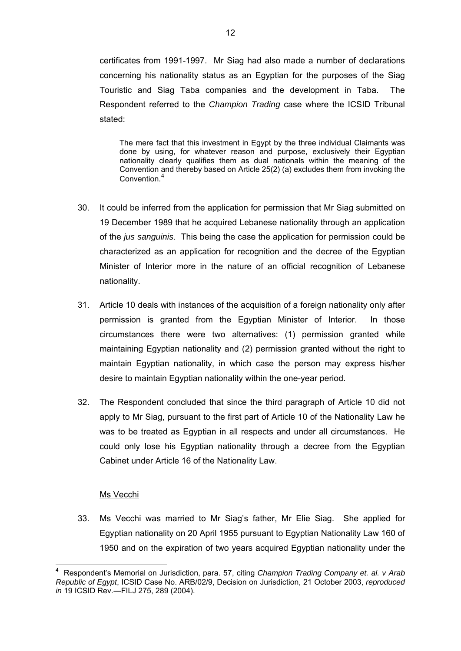<span id="page-11-0"></span>certificates from 1991-1997. Mr Siag had also made a number of declarations concerning his nationality status as an Egyptian for the purposes of the Siag Touristic and Siag Taba companies and the development in Taba. The Respondent referred to the *Champion Trading* case where the ICSID Tribunal stated:

The mere fact that this investment in Egypt by the three individual Claimants was done by using, for whatever reason and purpose, exclusively their Egyptian nationality clearly qualifies them as dual nationals within the meaning of the Convention and thereby based on Article 25(2) (a) excludes them from invoking the Convention.[4](#page-11-1)

- 30. It could be inferred from the application for permission that Mr Siag submitted on 19 December 1989 that he acquired Lebanese nationality through an application of the *jus sanguinis*. This being the case the application for permission could be characterized as an application for recognition and the decree of the Egyptian Minister of Interior more in the nature of an official recognition of Lebanese nationality.
- 31. Article 10 deals with instances of the acquisition of a foreign nationality only after permission is granted from the Egyptian Minister of Interior. In those circumstances there were two alternatives: (1) permission granted while maintaining Egyptian nationality and (2) permission granted without the right to maintain Egyptian nationality, in which case the person may express his/her desire to maintain Egyptian nationality within the one-year period.
- 32. The Respondent concluded that since the third paragraph of Article 10 did not apply to Mr Siag, pursuant to the first part of Article 10 of the Nationality Law he was to be treated as Egyptian in all respects and under all circumstances. He could only lose his Egyptian nationality through a decree from the Egyptian Cabinet under Article 16 of the Nationality Law.

# Ms Vecchi

33. Ms Vecchi was married to Mr Siag's father, Mr Elie Siag. She applied for Egyptian nationality on 20 April 1955 pursuant to Egyptian Nationality Law 160 of 1950 and on the expiration of two years acquired Egyptian nationality under the

<span id="page-11-1"></span><sup>1</sup> 4 Respondent's Memorial on Jurisdiction, para. 57, citing *Champion Trading Company et. al. v Arab Republic of Egypt*, ICSID Case No. ARB/02/9, Decision on Jurisdiction, 21 October 2003, *reproduced in* 19 ICSID Rev.―FILJ 275, 289 (2004).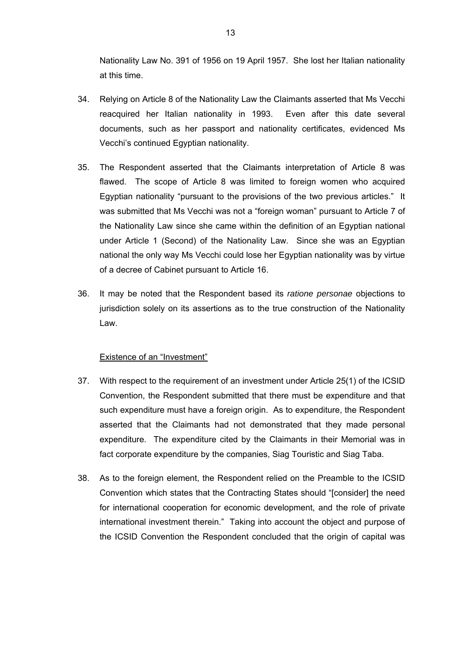<span id="page-12-0"></span>Nationality Law No. 391 of 1956 on 19 April 1957. She lost her Italian nationality at this time.

- 34. Relying on Article 8 of the Nationality Law the Claimants asserted that Ms Vecchi reacquired her Italian nationality in 1993. Even after this date several documents, such as her passport and nationality certificates, evidenced Ms Vecchi's continued Egyptian nationality.
- 35. The Respondent asserted that the Claimants interpretation of Article 8 was flawed. The scope of Article 8 was limited to foreign women who acquired Egyptian nationality "pursuant to the provisions of the two previous articles." It was submitted that Ms Vecchi was not a "foreign woman" pursuant to Article 7 of the Nationality Law since she came within the definition of an Egyptian national under Article 1 (Second) of the Nationality Law. Since she was an Egyptian national the only way Ms Vecchi could lose her Egyptian nationality was by virtue of a decree of Cabinet pursuant to Article 16.
- 36. It may be noted that the Respondent based its *ratione personae* objections to jurisdiction solely on its assertions as to the true construction of the Nationality Law.

# Existence of an "Investment"

- 37. With respect to the requirement of an investment under Article 25(1) of the ICSID Convention, the Respondent submitted that there must be expenditure and that such expenditure must have a foreign origin. As to expenditure, the Respondent asserted that the Claimants had not demonstrated that they made personal expenditure. The expenditure cited by the Claimants in their Memorial was in fact corporate expenditure by the companies, Siag Touristic and Siag Taba.
- 38. As to the foreign element, the Respondent relied on the Preamble to the ICSID Convention which states that the Contracting States should "[consider] the need for international cooperation for economic development, and the role of private international investment therein." Taking into account the object and purpose of the ICSID Convention the Respondent concluded that the origin of capital was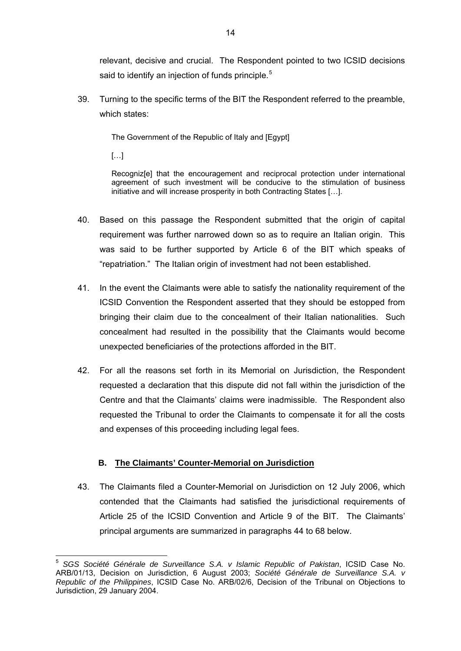<span id="page-13-0"></span>relevant, decisive and crucial. The Respondent pointed to two ICSID decisions said to identify an injection of funds principle.<sup>[5](#page-13-1)</sup>

39. Turning to the specific terms of the BIT the Respondent referred to the preamble, which states:

The Government of the Republic of Italy and [Egypt]

[…]

 $\overline{a}$ 

Recogniz<sup>[e]</sup> that the encouragement and reciprocal protection under international agreement of such investment will be conducive to the stimulation of business initiative and will increase prosperity in both Contracting States […].

- 40. Based on this passage the Respondent submitted that the origin of capital requirement was further narrowed down so as to require an Italian origin. This was said to be further supported by Article 6 of the BIT which speaks of "repatriation." The Italian origin of investment had not been established.
- 41. In the event the Claimants were able to satisfy the nationality requirement of the ICSID Convention the Respondent asserted that they should be estopped from bringing their claim due to the concealment of their Italian nationalities. Such concealment had resulted in the possibility that the Claimants would become unexpected beneficiaries of the protections afforded in the BIT.
- 42. For all the reasons set forth in its Memorial on Jurisdiction, the Respondent requested a declaration that this dispute did not fall within the jurisdiction of the Centre and that the Claimants' claims were inadmissible. The Respondent also requested the Tribunal to order the Claimants to compensate it for all the costs and expenses of this proceeding including legal fees.

# **B. The Claimants' Counter-Memorial on Jurisdiction**

43. The Claimants filed a Counter-Memorial on Jurisdiction on 12 July 2006, which contended that the Claimants had satisfied the jurisdictional requirements of Article 25 of the ICSID Convention and Article 9 of the BIT. The Claimants' principal arguments are summarized in paragraphs 44 to 68 below.

<span id="page-13-1"></span><sup>5</sup>  *SGS Société Générale de Surveillance S.A. v Islamic Republic of Pakistan*, ICSID Case No. ARB/01/13, Decision on Jurisdiction, 6 August 2003; *Société Générale de Surveillance S.A. v Republic of the Philippines*, ICSID Case No. ARB/02/6, Decision of the Tribunal on Objections to Jurisdiction, 29 January 2004.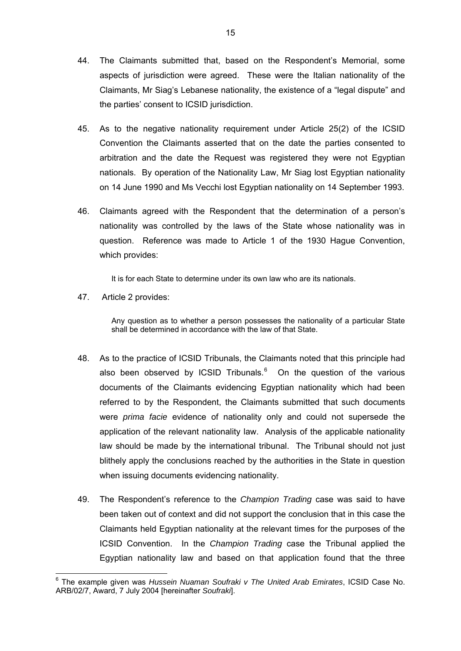- 44. The Claimants submitted that, based on the Respondent's Memorial, some aspects of jurisdiction were agreed. These were the Italian nationality of the Claimants, Mr Siag's Lebanese nationality, the existence of a "legal dispute" and the parties' consent to ICSID jurisdiction.
- 45. As to the negative nationality requirement under Article 25(2) of the ICSID Convention the Claimants asserted that on the date the parties consented to arbitration and the date the Request was registered they were not Egyptian nationals. By operation of the Nationality Law, Mr Siag lost Egyptian nationality on 14 June 1990 and Ms Vecchi lost Egyptian nationality on 14 September 1993.
- 46. Claimants agreed with the Respondent that the determination of a person's nationality was controlled by the laws of the State whose nationality was in question. Reference was made to Article 1 of the 1930 Hague Convention, which provides:

It is for each State to determine under its own law who are its nationals.

47. Article 2 provides:

Any question as to whether a person possesses the nationality of a particular State shall be determined in accordance with the law of that State.

- 48. As to the practice of ICSID Tribunals, the Claimants noted that this principle had also been observed by ICSID Tribunals. $<sup>6</sup>$  $<sup>6</sup>$  $<sup>6</sup>$  On the question of the various</sup> documents of the Claimants evidencing Egyptian nationality which had been referred to by the Respondent, the Claimants submitted that such documents were *prima facie* evidence of nationality only and could not supersede the application of the relevant nationality law. Analysis of the applicable nationality law should be made by the international tribunal. The Tribunal should not just blithely apply the conclusions reached by the authorities in the State in question when issuing documents evidencing nationality.
- 49. The Respondent's reference to the *Champion Trading* case was said to have been taken out of context and did not support the conclusion that in this case the Claimants held Egyptian nationality at the relevant times for the purposes of the ICSID Convention. In the *Champion Trading* case the Tribunal applied the Egyptian nationality law and based on that application found that the three

<span id="page-14-0"></span> 6 The example given was *Hussein Nuaman Soufraki v The United Arab Emirates*, ICSID Case No. ARB/02/7, Award, 7 July 2004 [hereinafter *Soufraki*].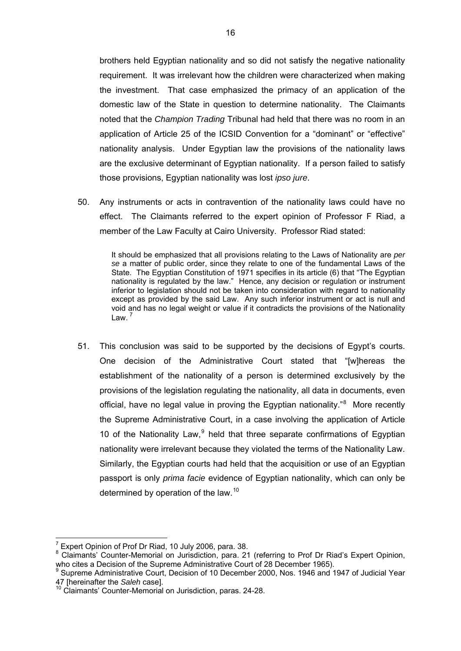brothers held Egyptian nationality and so did not satisfy the negative nationality requirement. It was irrelevant how the children were characterized when making the investment. That case emphasized the primacy of an application of the domestic law of the State in question to determine nationality. The Claimants noted that the *Champion Trading* Tribunal had held that there was no room in an application of Article 25 of the ICSID Convention for a "dominant" or "effective" nationality analysis. Under Egyptian law the provisions of the nationality laws are the exclusive determinant of Egyptian nationality. If a person failed to satisfy those provisions, Egyptian nationality was lost *ipso jure*.

50. Any instruments or acts in contravention of the nationality laws could have no effect. The Claimants referred to the expert opinion of Professor F Riad, a member of the Law Faculty at Cairo University. Professor Riad stated:

> It should be emphasized that all provisions relating to the Laws of Nationality are *per se* a matter of public order, since they relate to one of the fundamental Laws of the State. The Egyptian Constitution of 1971 specifies in its article (6) that "The Egyptian nationality is regulated by the law." Hence, any decision or regulation or instrument inferior to legislation should not be taken into consideration with regard to nationality except as provided by the said Law. Any such inferior instrument or act is null and void and has no legal weight or value if it contradicts the provisions of the Nationality Law. $<sup>7</sup>$  $<sup>7</sup>$  $<sup>7</sup>$ </sup>

51. This conclusion was said to be supported by the decisions of Egypt's courts. One decision of the Administrative Court stated that "[w]hereas the establishment of the nationality of a person is determined exclusively by the provisions of the legislation regulating the nationality, all data in documents, even official, have no legal value in proving the Egyptian nationality."<sup>[8](#page-15-1)</sup> More recently the Supreme Administrative Court, in a case involving the application of Article 10 of the Nationality Law, $9$  held that three separate confirmations of Egyptian nationality were irrelevant because they violated the terms of the Nationality Law. Similarly, the Egyptian courts had held that the acquisition or use of an Egyptian passport is only *prima facie* evidence of Egyptian nationality, which can only be determined by operation of the law.<sup>[10](#page-15-3)</sup>

1

<span id="page-15-0"></span> $7$  Expert Opinion of Prof Dr Riad, 10 July 2006, para. 38.

<span id="page-15-1"></span><sup>&</sup>lt;sup>8</sup> Claimants' Counter-Memorial on Jurisdiction, para. 21 (referring to Prof Dr Riad's Expert Opinion, who cites a Decision of the Supreme Administrative Court of 28 December 1965).

<span id="page-15-2"></span><sup>&</sup>lt;sup>9</sup> Supreme Administrative Court, Decision of 10 December 2000, Nos. 1946 and 1947 of Judicial Year<br>47 Ihereinafter the Saleh casel.

<span id="page-15-3"></span><sup>&</sup>lt;sup>10</sup> Claimants' Counter-Memorial on Jurisdiction, paras. 24-28.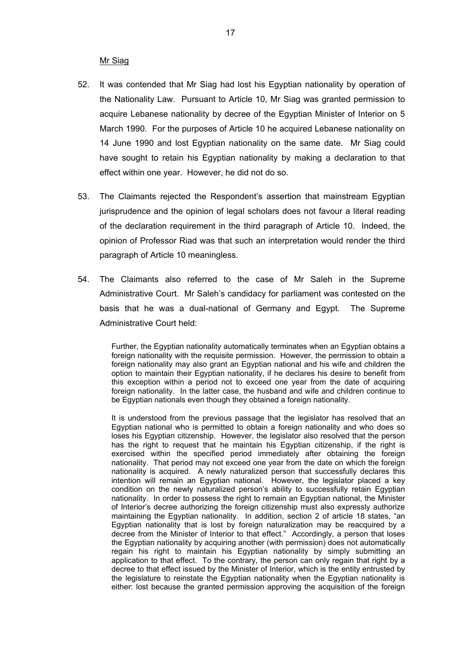#### Mr Siag

- <span id="page-16-0"></span>52. It was contended that Mr Siag had lost his Egyptian nationality by operation of the Nationality Law. Pursuant to Article 10, Mr Siag was granted permission to acquire Lebanese nationality by decree of the Egyptian Minister of Interior on 5 March 1990. For the purposes of Article 10 he acquired Lebanese nationality on 14 June 1990 and lost Egyptian nationality on the same date. Mr Siag could have sought to retain his Egyptian nationality by making a declaration to that effect within one year. However, he did not do so.
- 53. The Claimants rejected the Respondent's assertion that mainstream Egyptian jurisprudence and the opinion of legal scholars does not favour a literal reading of the declaration requirement in the third paragraph of Article 10. Indeed, the opinion of Professor Riad was that such an interpretation would render the third paragraph of Article 10 meaningless.
- 54. The Claimants also referred to the case of Mr Saleh in the Supreme Administrative Court. Mr Saleh's candidacy for parliament was contested on the basis that he was a dual-national of Germany and Egypt. The Supreme Administrative Court held:

Further, the Egyptian nationality automatically terminates when an Egyptian obtains a foreign nationality with the requisite permission. However, the permission to obtain a foreign nationality may also grant an Egyptian national and his wife and children the option to maintain their Egyptian nationality, if he declares his desire to benefit from this exception within a period not to exceed one year from the date of acquiring foreign nationality. In the latter case, the husband and wife and children continue to be Egyptian nationals even though they obtained a foreign nationality.

It is understood from the previous passage that the legislator has resolved that an Egyptian national who is permitted to obtain a foreign nationality and who does so loses his Egyptian citizenship. However, the legislator also resolved that the person has the right to request that he maintain his Egyptian citizenship, if the right is exercised within the specified period immediately after obtaining the foreign nationality. That period may not exceed one year from the date on which the foreign nationality is acquired. A newly naturalized person that successfully declares this intention will remain an Egyptian national. However, the legislator placed a key condition on the newly naturalized person's ability to successfully retain Egyptian nationality. In order to possess the right to remain an Egyptian national, the Minister of Interior's decree authorizing the foreign citizenship must also expressly authorize maintaining the Egyptian nationality. In addition, section 2 of article 18 states, "an Egyptian nationality that is lost by foreign naturalization may be reacquired by a decree from the Minister of Interior to that effect." Accordingly, a person that loses the Egyptian nationality by acquiring another (with permission) does not automatically regain his right to maintain his Egyptian nationality by simply submitting an application to that effect. To the contrary, the person can only regain that right by a decree to that effect issued by the Minister of Interior, which is the entity entrusted by the legislature to reinstate the Egyptian nationality when the Egyptian nationality is either: lost because the granted permission approving the acquisition of the foreign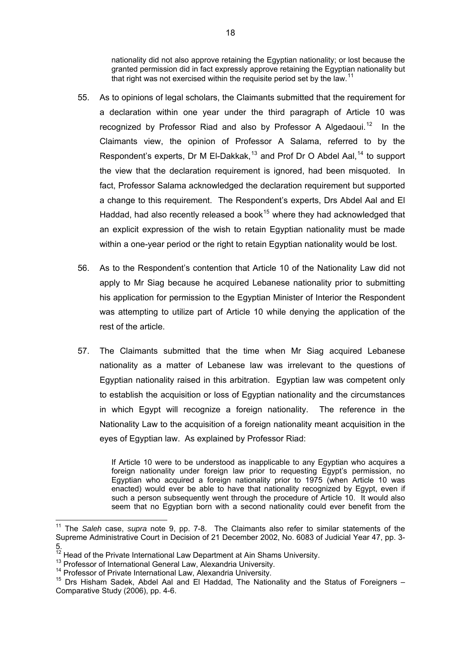nationality did not also approve retaining the Egyptian nationality; or lost because the granted permission did in fact expressly approve retaining the Egyptian nationality but that right was not exercised within the requisite period set by the law.<sup>[11](#page-17-0)</sup>

- 55. As to opinions of legal scholars, the Claimants submitted that the requirement for a declaration within one year under the third paragraph of Article 10 was recognized by Professor Riad and also by Professor A Algedaoui.<sup>[12](#page-17-1)</sup> In the Claimants view, the opinion of Professor A Salama, referred to by the Respondent's experts, Dr M El-Dakkak,  $13$  and Prof Dr O Abdel Aal,  $14$  to support the view that the declaration requirement is ignored, had been misquoted. In fact, Professor Salama acknowledged the declaration requirement but supported a change to this requirement. The Respondent's experts, Drs Abdel Aal and El Haddad, had also recently released a book<sup>[15](#page-17-4)</sup> where they had acknowledged that an explicit expression of the wish to retain Egyptian nationality must be made within a one-year period or the right to retain Egyptian nationality would be lost.
- 56. As to the Respondent's contention that Article 10 of the Nationality Law did not apply to Mr Siag because he acquired Lebanese nationality prior to submitting his application for permission to the Egyptian Minister of Interior the Respondent was attempting to utilize part of Article 10 while denying the application of the rest of the article.
- 57. The Claimants submitted that the time when Mr Siag acquired Lebanese nationality as a matter of Lebanese law was irrelevant to the questions of Egyptian nationality raised in this arbitration. Egyptian law was competent only to establish the acquisition or loss of Egyptian nationality and the circumstances in which Egypt will recognize a foreign nationality. The reference in the Nationality Law to the acquisition of a foreign nationality meant acquisition in the eyes of Egyptian law. As explained by Professor Riad:

If Article 10 were to be understood as inapplicable to any Egyptian who acquires a foreign nationality under foreign law prior to requesting Egypt's permission, no Egyptian who acquired a foreign nationality prior to 1975 (when Article 10 was enacted) would ever be able to have that nationality recognized by Egypt, even if such a person subsequently went through the procedure of Article 10. It would also seem that no Egyptian born with a second nationality could ever benefit from the

<span id="page-17-0"></span><sup>1</sup> 11 The *Saleh* case, *supra* note 9, pp. 7-8. The Claimants also refer to similar statements of the Supreme Administrative Court in Decision of 21 December 2002, No. 6083 of Judicial Year 47, pp. 3- 5.

<span id="page-17-4"></span><span id="page-17-3"></span>

<span id="page-17-2"></span><span id="page-17-1"></span><sup>&</sup>lt;sup>12</sup> Head of the Private International Law Department at Ain Shams University.<br><sup>13</sup> Professor of International General Law, Alexandria University.<br><sup>14</sup> Professor of Private International Law, Alexandria University.<br><sup>15</sup> D Comparative Study (2006), pp. 4-6.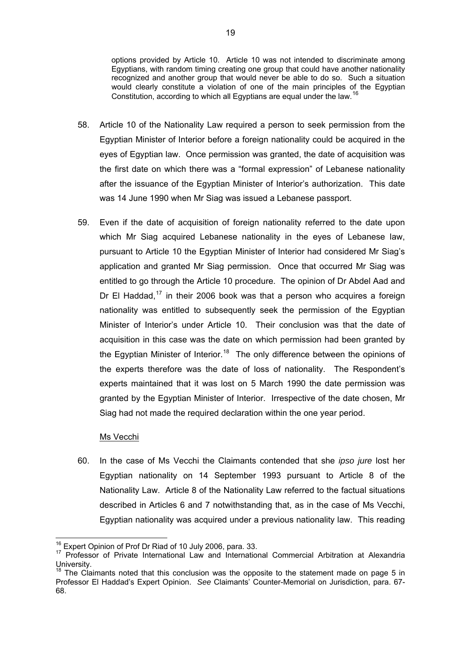<span id="page-18-0"></span>options provided by Article 10. Article 10 was not intended to discriminate among Egyptians, with random timing creating one group that could have another nationality recognized and another group that would never be able to do so. Such a situation would clearly constitute a violation of one of the main principles of the Egyptian Constitution, according to which all Egyptians are equal under the law.[16](#page-18-1)

- 58. Article 10 of the Nationality Law required a person to seek permission from the Egyptian Minister of Interior before a foreign nationality could be acquired in the eyes of Egyptian law. Once permission was granted, the date of acquisition was the first date on which there was a "formal expression" of Lebanese nationality after the issuance of the Egyptian Minister of Interior's authorization. This date was 14 June 1990 when Mr Siag was issued a Lebanese passport.
- 59. Even if the date of acquisition of foreign nationality referred to the date upon which Mr Siag acquired Lebanese nationality in the eyes of Lebanese law, pursuant to Article 10 the Egyptian Minister of Interior had considered Mr Siag's application and granted Mr Siag permission. Once that occurred Mr Siag was entitled to go through the Article 10 procedure. The opinion of Dr Abdel Aad and Dr El Haddad,  $17$  in their 2006 book was that a person who acquires a foreign nationality was entitled to subsequently seek the permission of the Egyptian Minister of Interior's under Article 10. Their conclusion was that the date of acquisition in this case was the date on which permission had been granted by the Egyptian Minister of Interior.<sup>[18](#page-18-3)</sup> The only difference between the opinions of the experts therefore was the date of loss of nationality. The Respondent's experts maintained that it was lost on 5 March 1990 the date permission was granted by the Egyptian Minister of Interior. Irrespective of the date chosen, Mr Siag had not made the required declaration within the one year period.

# Ms Vecchi

60. In the case of Ms Vecchi the Claimants contended that she *ipso jure* lost her Egyptian nationality on 14 September 1993 pursuant to Article 8 of the Nationality Law. Article 8 of the Nationality Law referred to the factual situations described in Articles 6 and 7 notwithstanding that, as in the case of Ms Vecchi, Egyptian nationality was acquired under a previous nationality law. This reading

<sup>1</sup> 

<span id="page-18-2"></span><span id="page-18-1"></span><sup>&</sup>lt;sup>16</sup> Expert Opinion of Prof Dr Riad of 10 July 2006, para. 33.<br><sup>17</sup> Professor of Private International Law and International Commercial Arbitration at Alexandria University.

<span id="page-18-3"></span> $18$  The Claimants noted that this conclusion was the opposite to the statement made on page 5 in Professor El Haddad's Expert Opinion. *See* Claimants' Counter-Memorial on Jurisdiction, para. 67- 68.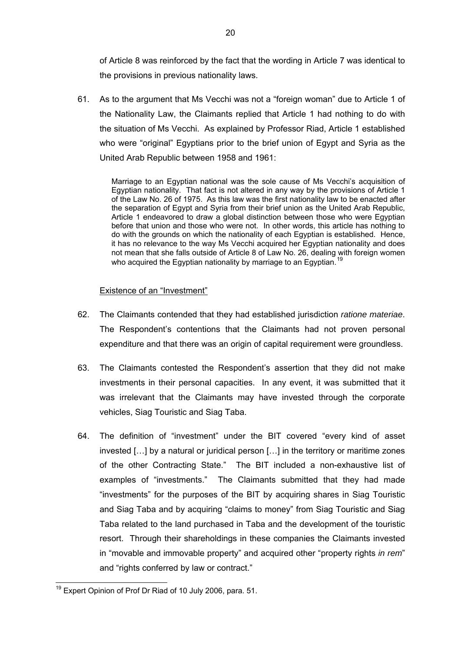<span id="page-19-0"></span>of Article 8 was reinforced by the fact that the wording in Article 7 was identical to the provisions in previous nationality laws.

61. As to the argument that Ms Vecchi was not a "foreign woman" due to Article 1 of the Nationality Law, the Claimants replied that Article 1 had nothing to do with the situation of Ms Vecchi. As explained by Professor Riad, Article 1 established who were "original" Egyptians prior to the brief union of Egypt and Syria as the United Arab Republic between 1958 and 1961:

Marriage to an Egyptian national was the sole cause of Ms Vecchi's acquisition of Egyptian nationality. That fact is not altered in any way by the provisions of Article 1 of the Law No. 26 of 1975. As this law was the first nationality law to be enacted after the separation of Egypt and Syria from their brief union as the United Arab Republic, Article 1 endeavored to draw a global distinction between those who were Egyptian before that union and those who were not. In other words, this article has nothing to do with the grounds on which the nationality of each Egyptian is established. Hence, it has no relevance to the way Ms Vecchi acquired her Egyptian nationality and does not mean that she falls outside of Article 8 of Law No. 26, dealing with foreign women who acquired the Egyptian nationality by marriage to an Egyptian.<sup>[19](#page-19-1)</sup>

# Existence of an "Investment"

- 62. The Claimants contended that they had established jurisdiction *ratione materiae*. The Respondent's contentions that the Claimants had not proven personal expenditure and that there was an origin of capital requirement were groundless.
- 63. The Claimants contested the Respondent's assertion that they did not make investments in their personal capacities. In any event, it was submitted that it was irrelevant that the Claimants may have invested through the corporate vehicles, Siag Touristic and Siag Taba.
- 64. The definition of "investment" under the BIT covered "every kind of asset invested […] by a natural or juridical person […] in the territory or maritime zones of the other Contracting State." The BIT included a non-exhaustive list of examples of "investments." The Claimants submitted that they had made "investments" for the purposes of the BIT by acquiring shares in Siag Touristic and Siag Taba and by acquiring "claims to money" from Siag Touristic and Siag Taba related to the land purchased in Taba and the development of the touristic resort. Through their shareholdings in these companies the Claimants invested in "movable and immovable property" and acquired other "property rights *in rem*" and "rights conferred by law or contract."

<span id="page-19-1"></span> $\overline{a}$  $19$  Expert Opinion of Prof Dr Riad of 10 July 2006, para. 51.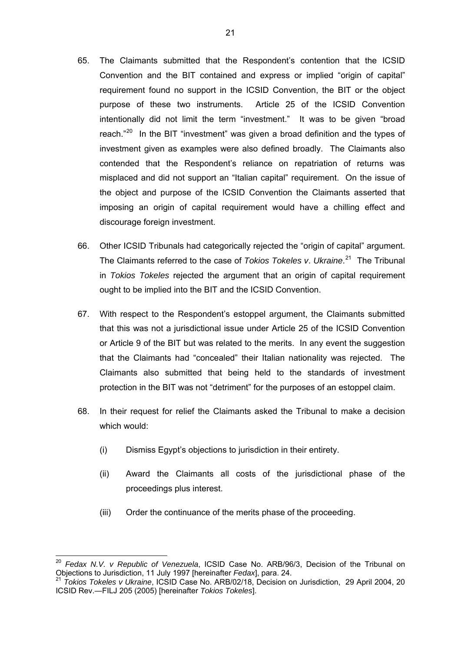- 65. The Claimants submitted that the Respondent's contention that the ICSID Convention and the BIT contained and express or implied "origin of capital" requirement found no support in the ICSID Convention, the BIT or the object purpose of these two instruments. Article 25 of the ICSID Convention intentionally did not limit the term "investment." It was to be given "broad reach."<sup>[20](#page-20-0)</sup> In the BIT "investment" was given a broad definition and the types of investment given as examples were also defined broadly. The Claimants also contended that the Respondent's reliance on repatriation of returns was misplaced and did not support an "Italian capital" requirement. On the issue of the object and purpose of the ICSID Convention the Claimants asserted that imposing an origin of capital requirement would have a chilling effect and discourage foreign investment.
- 66. Other ICSID Tribunals had categorically rejected the "origin of capital" argument. The Claimants referred to the case of *Tokios Tokeles v*. *Ukraine*. [21](#page-20-1) The Tribunal in *Tokios Tokeles* rejected the argument that an origin of capital requirement ought to be implied into the BIT and the ICSID Convention.
- 67. With respect to the Respondent's estoppel argument, the Claimants submitted that this was not a jurisdictional issue under Article 25 of the ICSID Convention or Article 9 of the BIT but was related to the merits. In any event the suggestion that the Claimants had "concealed" their Italian nationality was rejected. The Claimants also submitted that being held to the standards of investment protection in the BIT was not "detriment" for the purposes of an estoppel claim.
- 68. In their request for relief the Claimants asked the Tribunal to make a decision which would:
	- (i) Dismiss Egypt's objections to jurisdiction in their entirety.
	- (ii) Award the Claimants all costs of the jurisdictional phase of the proceedings plus interest.
	- (iii) Order the continuance of the merits phase of the proceeding.

 $\overline{a}$ 

<span id="page-20-0"></span><sup>20</sup> *Fedax N.V. v Republic of Venezuela*, ICSID Case No. ARB/96/3, Decision of the Tribunal on Objections to Jurisdiction, 11 July 1997 [hereinafter *Fedax*], para. 24. 21 *Tokios Tokeles v Ukraine*, ICSID Case No. ARB/02/18, Decision on Jurisdiction, 29 April 2004, 20

<span id="page-20-1"></span>ICSID Rev.―FILJ 205 (2005) [hereinafter *Tokios Tokeles*].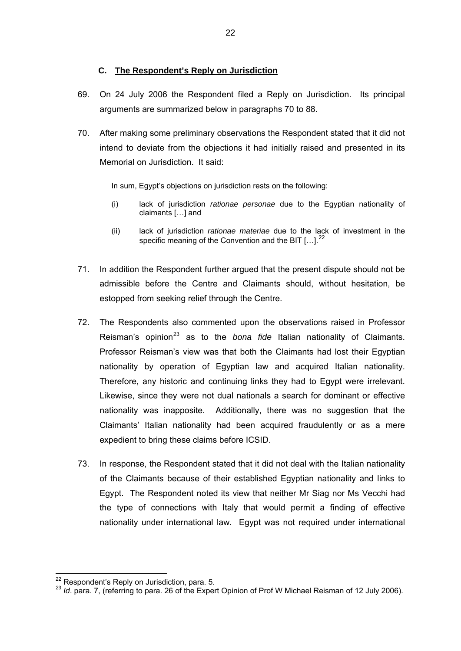# <span id="page-21-0"></span>**C. The Respondent's Reply on Jurisdiction**

- 69. On 24 July 2006 the Respondent filed a Reply on Jurisdiction. Its principal arguments are summarized below in paragraphs 70 to 88.
- 70. After making some preliminary observations the Respondent stated that it did not intend to deviate from the objections it had initially raised and presented in its Memorial on Jurisdiction. It said:

In sum, Egypt's objections on jurisdiction rests on the following:

- (i) lack of jurisdiction *rationae personae* due to the Egyptian nationality of claimants […] and
- (ii) lack of jurisdiction *rationae materiae* due to the lack of investment in the specific meaning of the Convention and the BIT  $[...]^{22}$  $[...]^{22}$  $[...]^{22}$
- 71. In addition the Respondent further argued that the present dispute should not be admissible before the Centre and Claimants should, without hesitation, be estopped from seeking relief through the Centre.
- 72. The Respondents also commented upon the observations raised in Professor Reisman's opinion<sup>[23](#page-21-2)</sup> as to the *bona fide* Italian nationality of Claimants. Professor Reisman's view was that both the Claimants had lost their Egyptian nationality by operation of Egyptian law and acquired Italian nationality. Therefore, any historic and continuing links they had to Egypt were irrelevant. Likewise, since they were not dual nationals a search for dominant or effective nationality was inapposite. Additionally, there was no suggestion that the Claimants' Italian nationality had been acquired fraudulently or as a mere expedient to bring these claims before ICSID.
- 73. In response, the Respondent stated that it did not deal with the Italian nationality of the Claimants because of their established Egyptian nationality and links to Egypt. The Respondent noted its view that neither Mr Siag nor Ms Vecchi had the type of connections with Italy that would permit a finding of effective nationality under international law. Egypt was not required under international

<span id="page-21-1"></span><sup>&</sup>lt;sup>22</sup> Respondent's Reply on Jurisdiction, para. 5.

<span id="page-21-2"></span><sup>&</sup>lt;sup>23</sup> Id. para. 7, (referring to para. 26 of the Expert Opinion of Prof W Michael Reisman of 12 July 2006).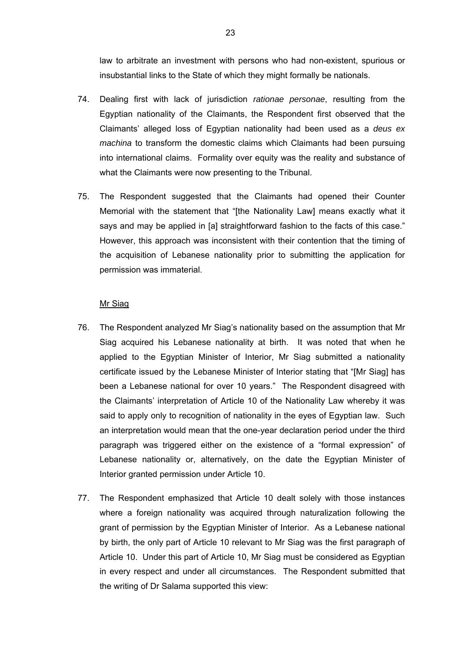<span id="page-22-0"></span>law to arbitrate an investment with persons who had non-existent, spurious or insubstantial links to the State of which they might formally be nationals.

- 74. Dealing first with lack of jurisdiction *rationae personae*, resulting from the Egyptian nationality of the Claimants, the Respondent first observed that the Claimants' alleged loss of Egyptian nationality had been used as a *deus ex machina* to transform the domestic claims which Claimants had been pursuing into international claims. Formality over equity was the reality and substance of what the Claimants were now presenting to the Tribunal.
- 75. The Respondent suggested that the Claimants had opened their Counter Memorial with the statement that "[the Nationality Law] means exactly what it says and may be applied in [a] straightforward fashion to the facts of this case." However, this approach was inconsistent with their contention that the timing of the acquisition of Lebanese nationality prior to submitting the application for permission was immaterial.

### Mr Siag

- 76. The Respondent analyzed Mr Siag's nationality based on the assumption that Mr Siag acquired his Lebanese nationality at birth. It was noted that when he applied to the Egyptian Minister of Interior, Mr Siag submitted a nationality certificate issued by the Lebanese Minister of Interior stating that "[Mr Siag] has been a Lebanese national for over 10 years." The Respondent disagreed with the Claimants' interpretation of Article 10 of the Nationality Law whereby it was said to apply only to recognition of nationality in the eyes of Egyptian law. Such an interpretation would mean that the one-year declaration period under the third paragraph was triggered either on the existence of a "formal expression" of Lebanese nationality or, alternatively, on the date the Egyptian Minister of Interior granted permission under Article 10.
- 77. The Respondent emphasized that Article 10 dealt solely with those instances where a foreign nationality was acquired through naturalization following the grant of permission by the Egyptian Minister of Interior. As a Lebanese national by birth, the only part of Article 10 relevant to Mr Siag was the first paragraph of Article 10. Under this part of Article 10, Mr Siag must be considered as Egyptian in every respect and under all circumstances. The Respondent submitted that the writing of Dr Salama supported this view: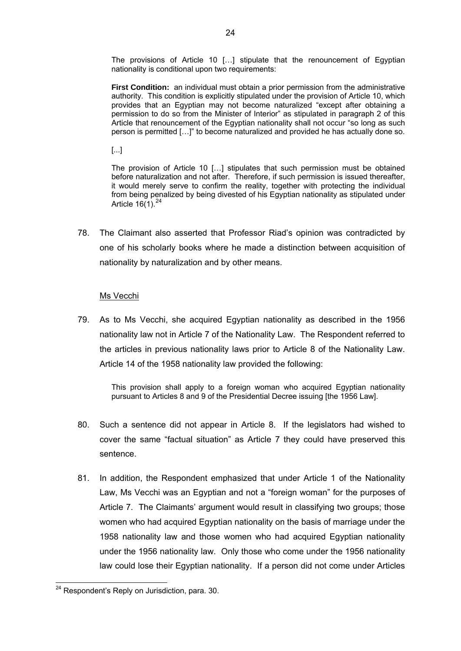<span id="page-23-0"></span>The provisions of Article 10 [...] stipulate that the renouncement of Egyptian nationality is conditional upon two requirements:

**First Condition:** an individual must obtain a prior permission from the administrative authority. This condition is explicitly stipulated under the provision of Article 10, which provides that an Egyptian may not become naturalized "except after obtaining a permission to do so from the Minister of Interior" as stipulated in paragraph 2 of this Article that renouncement of the Egyptian nationality shall not occur "so long as such person is permitted […]" to become naturalized and provided he has actually done so.

[...]

The provision of Article 10 […] stipulates that such permission must be obtained before naturalization and not after. Therefore, if such permission is issued thereafter, it would merely serve to confirm the reality, together with protecting the individual from being penalized by being divested of his Egyptian nationality as stipulated under Article  $16(1)$ .  $^{24}$  $^{24}$  $^{24}$ 

78. The Claimant also asserted that Professor Riad's opinion was contradicted by one of his scholarly books where he made a distinction between acquisition of nationality by naturalization and by other means.

# Ms Vecchi

79. As to Ms Vecchi, she acquired Egyptian nationality as described in the 1956 nationality law not in Article 7 of the Nationality Law. The Respondent referred to the articles in previous nationality laws prior to Article 8 of the Nationality Law. Article 14 of the 1958 nationality law provided the following:

> This provision shall apply to a foreign woman who acquired Egyptian nationality pursuant to Articles 8 and 9 of the Presidential Decree issuing [the 1956 Law].

- 80. Such a sentence did not appear in Article 8. If the legislators had wished to cover the same "factual situation" as Article 7 they could have preserved this sentence.
- 81. In addition, the Respondent emphasized that under Article 1 of the Nationality Law, Ms Vecchi was an Egyptian and not a "foreign woman" for the purposes of Article 7. The Claimants' argument would result in classifying two groups; those women who had acquired Egyptian nationality on the basis of marriage under the 1958 nationality law and those women who had acquired Egyptian nationality under the 1956 nationality law. Only those who come under the 1956 nationality law could lose their Egyptian nationality. If a person did not come under Articles

<span id="page-23-1"></span> $\overline{a}$  $24$  Respondent's Reply on Jurisdiction, para. 30.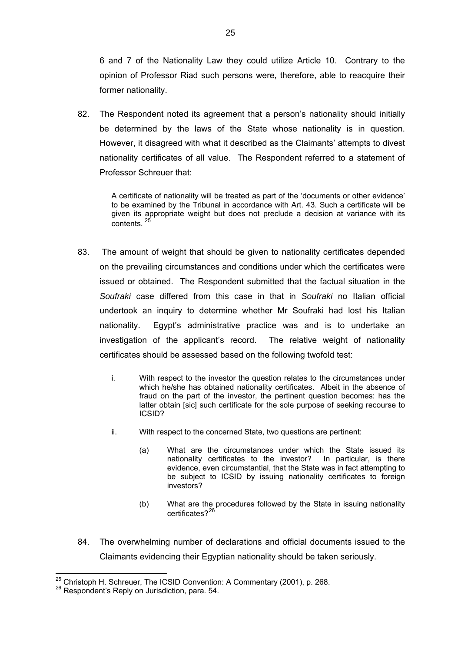6 and 7 of the Nationality Law they could utilize Article 10. Contrary to the opinion of Professor Riad such persons were, therefore, able to reacquire their former nationality.

82. The Respondent noted its agreement that a person's nationality should initially be determined by the laws of the State whose nationality is in question. However, it disagreed with what it described as the Claimants' attempts to divest nationality certificates of all value. The Respondent referred to a statement of Professor Schreuer that:

A certificate of nationality will be treated as part of the 'documents or other evidence' to be examined by the Tribunal in accordance with Art. 43. Such a certificate will be given its appropriate weight but does not preclude a decision at variance with its contents.<sup>[25](#page-24-0)</sup>

- 83. The amount of weight that should be given to nationality certificates depended on the prevailing circumstances and conditions under which the certificates were issued or obtained. The Respondent submitted that the factual situation in the *Soufraki* case differed from this case in that in *Soufraki* no Italian official undertook an inquiry to determine whether Mr Soufraki had lost his Italian nationality. Egypt's administrative practice was and is to undertake an investigation of the applicant's record. The relative weight of nationality certificates should be assessed based on the following twofold test:
	- i. With respect to the investor the question relates to the circumstances under which he/she has obtained nationality certificates. Albeit in the absence of fraud on the part of the investor, the pertinent question becomes: has the latter obtain [sic] such certificate for the sole purpose of seeking recourse to ICSID?
	- ii. With respect to the concerned State, two questions are pertinent:
		- (a) What are the circumstances under which the State issued its nationality certificates to the investor? In particular, is there evidence, even circumstantial, that the State was in fact attempting to be subject to ICSID by issuing nationality certificates to foreign investors?
		- (b) What are the procedures followed by the State in issuing nationality certificates?<sup>[26](#page-24-1)</sup>
- 84. The overwhelming number of declarations and official documents issued to the Claimants evidencing their Egyptian nationality should be taken seriously.

<sup>1</sup> <sup>25</sup> Christoph H. Schreuer, The ICSID Convention: A Commentary (2001), p. 268.<br><sup>26</sup> Respondent's Reply on Jurisdiction, para. 54.

<span id="page-24-1"></span><span id="page-24-0"></span>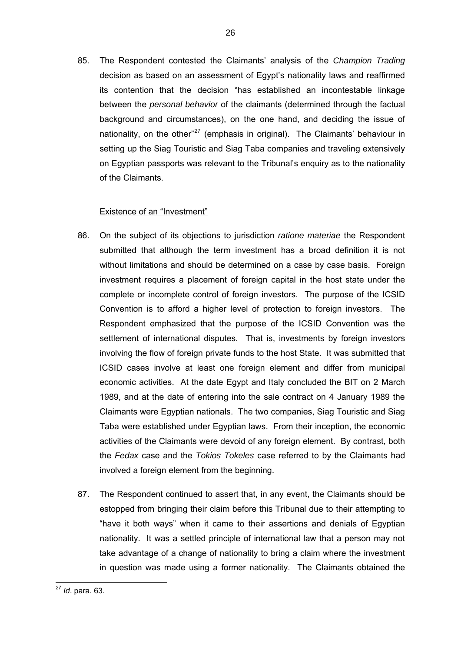<span id="page-25-0"></span>85. The Respondent contested the Claimants' analysis of the *Champion Trading* decision as based on an assessment of Egypt's nationality laws and reaffirmed its contention that the decision "has established an incontestable linkage between the *personal behavior* of the claimants (determined through the factual background and circumstances), on the one hand, and deciding the issue of nationality, on the other $n^{27}$  $n^{27}$  $n^{27}$  (emphasis in original). The Claimants' behaviour in setting up the Siag Touristic and Siag Taba companies and traveling extensively on Egyptian passports was relevant to the Tribunal's enquiry as to the nationality of the Claimants.

# Existence of an "Investment"

- 86. On the subject of its objections to jurisdiction *ratione materiae* the Respondent submitted that although the term investment has a broad definition it is not without limitations and should be determined on a case by case basis. Foreign investment requires a placement of foreign capital in the host state under the complete or incomplete control of foreign investors. The purpose of the ICSID Convention is to afford a higher level of protection to foreign investors. The Respondent emphasized that the purpose of the ICSID Convention was the settlement of international disputes. That is, investments by foreign investors involving the flow of foreign private funds to the host State. It was submitted that ICSID cases involve at least one foreign element and differ from municipal economic activities. At the date Egypt and Italy concluded the BIT on 2 March 1989, and at the date of entering into the sale contract on 4 January 1989 the Claimants were Egyptian nationals. The two companies, Siag Touristic and Siag Taba were established under Egyptian laws. From their inception, the economic activities of the Claimants were devoid of any foreign element. By contrast, both the *Fedax* case and the *Tokios Tokeles* case referred to by the Claimants had involved a foreign element from the beginning.
- 87. The Respondent continued to assert that, in any event, the Claimants should be estopped from bringing their claim before this Tribunal due to their attempting to "have it both ways" when it came to their assertions and denials of Egyptian nationality. It was a settled principle of international law that a person may not take advantage of a change of nationality to bring a claim where the investment in question was made using a former nationality. The Claimants obtained the

<span id="page-25-1"></span> $\overline{a}$ <sup>27</sup> *Id*. para. 63.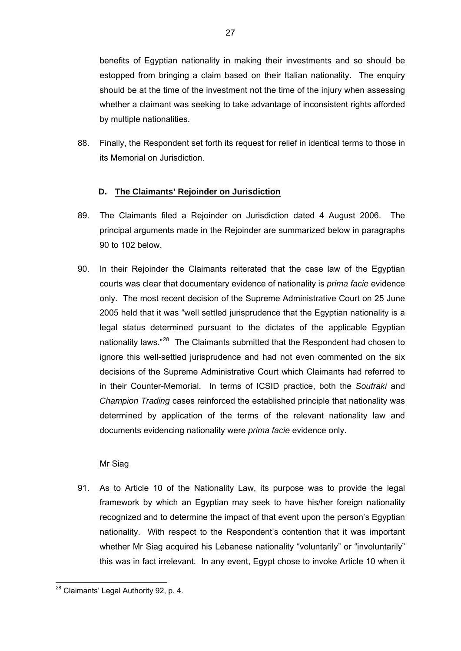<span id="page-26-0"></span>benefits of Egyptian nationality in making their investments and so should be estopped from bringing a claim based on their Italian nationality. The enquiry should be at the time of the investment not the time of the injury when assessing whether a claimant was seeking to take advantage of inconsistent rights afforded by multiple nationalities.

88. Finally, the Respondent set forth its request for relief in identical terms to those in its Memorial on Jurisdiction.

# **D. The Claimants' Rejoinder on Jurisdiction**

- 89. The Claimants filed a Rejoinder on Jurisdiction dated 4 August 2006. The principal arguments made in the Rejoinder are summarized below in paragraphs 90 to 102 below.
- 90. In their Rejoinder the Claimants reiterated that the case law of the Egyptian courts was clear that documentary evidence of nationality is *prima facie* evidence only. The most recent decision of the Supreme Administrative Court on 25 June 2005 held that it was "well settled jurisprudence that the Egyptian nationality is a legal status determined pursuant to the dictates of the applicable Egyptian nationality laws."<sup>[28](#page-26-1)</sup> The Claimants submitted that the Respondent had chosen to ignore this well-settled jurisprudence and had not even commented on the six decisions of the Supreme Administrative Court which Claimants had referred to in their Counter-Memorial. In terms of ICSID practice, both the *Soufraki* and *Champion Trading* cases reinforced the established principle that nationality was determined by application of the terms of the relevant nationality law and documents evidencing nationality were *prima facie* evidence only.

# Mr Siag

91. As to Article 10 of the Nationality Law, its purpose was to provide the legal framework by which an Egyptian may seek to have his/her foreign nationality recognized and to determine the impact of that event upon the person's Egyptian nationality. With respect to the Respondent's contention that it was important whether Mr Siag acquired his Lebanese nationality "voluntarily" or "involuntarily" this was in fact irrelevant. In any event, Egypt chose to invoke Article 10 when it

<span id="page-26-1"></span> $\overline{a}$  $28$  Claimants' Legal Authority 92, p. 4.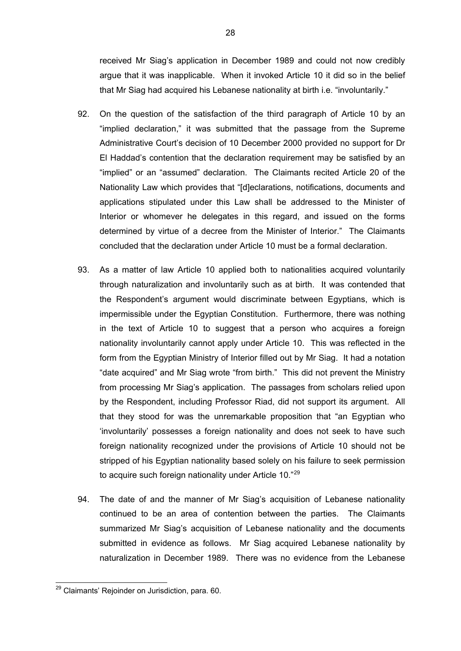received Mr Siag's application in December 1989 and could not now credibly argue that it was inapplicable. When it invoked Article 10 it did so in the belief that Mr Siag had acquired his Lebanese nationality at birth i.e. "involuntarily."

- 92. On the question of the satisfaction of the third paragraph of Article 10 by an "implied declaration," it was submitted that the passage from the Supreme Administrative Court's decision of 10 December 2000 provided no support for Dr El Haddad's contention that the declaration requirement may be satisfied by an "implied" or an "assumed" declaration. The Claimants recited Article 20 of the Nationality Law which provides that "[d]eclarations, notifications, documents and applications stipulated under this Law shall be addressed to the Minister of Interior or whomever he delegates in this regard, and issued on the forms determined by virtue of a decree from the Minister of Interior." The Claimants concluded that the declaration under Article 10 must be a formal declaration.
- 93. As a matter of law Article 10 applied both to nationalities acquired voluntarily through naturalization and involuntarily such as at birth. It was contended that the Respondent's argument would discriminate between Egyptians, which is impermissible under the Egyptian Constitution. Furthermore, there was nothing in the text of Article 10 to suggest that a person who acquires a foreign nationality involuntarily cannot apply under Article 10. This was reflected in the form from the Egyptian Ministry of Interior filled out by Mr Siag. It had a notation "date acquired" and Mr Siag wrote "from birth." This did not prevent the Ministry from processing Mr Siag's application. The passages from scholars relied upon by the Respondent, including Professor Riad, did not support its argument. All that they stood for was the unremarkable proposition that "an Egyptian who 'involuntarily' possesses a foreign nationality and does not seek to have such foreign nationality recognized under the provisions of Article 10 should not be stripped of his Egyptian nationality based solely on his failure to seek permission to acquire such foreign nationality under Article 10."<sup>[29](#page-27-0)</sup>
- 94. The date of and the manner of Mr Siag's acquisition of Lebanese nationality continued to be an area of contention between the parties. The Claimants summarized Mr Siag's acquisition of Lebanese nationality and the documents submitted in evidence as follows. Mr Siag acquired Lebanese nationality by naturalization in December 1989. There was no evidence from the Lebanese

 $\overline{a}$ 

<span id="page-27-0"></span><sup>&</sup>lt;sup>29</sup> Claimants' Rejoinder on Jurisdiction, para. 60.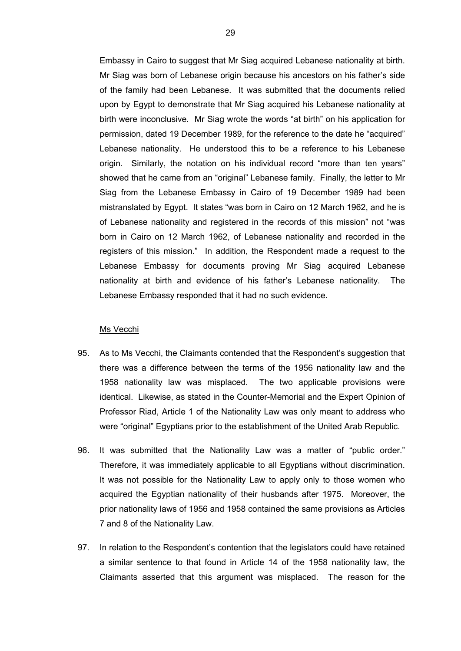<span id="page-28-0"></span>Embassy in Cairo to suggest that Mr Siag acquired Lebanese nationality at birth. Mr Siag was born of Lebanese origin because his ancestors on his father's side of the family had been Lebanese. It was submitted that the documents relied upon by Egypt to demonstrate that Mr Siag acquired his Lebanese nationality at birth were inconclusive. Mr Siag wrote the words "at birth" on his application for permission, dated 19 December 1989, for the reference to the date he "acquired" Lebanese nationality. He understood this to be a reference to his Lebanese origin. Similarly, the notation on his individual record "more than ten years" showed that he came from an "original" Lebanese family. Finally, the letter to Mr Siag from the Lebanese Embassy in Cairo of 19 December 1989 had been mistranslated by Egypt. It states "was born in Cairo on 12 March 1962, and he is of Lebanese nationality and registered in the records of this mission" not "was born in Cairo on 12 March 1962, of Lebanese nationality and recorded in the registers of this mission." In addition, the Respondent made a request to the Lebanese Embassy for documents proving Mr Siag acquired Lebanese nationality at birth and evidence of his father's Lebanese nationality. The Lebanese Embassy responded that it had no such evidence.

#### Ms Vecchi

- 95. As to Ms Vecchi, the Claimants contended that the Respondent's suggestion that there was a difference between the terms of the 1956 nationality law and the 1958 nationality law was misplaced. The two applicable provisions were identical. Likewise, as stated in the Counter-Memorial and the Expert Opinion of Professor Riad, Article 1 of the Nationality Law was only meant to address who were "original" Egyptians prior to the establishment of the United Arab Republic.
- 96. It was submitted that the Nationality Law was a matter of "public order." Therefore, it was immediately applicable to all Egyptians without discrimination. It was not possible for the Nationality Law to apply only to those women who acquired the Egyptian nationality of their husbands after 1975. Moreover, the prior nationality laws of 1956 and 1958 contained the same provisions as Articles 7 and 8 of the Nationality Law.
- 97. In relation to the Respondent's contention that the legislators could have retained a similar sentence to that found in Article 14 of the 1958 nationality law, the Claimants asserted that this argument was misplaced. The reason for the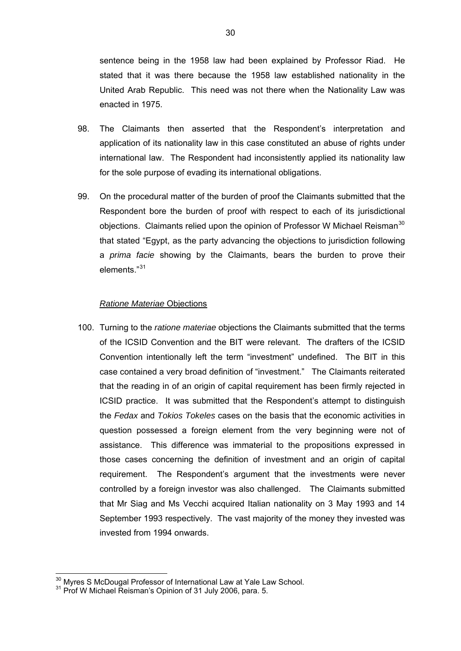<span id="page-29-0"></span>sentence being in the 1958 law had been explained by Professor Riad. He stated that it was there because the 1958 law established nationality in the United Arab Republic. This need was not there when the Nationality Law was enacted in 1975.

- 98. The Claimants then asserted that the Respondent's interpretation and application of its nationality law in this case constituted an abuse of rights under international law. The Respondent had inconsistently applied its nationality law for the sole purpose of evading its international obligations.
- 99. On the procedural matter of the burden of proof the Claimants submitted that the Respondent bore the burden of proof with respect to each of its jurisdictional objections. Claimants relied upon the opinion of Professor W Michael Reisman<sup>[30](#page-29-1)</sup> that stated "Egypt, as the party advancing the objections to jurisdiction following a *prima facie* showing by the Claimants, bears the burden to prove their elements."[31](#page-29-2)

### *Ratione Materiae* Objections

100. Turning to the *ratione materiae* objections the Claimants submitted that the terms of the ICSID Convention and the BIT were relevant. The drafters of the ICSID Convention intentionally left the term "investment" undefined. The BIT in this case contained a very broad definition of "investment." The Claimants reiterated that the reading in of an origin of capital requirement has been firmly rejected in ICSID practice. It was submitted that the Respondent's attempt to distinguish the *Fedax* and *Tokios Tokeles* cases on the basis that the economic activities in question possessed a foreign element from the very beginning were not of assistance. This difference was immaterial to the propositions expressed in those cases concerning the definition of investment and an origin of capital requirement. The Respondent's argument that the investments were never controlled by a foreign investor was also challenged. The Claimants submitted that Mr Siag and Ms Vecchi acquired Italian nationality on 3 May 1993 and 14 September 1993 respectively. The vast majority of the money they invested was invested from 1994 onwards.

1

<span id="page-29-1"></span><sup>&</sup>lt;sup>30</sup> Myres S McDougal Professor of International Law at Yale Law School.<br><sup>31</sup> Prof W Michael Reisman's Opinion of 31 July 2006, para. 5.

<span id="page-29-2"></span>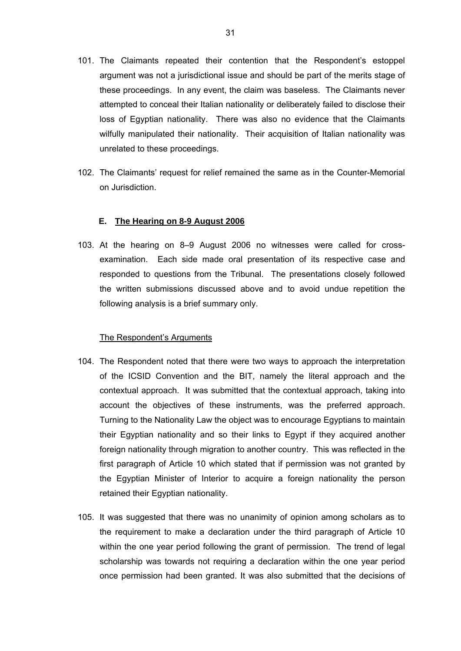- <span id="page-30-0"></span>101. The Claimants repeated their contention that the Respondent's estoppel argument was not a jurisdictional issue and should be part of the merits stage of these proceedings. In any event, the claim was baseless. The Claimants never attempted to conceal their Italian nationality or deliberately failed to disclose their loss of Egyptian nationality. There was also no evidence that the Claimants wilfully manipulated their nationality. Their acquisition of Italian nationality was unrelated to these proceedings.
- 102. The Claimants' request for relief remained the same as in the Counter-Memorial on Jurisdiction.

### **E. The Hearing on 8-9 August 2006**

103. At the hearing on 8–9 August 2006 no witnesses were called for crossexamination. Each side made oral presentation of its respective case and responded to questions from the Tribunal. The presentations closely followed the written submissions discussed above and to avoid undue repetition the following analysis is a brief summary only.

#### The Respondent's Arguments

- 104. The Respondent noted that there were two ways to approach the interpretation of the ICSID Convention and the BIT, namely the literal approach and the contextual approach. It was submitted that the contextual approach, taking into account the objectives of these instruments, was the preferred approach. Turning to the Nationality Law the object was to encourage Egyptians to maintain their Egyptian nationality and so their links to Egypt if they acquired another foreign nationality through migration to another country. This was reflected in the first paragraph of Article 10 which stated that if permission was not granted by the Egyptian Minister of Interior to acquire a foreign nationality the person retained their Egyptian nationality.
- 105. It was suggested that there was no unanimity of opinion among scholars as to the requirement to make a declaration under the third paragraph of Article 10 within the one year period following the grant of permission. The trend of legal scholarship was towards not requiring a declaration within the one year period once permission had been granted. It was also submitted that the decisions of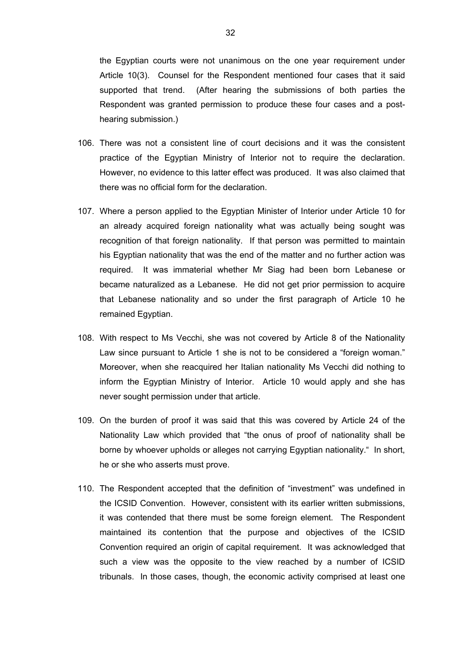the Egyptian courts were not unanimous on the one year requirement under Article 10(3). Counsel for the Respondent mentioned four cases that it said supported that trend. (After hearing the submissions of both parties the Respondent was granted permission to produce these four cases and a posthearing submission.)

- 106. There was not a consistent line of court decisions and it was the consistent practice of the Egyptian Ministry of Interior not to require the declaration. However, no evidence to this latter effect was produced. It was also claimed that there was no official form for the declaration.
- 107. Where a person applied to the Egyptian Minister of Interior under Article 10 for an already acquired foreign nationality what was actually being sought was recognition of that foreign nationality. If that person was permitted to maintain his Egyptian nationality that was the end of the matter and no further action was required. It was immaterial whether Mr Siag had been born Lebanese or became naturalized as a Lebanese. He did not get prior permission to acquire that Lebanese nationality and so under the first paragraph of Article 10 he remained Egyptian.
- 108. With respect to Ms Vecchi, she was not covered by Article 8 of the Nationality Law since pursuant to Article 1 she is not to be considered a "foreign woman." Moreover, when she reacquired her Italian nationality Ms Vecchi did nothing to inform the Egyptian Ministry of Interior. Article 10 would apply and she has never sought permission under that article.
- 109. On the burden of proof it was said that this was covered by Article 24 of the Nationality Law which provided that "the onus of proof of nationality shall be borne by whoever upholds or alleges not carrying Egyptian nationality." In short, he or she who asserts must prove.
- 110. The Respondent accepted that the definition of "investment" was undefined in the ICSID Convention. However, consistent with its earlier written submissions, it was contended that there must be some foreign element. The Respondent maintained its contention that the purpose and objectives of the ICSID Convention required an origin of capital requirement. It was acknowledged that such a view was the opposite to the view reached by a number of ICSID tribunals. In those cases, though, the economic activity comprised at least one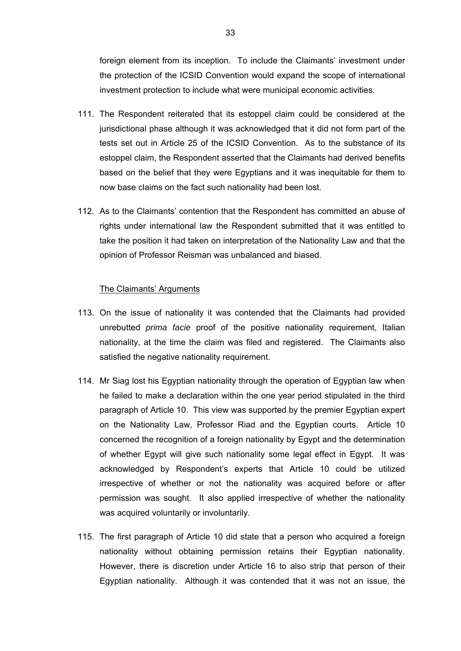<span id="page-32-0"></span>foreign element from its inception. To include the Claimants' investment under the protection of the ICSID Convention would expand the scope of international investment protection to include what were municipal economic activities.

- 111. The Respondent reiterated that its estoppel claim could be considered at the jurisdictional phase although it was acknowledged that it did not form part of the tests set out in Article 25 of the ICSID Convention. As to the substance of its estoppel claim, the Respondent asserted that the Claimants had derived benefits based on the belief that they were Egyptians and it was inequitable for them to now base claims on the fact such nationality had been lost.
- 112. As to the Claimants' contention that the Respondent has committed an abuse of rights under international law the Respondent submitted that it was entitled to take the position it had taken on interpretation of the Nationality Law and that the opinion of Professor Reisman was unbalanced and biased.

### The Claimants' Arguments

- 113. On the issue of nationality it was contended that the Claimants had provided unrebutted *prima facie* proof of the positive nationality requirement, Italian nationality, at the time the claim was filed and registered. The Claimants also satisfied the negative nationality requirement.
- 114. Mr Siag lost his Egyptian nationality through the operation of Egyptian law when he failed to make a declaration within the one year period stipulated in the third paragraph of Article 10. This view was supported by the premier Egyptian expert on the Nationality Law, Professor Riad and the Egyptian courts. Article 10 concerned the recognition of a foreign nationality by Egypt and the determination of whether Egypt will give such nationality some legal effect in Egypt. It was acknowledged by Respondent's experts that Article 10 could be utilized irrespective of whether or not the nationality was acquired before or after permission was sought. It also applied irrespective of whether the nationality was acquired voluntarily or involuntarily.
- 115. The first paragraph of Article 10 did state that a person who acquired a foreign nationality without obtaining permission retains their Egyptian nationality. However, there is discretion under Article 16 to also strip that person of their Egyptian nationality. Although it was contended that it was not an issue, the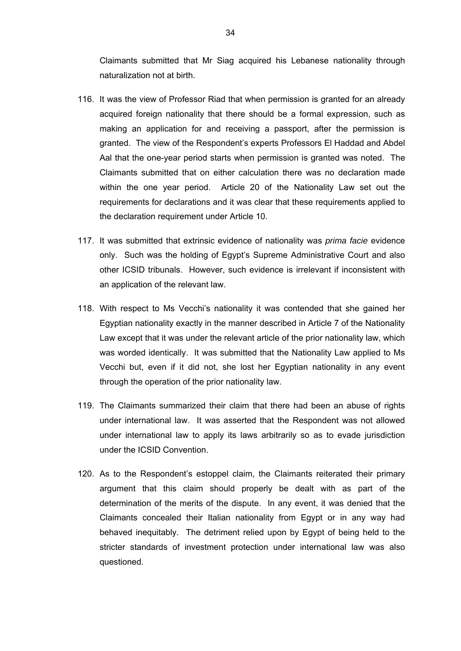Claimants submitted that Mr Siag acquired his Lebanese nationality through naturalization not at birth.

- 116. It was the view of Professor Riad that when permission is granted for an already acquired foreign nationality that there should be a formal expression, such as making an application for and receiving a passport, after the permission is granted. The view of the Respondent's experts Professors El Haddad and Abdel Aal that the one-year period starts when permission is granted was noted. The Claimants submitted that on either calculation there was no declaration made within the one year period. Article 20 of the Nationality Law set out the requirements for declarations and it was clear that these requirements applied to the declaration requirement under Article 10.
- 117. It was submitted that extrinsic evidence of nationality was *prima facie* evidence only. Such was the holding of Egypt's Supreme Administrative Court and also other ICSID tribunals. However, such evidence is irrelevant if inconsistent with an application of the relevant law.
- 118. With respect to Ms Vecchi's nationality it was contended that she gained her Egyptian nationality exactly in the manner described in Article 7 of the Nationality Law except that it was under the relevant article of the prior nationality law, which was worded identically. It was submitted that the Nationality Law applied to Ms Vecchi but, even if it did not, she lost her Egyptian nationality in any event through the operation of the prior nationality law.
- 119. The Claimants summarized their claim that there had been an abuse of rights under international law. It was asserted that the Respondent was not allowed under international law to apply its laws arbitrarily so as to evade jurisdiction under the ICSID Convention.
- 120. As to the Respondent's estoppel claim, the Claimants reiterated their primary argument that this claim should properly be dealt with as part of the determination of the merits of the dispute. In any event, it was denied that the Claimants concealed their Italian nationality from Egypt or in any way had behaved inequitably. The detriment relied upon by Egypt of being held to the stricter standards of investment protection under international law was also questioned.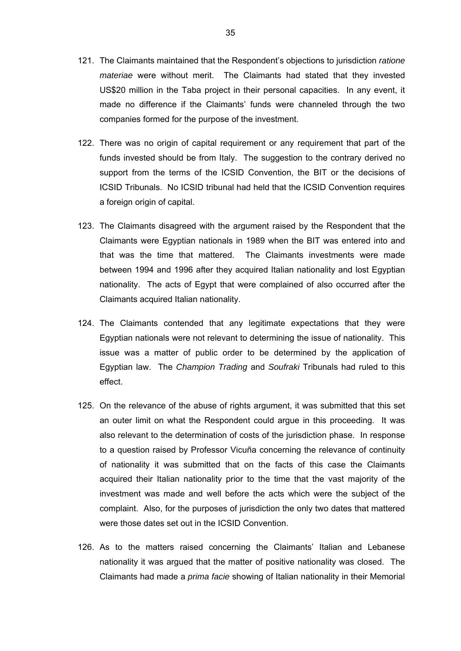- 121. The Claimants maintained that the Respondent's objections to jurisdiction *ratione materiae* were without merit. The Claimants had stated that they invested US\$20 million in the Taba project in their personal capacities. In any event, it made no difference if the Claimants' funds were channeled through the two companies formed for the purpose of the investment.
- 122. There was no origin of capital requirement or any requirement that part of the funds invested should be from Italy. The suggestion to the contrary derived no support from the terms of the ICSID Convention, the BIT or the decisions of ICSID Tribunals. No ICSID tribunal had held that the ICSID Convention requires a foreign origin of capital.
- 123. The Claimants disagreed with the argument raised by the Respondent that the Claimants were Egyptian nationals in 1989 when the BIT was entered into and that was the time that mattered. The Claimants investments were made between 1994 and 1996 after they acquired Italian nationality and lost Egyptian nationality. The acts of Egypt that were complained of also occurred after the Claimants acquired Italian nationality.
- 124. The Claimants contended that any legitimate expectations that they were Egyptian nationals were not relevant to determining the issue of nationality. This issue was a matter of public order to be determined by the application of Egyptian law. The *Champion Trading* and *Soufraki* Tribunals had ruled to this effect.
- 125. On the relevance of the abuse of rights argument, it was submitted that this set an outer limit on what the Respondent could argue in this proceeding. It was also relevant to the determination of costs of the jurisdiction phase. In response to a question raised by Professor Vicuña concerning the relevance of continuity of nationality it was submitted that on the facts of this case the Claimants acquired their Italian nationality prior to the time that the vast majority of the investment was made and well before the acts which were the subject of the complaint. Also, for the purposes of jurisdiction the only two dates that mattered were those dates set out in the ICSID Convention.
- 126. As to the matters raised concerning the Claimants' Italian and Lebanese nationality it was argued that the matter of positive nationality was closed. The Claimants had made a *prima facie* showing of Italian nationality in their Memorial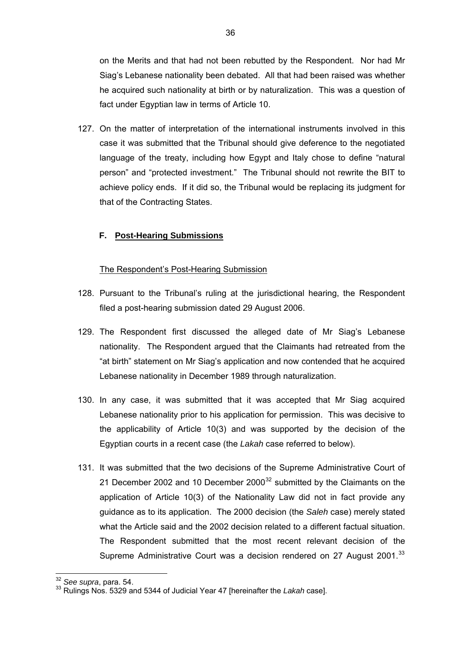<span id="page-35-0"></span>on the Merits and that had not been rebutted by the Respondent. Nor had Mr Siag's Lebanese nationality been debated. All that had been raised was whether he acquired such nationality at birth or by naturalization. This was a question of fact under Egyptian law in terms of Article 10.

127. On the matter of interpretation of the international instruments involved in this case it was submitted that the Tribunal should give deference to the negotiated language of the treaty, including how Egypt and Italy chose to define "natural person" and "protected investment." The Tribunal should not rewrite the BIT to achieve policy ends. If it did so, the Tribunal would be replacing its judgment for that of the Contracting States.

# **F. Post-Hearing Submissions**

# The Respondent's Post-Hearing Submission

- 128. Pursuant to the Tribunal's ruling at the jurisdictional hearing, the Respondent filed a post-hearing submission dated 29 August 2006.
- 129. The Respondent first discussed the alleged date of Mr Siag's Lebanese nationality. The Respondent argued that the Claimants had retreated from the "at birth" statement on Mr Siag's application and now contended that he acquired Lebanese nationality in December 1989 through naturalization.
- 130. In any case, it was submitted that it was accepted that Mr Siag acquired Lebanese nationality prior to his application for permission. This was decisive to the applicability of Article 10(3) and was supported by the decision of the Egyptian courts in a recent case (the *Lakah* case referred to below).
- 131. It was submitted that the two decisions of the Supreme Administrative Court of 21 December 2002 and 10 December  $2000^{32}$  $2000^{32}$  $2000^{32}$  submitted by the Claimants on the application of Article 10(3) of the Nationality Law did not in fact provide any guidance as to its application. The 2000 decision (the *Saleh* case) merely stated what the Article said and the 2002 decision related to a different factual situation. The Respondent submitted that the most recent relevant decision of the Supreme Administrative Court was a decision rendered on 27 August 2001.<sup>[33](#page-35-2)</sup>

 $32$  See supra, para. 54.

<span id="page-35-2"></span><span id="page-35-1"></span><sup>32</sup> *See supra*, para. 54. 33 Rulings Nos. 5329 and 5344 of Judicial Year 47 [hereinafter the *Lakah* case].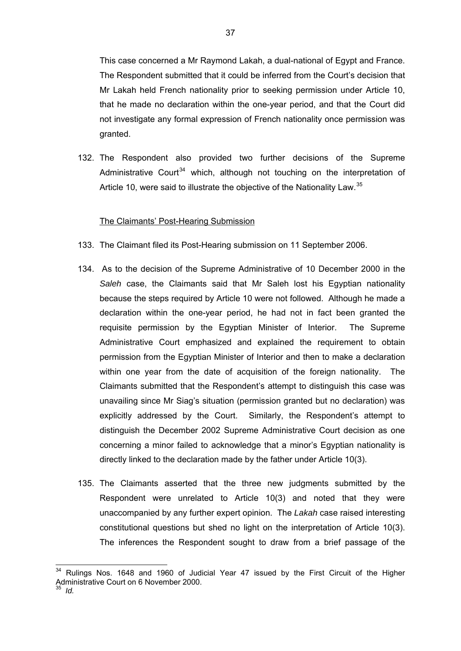<span id="page-36-0"></span>This case concerned a Mr Raymond Lakah, a dual-national of Egypt and France. The Respondent submitted that it could be inferred from the Court's decision that Mr Lakah held French nationality prior to seeking permission under Article 10, that he made no declaration within the one-year period, and that the Court did not investigate any formal expression of French nationality once permission was granted.

132. The Respondent also provided two further decisions of the Supreme Administrative Court<sup>[34](#page-36-1)</sup> which, although not touching on the interpretation of Article 10, were said to illustrate the objective of the Nationality Law.<sup>[35](#page-36-2)</sup>

### The Claimants' Post-Hearing Submission

- 133. The Claimant filed its Post-Hearing submission on 11 September 2006.
- 134. As to the decision of the Supreme Administrative of 10 December 2000 in the *Saleh* case, the Claimants said that Mr Saleh lost his Egyptian nationality because the steps required by Article 10 were not followed. Although he made a declaration within the one-year period, he had not in fact been granted the requisite permission by the Egyptian Minister of Interior. The Supreme Administrative Court emphasized and explained the requirement to obtain permission from the Egyptian Minister of Interior and then to make a declaration within one year from the date of acquisition of the foreign nationality. The Claimants submitted that the Respondent's attempt to distinguish this case was unavailing since Mr Siag's situation (permission granted but no declaration) was explicitly addressed by the Court. Similarly, the Respondent's attempt to distinguish the December 2002 Supreme Administrative Court decision as one concerning a minor failed to acknowledge that a minor's Egyptian nationality is directly linked to the declaration made by the father under Article 10(3).
- 135. The Claimants asserted that the three new judgments submitted by the Respondent were unrelated to Article 10(3) and noted that they were unaccompanied by any further expert opinion. The *Lakah* case raised interesting constitutional questions but shed no light on the interpretation of Article 10(3). The inferences the Respondent sought to draw from a brief passage of the

1

<span id="page-36-2"></span><span id="page-36-1"></span> $34$  Rulings Nos. 1648 and 1960 of Judicial Year 47 issued by the First Circuit of the Higher Administrative Court on 6 November 2000.  $35$  *Id.*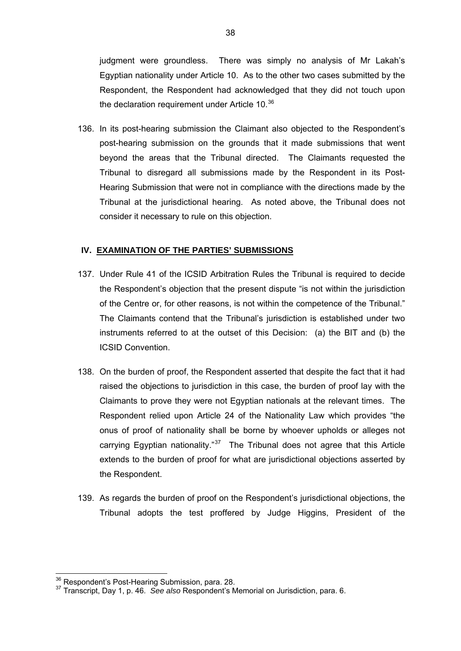<span id="page-37-0"></span>judgment were groundless. There was simply no analysis of Mr Lakah's Egyptian nationality under Article 10. As to the other two cases submitted by the Respondent, the Respondent had acknowledged that they did not touch upon the declaration requirement under Article 10.<sup>[36](#page-37-1)</sup>

136. In its post-hearing submission the Claimant also objected to the Respondent's post-hearing submission on the grounds that it made submissions that went beyond the areas that the Tribunal directed. The Claimants requested the Tribunal to disregard all submissions made by the Respondent in its Post-Hearing Submission that were not in compliance with the directions made by the Tribunal at the jurisdictional hearing. As noted above, the Tribunal does not consider it necessary to rule on this objection.

# **IV. EXAMINATION OF THE PARTIES' SUBMISSIONS**

- 137. Under Rule 41 of the ICSID Arbitration Rules the Tribunal is required to decide the Respondent's objection that the present dispute "is not within the jurisdiction of the Centre or, for other reasons, is not within the competence of the Tribunal." The Claimants contend that the Tribunal's jurisdiction is established under two instruments referred to at the outset of this Decision: (a) the BIT and (b) the ICSID Convention.
- 138. On the burden of proof, the Respondent asserted that despite the fact that it had raised the objections to jurisdiction in this case, the burden of proof lay with the Claimants to prove they were not Egyptian nationals at the relevant times. The Respondent relied upon Article 24 of the Nationality Law which provides "the onus of proof of nationality shall be borne by whoever upholds or alleges not carrying Egyptian nationality."<sup>[37](#page-37-2)</sup> The Tribunal does not agree that this Article extends to the burden of proof for what are jurisdictional objections asserted by the Respondent.
- 139. As regards the burden of proof on the Respondent's jurisdictional objections, the Tribunal adopts the test proffered by Judge Higgins, President of the

<sup>&</sup>lt;sup>36</sup> Respondent's Post-Hearing Submission, para. 28.

<span id="page-37-2"></span><span id="page-37-1"></span><sup>36</sup> Respondent's Post-Hearing Submission, para. 28. 37 Transcript, Day 1, p. 46. *See also* Respondent's Memorial on Jurisdiction, para. 6.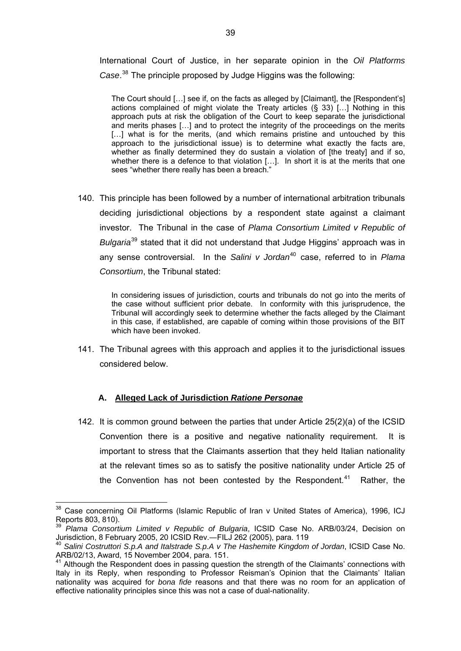<span id="page-38-0"></span>International Court of Justice, in her separate opinion in the *Oil Platforms Case*. [38](#page-38-1) The principle proposed by Judge Higgins was the following:

The Court should […] see if, on the facts as alleged by [Claimant], the [Respondent's] actions complained of might violate the Treaty articles  $(8, 33)$  [...] Nothing in this approach puts at risk the obligation of the Court to keep separate the jurisdictional and merits phases […] and to protect the integrity of the proceedings on the merits [...] what is for the merits, (and which remains pristine and untouched by this approach to the jurisdictional issue) is to determine what exactly the facts are, whether as finally determined they do sustain a violation of [the treaty] and if so, whether there is a defence to that violation [...]. In short it is at the merits that one sees "whether there really has been a breach."

140. This principle has been followed by a number of international arbitration tribunals deciding jurisdictional objections by a respondent state against a claimant investor. The Tribunal in the case of *Plama Consortium Limited v Republic of Bulgaria*[39](#page-38-2) stated that it did not understand that Judge Higgins' approach was in any sense controversial. In the *Salini v Jordan<sup>[40](#page-38-3)</sup>* case, referred to in *Plama Consortium*, the Tribunal stated:

In considering issues of jurisdiction, courts and tribunals do not go into the merits of the case without sufficient prior debate. In conformity with this jurisprudence, the Tribunal will accordingly seek to determine whether the facts alleged by the Claimant in this case, if established, are capable of coming within those provisions of the BIT which have been invoked.

141. The Tribunal agrees with this approach and applies it to the jurisdictional issues considered below.

# **A. Alleged Lack of Jurisdiction** *Ratione Personae*

 $\overline{a}$ 

142. It is common ground between the parties that under Article 25(2)(a) of the ICSID Convention there is a positive and negative nationality requirement. It is important to stress that the Claimants assertion that they held Italian nationality at the relevant times so as to satisfy the positive nationality under Article 25 of the Convention has not been contested by the Respondent.<sup>[41](#page-38-4)</sup> Rather, the

<span id="page-38-1"></span><sup>&</sup>lt;sup>38</sup> Case concerning Oil Platforms (Islamic Republic of Iran v United States of America), 1996, ICJ Reports 803, 810).

<span id="page-38-2"></span><sup>39</sup> *Plama Consortium Limited v Republic of Bulgaria*, ICSID Case No. ARB/03/24, Decision on Jurisdiction, 8 February 2005, 20 ICSID Rev.―FILJ 262 (2005), para. 119 40 *Salini Costruttori S.p.A and Italstrade S.p.A v The Hashemite Kingdom of Jordan*, ICSID Case No.

<span id="page-38-3"></span>ARB/02/13, Award, 15 November 2004, para. 151.

<span id="page-38-4"></span><sup>41</sup> Although the Respondent does in passing question the strength of the Claimants' connections with Italy in its Reply, when responding to Professor Reisman's Opinion that the Claimants' Italian nationality was acquired for *bona fide* reasons and that there was no room for an application of effective nationality principles since this was not a case of dual-nationality.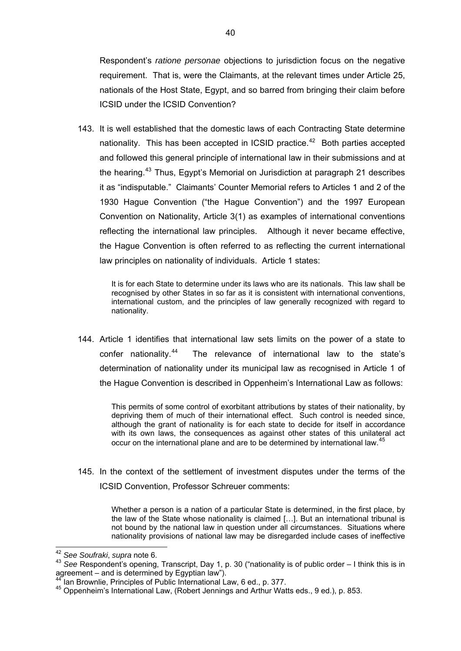Respondent's *ratione personae* objections to jurisdiction focus on the negative requirement. That is, were the Claimants, at the relevant times under Article 25, nationals of the Host State, Egypt, and so barred from bringing their claim before ICSID under the ICSID Convention?

143. It is well established that the domestic laws of each Contracting State determine nationality. This has been accepted in ICSID practice.<sup>[42](#page-39-0)</sup> Both parties accepted and followed this general principle of international law in their submissions and at the hearing.<sup>[43](#page-39-1)</sup> Thus, Egypt's Memorial on Jurisdiction at paragraph 21 describes it as "indisputable." Claimants' Counter Memorial refers to Articles 1 and 2 of the 1930 Hague Convention ("the Hague Convention") and the 1997 European Convention on Nationality, Article 3(1) as examples of international conventions reflecting the international law principles. Although it never became effective, the Hague Convention is often referred to as reflecting the current international law principles on nationality of individuals. Article 1 states:

It is for each State to determine under its laws who are its nationals. This law shall be recognised by other States in so far as it is consistent with international conventions, international custom, and the principles of law generally recognized with regard to nationality.

144. Article 1 identifies that international law sets limits on the power of a state to confer nationality.<sup>[44](#page-39-2)</sup> The relevance of international law to the state's determination of nationality under its municipal law as recognised in Article 1 of the Hague Convention is described in Oppenheim's International Law as follows:

This permits of some control of exorbitant attributions by states of their nationality, by depriving them of much of their international effect. Such control is needed since, although the grant of nationality is for each state to decide for itself in accordance with its own laws, the consequences as against other states of this unilateral act occur on the international plane and are to be determined by international law.<sup>[45](#page-39-3)</sup>

145. In the context of the settlement of investment disputes under the terms of the ICSID Convention, Professor Schreuer comments:

Whether a person is a nation of a particular State is determined, in the first place, by the law of the State whose nationality is claimed […]. But an international tribunal is not bound by the national law in question under all circumstances. Situations where nationality provisions of national law may be disregarded include cases of ineffective

1

<sup>42</sup> *See Soufraki*, *supra* note 6.

<span id="page-39-1"></span><span id="page-39-0"></span><sup>43</sup> *See* Respondent's opening, Transcript, Day 1, p. 30 ("nationality is of public order – I think this is in agreement – and is determined by Egyptian law").<br><sup>44</sup> Ian Brownlie, Principles of Public International Law, 6 ed., p. 377.

<span id="page-39-3"></span><span id="page-39-2"></span><sup>45</sup> Oppenheim's International Law, (Robert Jennings and Arthur Watts eds., 9 ed.), p. 853.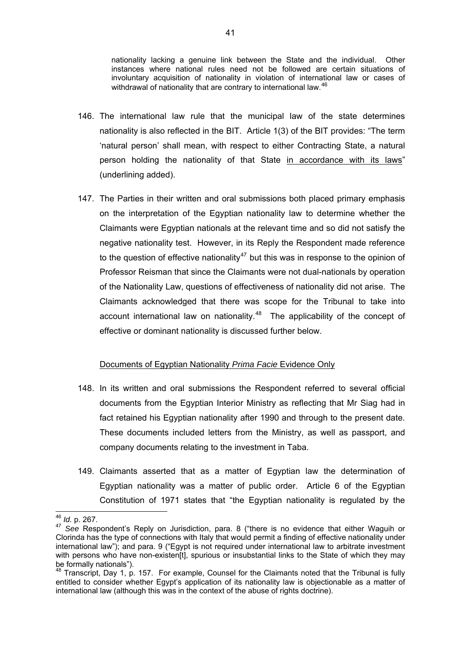<span id="page-40-0"></span>nationality lacking a genuine link between the State and the individual. Other instances where national rules need not be followed are certain situations of involuntary acquisition of nationality in violation of international law or cases of withdrawal of nationality that are contrary to international law.<sup>[46](#page-40-1)</sup>

- 146. The international law rule that the municipal law of the state determines nationality is also reflected in the BIT. Article 1(3) of the BIT provides: "The term 'natural person' shall mean, with respect to either Contracting State, a natural person holding the nationality of that State in accordance with its laws" (underlining added).
- 147. The Parties in their written and oral submissions both placed primary emphasis on the interpretation of the Egyptian nationality law to determine whether the Claimants were Egyptian nationals at the relevant time and so did not satisfy the negative nationality test. However, in its Reply the Respondent made reference to the question of effective nationality<sup>[47](#page-40-2)</sup> but this was in response to the opinion of Professor Reisman that since the Claimants were not dual-nationals by operation of the Nationality Law, questions of effectiveness of nationality did not arise. The Claimants acknowledged that there was scope for the Tribunal to take into account international law on nationality.<sup>[48](#page-40-3)</sup> The applicability of the concept of effective or dominant nationality is discussed further below.

# Documents of Egyptian Nationality *Prima Facie* Evidence Only

- 148. In its written and oral submissions the Respondent referred to several official documents from the Egyptian Interior Ministry as reflecting that Mr Siag had in fact retained his Egyptian nationality after 1990 and through to the present date. These documents included letters from the Ministry, as well as passport, and company documents relating to the investment in Taba.
- 149. Claimants asserted that as a matter of Egyptian law the determination of Egyptian nationality was a matter of public order. Article 6 of the Egyptian Constitution of 1971 states that "the Egyptian nationality is regulated by the

<span id="page-40-1"></span> $46$  *Id.* p. 267.

<span id="page-40-2"></span><sup>&</sup>lt;sup>47</sup> See Respondent's Reply on Jurisdiction, para. 8 ("there is no evidence that either Waguih or Clorinda has the type of connections with Italy that would permit a finding of effective nationality under international law"); and para. 9 ("Egypt is not required under international law to arbitrate investment with persons who have non-existen[t], spurious or insubstantial links to the State of which they may be formally nationals").

<span id="page-40-3"></span> $48$  Transcript, Day 1, p. 157. For example, Counsel for the Claimants noted that the Tribunal is fully entitled to consider whether Egypt's application of its nationality law is objectionable as a matter of international law (although this was in the context of the abuse of rights doctrine).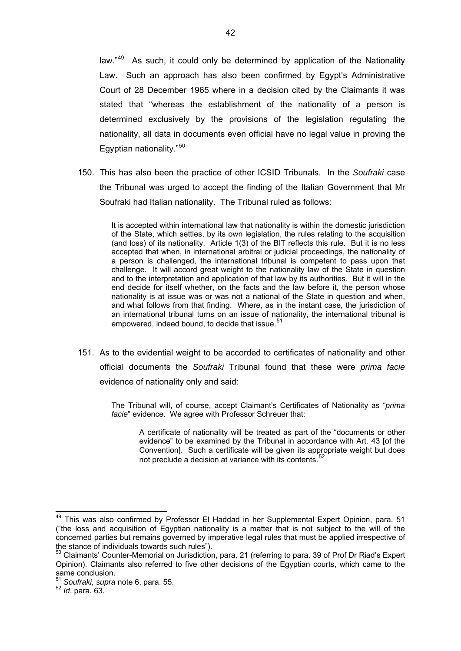law."<sup>[49](#page-41-0)</sup> As such, it could only be determined by application of the Nationality Law. Such an approach has also been confirmed by Egypt's Administrative Court of 28 December 1965 where in a decision cited by the Claimants it was stated that "whereas the establishment of the nationality of a person is determined exclusively by the provisions of the legislation regulating the nationality, all data in documents even official have no legal value in proving the Egyptian nationality."[50](#page-41-1)

150. This has also been the practice of other ICSID Tribunals. In the *Soufraki* case the Tribunal was urged to accept the finding of the Italian Government that Mr Soufraki had Italian nationality. The Tribunal ruled as follows:

> It is accepted within international law that nationality is within the domestic jurisdiction of the State, which settles, by its own legislation, the rules relating to the acquisition (and loss) of its nationality. Article 1(3) of the BIT reflects this rule. But it is no less accepted that when, in international arbitral or judicial proceedings, the nationality of a person is challenged, the international tribunal is competent to pass upon that challenge. It will accord great weight to the nationality law of the State in question and to the interpretation and application of that law by its authorities. But it will in the end decide for itself whether, on the facts and the law before it, the person whose nationality is at issue was or was not a national of the State in question and when, and what follows from that finding. Where, as in the instant case, the jurisdiction of an international tribunal turns on an issue of nationality, the international tribunal is empowered, indeed bound, to decide that issue.<sup>[51](#page-41-2)</sup>

151. As to the evidential weight to be accorded to certificates of nationality and other official documents the *Soufraki* Tribunal found that these were *prima facie*  evidence of nationality only and said:

> The Tribunal will, of course, accept Claimant's Certificates of Nationality as "*prima facie*" evidence. We agree with Professor Schreuer that:

A certificate of nationality will be treated as part of the "documents or other evidence" to be examined by the Tribunal in accordance with Art. 43 [of the Convention]. Such a certificate will be given its appropriate weight but does not preclude a decision at variance with its contents.<sup>[52](#page-41-3)</sup>

<span id="page-41-0"></span><sup>1</sup> <sup>49</sup> This was also confirmed by Professor El Haddad in her Supplemental Expert Opinion, para. 51 ("the loss and acquisition of Egyptian nationality is a matter that is not subject to the will of the concerned parties but remains governed by imperative legal rules that must be applied irrespective of the stance of individuals towards such rules").

<span id="page-41-1"></span><sup>50</sup> Claimants' Counter-Memorial on Jurisdiction, para. 21 (referring to para. 39 of Prof Dr Riad's Expert Opinion). Claimants also referred to five other decisions of the Egyptian courts, which came to the same conclusion.

<span id="page-41-3"></span><span id="page-41-2"></span><sup>51</sup> *Soufraki, supra* note 6, para. 55. 52 *Id*. para. 63.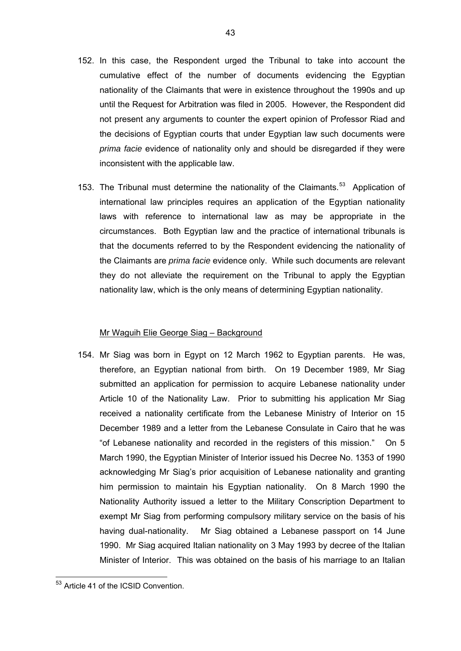- <span id="page-42-0"></span>152. In this case, the Respondent urged the Tribunal to take into account the cumulative effect of the number of documents evidencing the Egyptian nationality of the Claimants that were in existence throughout the 1990s and up until the Request for Arbitration was filed in 2005. However, the Respondent did not present any arguments to counter the expert opinion of Professor Riad and the decisions of Egyptian courts that under Egyptian law such documents were *prima facie* evidence of nationality only and should be disregarded if they were inconsistent with the applicable law.
- 1[53](#page-42-1). The Tribunal must determine the nationality of the Claimants.<sup>53</sup> Application of international law principles requires an application of the Egyptian nationality laws with reference to international law as may be appropriate in the circumstances. Both Egyptian law and the practice of international tribunals is that the documents referred to by the Respondent evidencing the nationality of the Claimants are *prima facie* evidence only. While such documents are relevant they do not alleviate the requirement on the Tribunal to apply the Egyptian nationality law, which is the only means of determining Egyptian nationality.

# Mr Waguih Elie George Siag – Background

154. Mr Siag was born in Egypt on 12 March 1962 to Egyptian parents. He was, therefore, an Egyptian national from birth. On 19 December 1989, Mr Siag submitted an application for permission to acquire Lebanese nationality under Article 10 of the Nationality Law. Prior to submitting his application Mr Siag received a nationality certificate from the Lebanese Ministry of Interior on 15 December 1989 and a letter from the Lebanese Consulate in Cairo that he was "of Lebanese nationality and recorded in the registers of this mission." On 5 March 1990, the Egyptian Minister of Interior issued his Decree No. 1353 of 1990 acknowledging Mr Siag's prior acquisition of Lebanese nationality and granting him permission to maintain his Egyptian nationality. On 8 March 1990 the Nationality Authority issued a letter to the Military Conscription Department to exempt Mr Siag from performing compulsory military service on the basis of his having dual-nationality. Mr Siag obtained a Lebanese passport on 14 June 1990. Mr Siag acquired Italian nationality on 3 May 1993 by decree of the Italian Minister of Interior. This was obtained on the basis of his marriage to an Italian

 $\overline{a}$ 

<span id="page-42-1"></span><sup>53</sup> Article 41 of the ICSID Convention.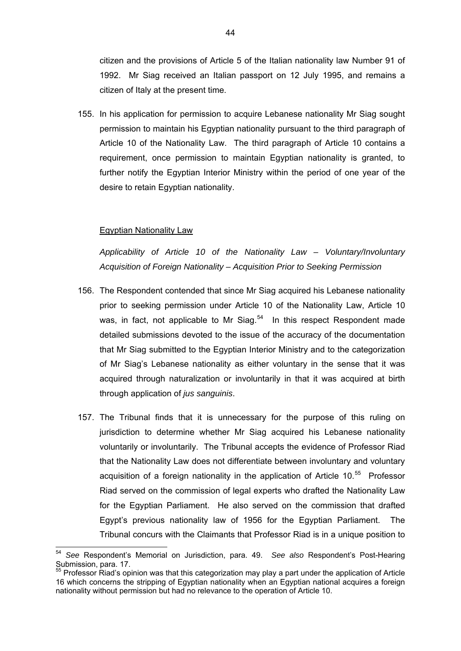<span id="page-43-0"></span>citizen and the provisions of Article 5 of the Italian nationality law Number 91 of 1992. Mr Siag received an Italian passport on 12 July 1995, and remains a citizen of Italy at the present time.

155. In his application for permission to acquire Lebanese nationality Mr Siag sought permission to maintain his Egyptian nationality pursuant to the third paragraph of Article 10 of the Nationality Law. The third paragraph of Article 10 contains a requirement, once permission to maintain Egyptian nationality is granted, to further notify the Egyptian Interior Ministry within the period of one year of the desire to retain Egyptian nationality.

### Egyptian Nationality Law

1

*Applicability of Article 10 of the Nationality Law – Voluntary/Involuntary Acquisition of Foreign Nationality – Acquisition Prior to Seeking Permission* 

- 156. The Respondent contended that since Mr Siag acquired his Lebanese nationality prior to seeking permission under Article 10 of the Nationality Law, Article 10 was, in fact, not applicable to Mr Siag.<sup>[54](#page-43-1)</sup> In this respect Respondent made detailed submissions devoted to the issue of the accuracy of the documentation that Mr Siag submitted to the Egyptian Interior Ministry and to the categorization of Mr Siag's Lebanese nationality as either voluntary in the sense that it was acquired through naturalization or involuntarily in that it was acquired at birth through application of *jus sanguinis*.
- 157. The Tribunal finds that it is unnecessary for the purpose of this ruling on jurisdiction to determine whether Mr Siag acquired his Lebanese nationality voluntarily or involuntarily. The Tribunal accepts the evidence of Professor Riad that the Nationality Law does not differentiate between involuntary and voluntary acquisition of a foreign nationality in the application of Article  $10^{55}$  $10^{55}$  $10^{55}$  Professor Riad served on the commission of legal experts who drafted the Nationality Law for the Egyptian Parliament. He also served on the commission that drafted Egypt's previous nationality law of 1956 for the Egyptian Parliament. The Tribunal concurs with the Claimants that Professor Riad is in a unique position to

<span id="page-43-1"></span><sup>54</sup> *See* Respondent's Memorial on Jurisdiction, para. 49. *See also* Respondent's Post-Hearing Submission, para. 17.

<span id="page-43-2"></span><sup>55</sup> Professor Riad's opinion was that this categorization may play a part under the application of Article 16 which concerns the stripping of Egyptian nationality when an Egyptian national acquires a foreign nationality without permission but had no relevance to the operation of Article 10.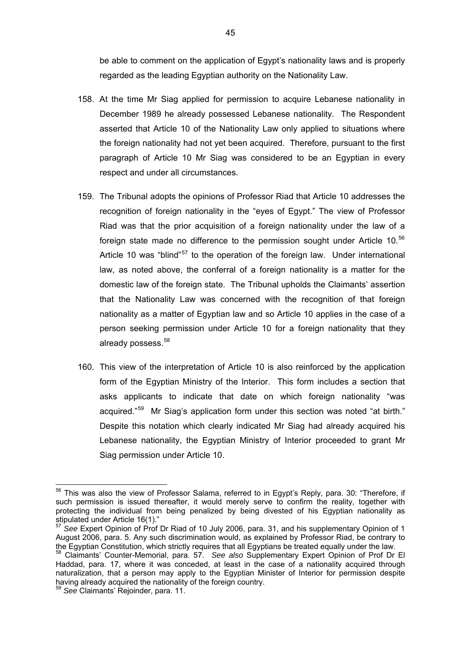be able to comment on the application of Egypt's nationality laws and is properly regarded as the leading Egyptian authority on the Nationality Law.

- 158. At the time Mr Siag applied for permission to acquire Lebanese nationality in December 1989 he already possessed Lebanese nationality. The Respondent asserted that Article 10 of the Nationality Law only applied to situations where the foreign nationality had not yet been acquired. Therefore, pursuant to the first paragraph of Article 10 Mr Siag was considered to be an Egyptian in every respect and under all circumstances.
- 159. The Tribunal adopts the opinions of Professor Riad that Article 10 addresses the recognition of foreign nationality in the "eyes of Egypt." The view of Professor Riad was that the prior acquisition of a foreign nationality under the law of a foreign state made no difference to the permission sought under Article 10.<sup>[56](#page-44-0)</sup> Article 10 was "blind"<sup>[57](#page-44-1)</sup> to the operation of the foreign law. Under international law, as noted above, the conferral of a foreign nationality is a matter for the domestic law of the foreign state. The Tribunal upholds the Claimants' assertion that the Nationality Law was concerned with the recognition of that foreign nationality as a matter of Egyptian law and so Article 10 applies in the case of a person seeking permission under Article 10 for a foreign nationality that they already possess.<sup>[58](#page-44-2)</sup>
- 160. This view of the interpretation of Article 10 is also reinforced by the application form of the Egyptian Ministry of the Interior. This form includes a section that asks applicants to indicate that date on which foreign nationality "was acquired."<sup>[59](#page-44-3)</sup> Mr Siag's application form under this section was noted "at birth." Despite this notation which clearly indicated Mr Siag had already acquired his Lebanese nationality, the Egyptian Ministry of Interior proceeded to grant Mr Siag permission under Article 10.

<span id="page-44-0"></span><sup>1</sup>  $56$  This was also the view of Professor Salama, referred to in Egypt's Reply, para. 30: "Therefore, if such permission is issued thereafter, it would merely serve to confirm the reality, together with protecting the individual from being penalized by being divested of his Egyptian nationality as stipulated under Article 16(1)."

<span id="page-44-1"></span><sup>57</sup> *See* Expert Opinion of Prof Dr Riad of 10 July 2006, para. 31, and his supplementary Opinion of 1 August 2006, para. 5. Any such discrimination would, as explained by Professor Riad, be contrary to the Eqyptian Constitution, which strictly requires that all Eqyptians be treated equally under the law.

<span id="page-44-2"></span>the Egyptian Counter-Memorial, para. 57. See also Supplementary Expert Opinion of Prof Dr El Haddad, para. 17, where it was conceded, at least in the case of a nationality acquired through naturalization, that a person may apply to the Egyptian Minister of Interior for permission despite having already acquired the nationality of the foreign country. 59 *See* Claimants' Rejoinder, para. 11.

<span id="page-44-3"></span>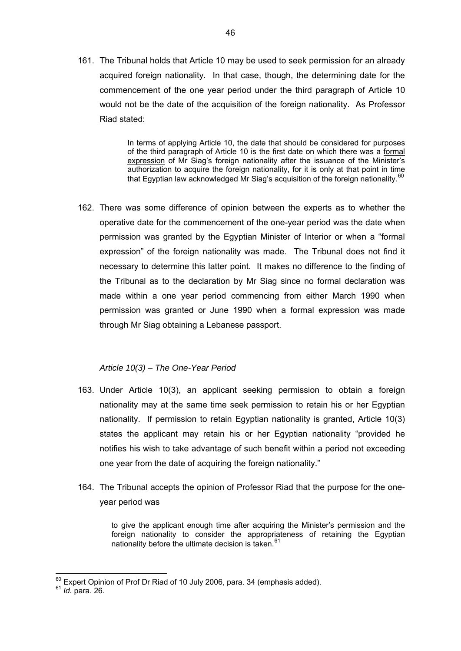<span id="page-45-0"></span>161. The Tribunal holds that Article 10 may be used to seek permission for an already acquired foreign nationality. In that case, though, the determining date for the commencement of the one year period under the third paragraph of Article 10 would not be the date of the acquisition of the foreign nationality. As Professor Riad stated:

> In terms of applying Article 10, the date that should be considered for purposes of the third paragraph of Article 10 is the first date on which there was a formal expression of Mr Siag's foreign nationality after the issuance of the Minister's authorization to acquire the foreign nationality, for it is only at that point in time that Egyptian law acknowledged Mr Siag's acquisition of the foreign nationality.<sup>[60](#page-45-1)</sup>

162. There was some difference of opinion between the experts as to whether the operative date for the commencement of the one-year period was the date when permission was granted by the Egyptian Minister of Interior or when a "formal expression" of the foreign nationality was made. The Tribunal does not find it necessary to determine this latter point. It makes no difference to the finding of the Tribunal as to the declaration by Mr Siag since no formal declaration was made within a one year period commencing from either March 1990 when permission was granted or June 1990 when a formal expression was made through Mr Siag obtaining a Lebanese passport.

# *Article 10(3) – The One-Year Period*

- 163. Under Article 10(3), an applicant seeking permission to obtain a foreign nationality may at the same time seek permission to retain his or her Egyptian nationality. If permission to retain Egyptian nationality is granted, Article 10(3) states the applicant may retain his or her Egyptian nationality "provided he notifies his wish to take advantage of such benefit within a period not exceeding one year from the date of acquiring the foreign nationality."
- 164. The Tribunal accepts the opinion of Professor Riad that the purpose for the oneyear period was

to give the applicant enough time after acquiring the Minister's permission and the foreign nationality to consider the appropriateness of retaining the Egyptian nationality before the ultimate decision is taken.<sup>[61](#page-45-2)</sup>

1

<span id="page-45-1"></span><sup>&</sup>lt;sup>60</sup> Expert Opinion of Prof Dr Riad of 10 July 2006, para. 34 (emphasis added).<br><sup>61</sup> *Id.* para. 26.

<span id="page-45-2"></span>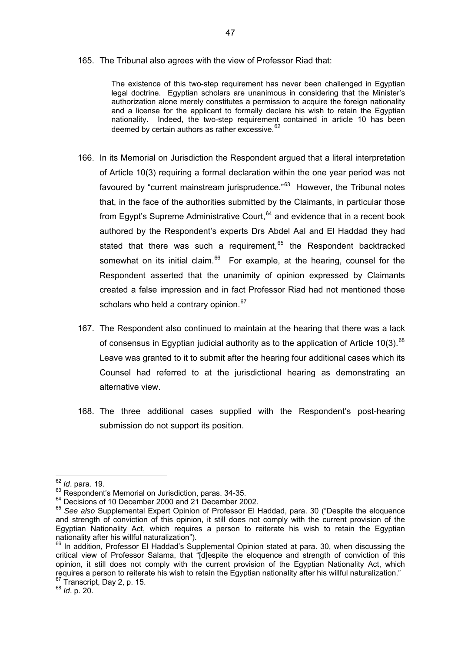#### 165. The Tribunal also agrees with the view of Professor Riad that:

The existence of this two-step requirement has never been challenged in Egyptian legal doctrine. Egyptian scholars are unanimous in considering that the Minister's authorization alone merely constitutes a permission to acquire the foreign nationality and a license for the applicant to formally declare his wish to retain the Egyptian nationality. Indeed, the two-step requirement contained in article 10 has been deemed by certain authors as rather excessive.<sup>[62](#page-46-0)</sup>

- 166. In its Memorial on Jurisdiction the Respondent argued that a literal interpretation of Article 10(3) requiring a formal declaration within the one year period was not favoured by "current mainstream jurisprudence."<sup>[63](#page-46-1)</sup> However, the Tribunal notes that, in the face of the authorities submitted by the Claimants, in particular those from Egypt's Supreme Administrative Court.<sup>[64](#page-46-2)</sup> and evidence that in a recent book authored by the Respondent's experts Drs Abdel Aal and El Haddad they had stated that there was such a requirement,  $65$  the Respondent backtracked somewhat on its initial claim.<sup>[66](#page-46-4)</sup> For example, at the hearing, counsel for the Respondent asserted that the unanimity of opinion expressed by Claimants created a false impression and in fact Professor Riad had not mentioned those scholars who held a contrary opinion.<sup>[67](#page-46-5)</sup>
- 167. The Respondent also continued to maintain at the hearing that there was a lack of consensus in Egyptian judicial authority as to the application of Article 10(3).<sup>[68](#page-46-6)</sup> Leave was granted to it to submit after the hearing four additional cases which its Counsel had referred to at the jurisdictional hearing as demonstrating an alternative view.
- 168. The three additional cases supplied with the Respondent's post-hearing submission do not support its position.

<span id="page-46-0"></span> $62$  *ld.* para. 19.

<span id="page-46-1"></span><sup>&</sup>lt;sup>63</sup> Respondent's Memorial on Jurisdiction, paras. 34-35.<br><sup>64</sup> Decisions of 10 December 2000 and 21 December 2002.

<span id="page-46-3"></span><span id="page-46-2"></span><sup>65</sup> *See also* Supplemental Expert Opinion of Professor El Haddad, para. 30 ("Despite the eloquence and strength of conviction of this opinion, it still does not comply with the current provision of the Egyptian Nationality Act, which requires a person to reiterate his wish to retain the Egyptian nationality after his willful naturalization").

<span id="page-46-4"></span><sup>&</sup>lt;sup>66</sup> In addition, Professor El Haddad's Supplemental Opinion stated at para. 30, when discussing the critical view of Professor Salama, that "[d]espite the eloquence and strength of conviction of this opinion, it still does not comply with the current provision of the Egyptian Nationality Act, which requires a person to reiterate his wish to retain the Egyptian nationality after his willful naturalization." 67 Transcript, Day 2, p. 15. 68 *Id*. p. 20.

<span id="page-46-5"></span>

<span id="page-46-6"></span>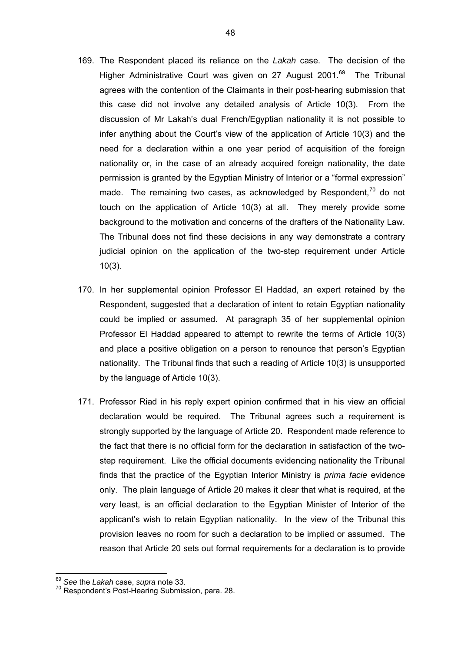- 169. The Respondent placed its reliance on the *Lakah* case. The decision of the Higher Administrative Court was given on 27 August 2001.<sup>[69](#page-47-0)</sup> The Tribunal agrees with the contention of the Claimants in their post-hearing submission that this case did not involve any detailed analysis of Article 10(3). From the discussion of Mr Lakah's dual French/Egyptian nationality it is not possible to infer anything about the Court's view of the application of Article 10(3) and the need for a declaration within a one year period of acquisition of the foreign nationality or, in the case of an already acquired foreign nationality, the date permission is granted by the Egyptian Ministry of Interior or a "formal expression" made. The remaining two cases, as acknowledged by Respondent, $70$  do not touch on the application of Article 10(3) at all. They merely provide some background to the motivation and concerns of the drafters of the Nationality Law. The Tribunal does not find these decisions in any way demonstrate a contrary judicial opinion on the application of the two-step requirement under Article 10(3).
- 170. In her supplemental opinion Professor El Haddad, an expert retained by the Respondent, suggested that a declaration of intent to retain Egyptian nationality could be implied or assumed. At paragraph 35 of her supplemental opinion Professor El Haddad appeared to attempt to rewrite the terms of Article 10(3) and place a positive obligation on a person to renounce that person's Egyptian nationality. The Tribunal finds that such a reading of Article 10(3) is unsupported by the language of Article 10(3).
- 171. Professor Riad in his reply expert opinion confirmed that in his view an official declaration would be required. The Tribunal agrees such a requirement is strongly supported by the language of Article 20. Respondent made reference to the fact that there is no official form for the declaration in satisfaction of the twostep requirement. Like the official documents evidencing nationality the Tribunal finds that the practice of the Egyptian Interior Ministry is *prima facie* evidence only. The plain language of Article 20 makes it clear that what is required, at the very least, is an official declaration to the Egyptian Minister of Interior of the applicant's wish to retain Egyptian nationality. In the view of the Tribunal this provision leaves no room for such a declaration to be implied or assumed. The reason that Article 20 sets out formal requirements for a declaration is to provide

1

<sup>69</sup> *See* the *Lakah* case, *supra* note 33.

<span id="page-47-1"></span><span id="page-47-0"></span><sup>70</sup> Respondent's Post-Hearing Submission, para. 28.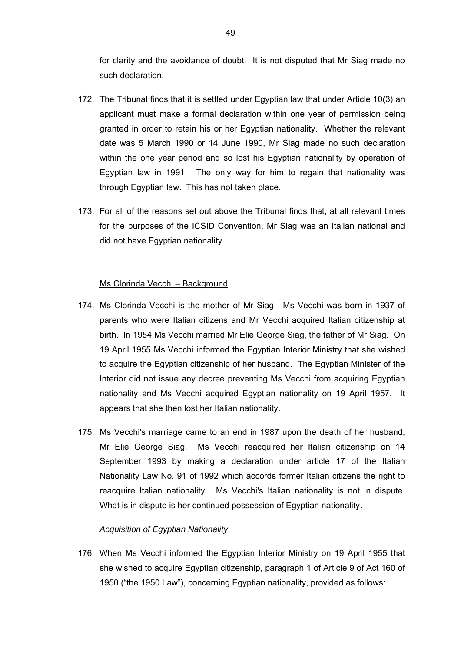<span id="page-48-0"></span>for clarity and the avoidance of doubt. It is not disputed that Mr Siag made no such declaration.

- 172. The Tribunal finds that it is settled under Egyptian law that under Article 10(3) an applicant must make a formal declaration within one year of permission being granted in order to retain his or her Egyptian nationality. Whether the relevant date was 5 March 1990 or 14 June 1990, Mr Siag made no such declaration within the one year period and so lost his Egyptian nationality by operation of Egyptian law in 1991. The only way for him to regain that nationality was through Egyptian law. This has not taken place.
- 173. For all of the reasons set out above the Tribunal finds that, at all relevant times for the purposes of the ICSID Convention, Mr Siag was an Italian national and did not have Egyptian nationality.

# Ms Clorinda Vecchi – Background

- 174. Ms Clorinda Vecchi is the mother of Mr Siag. Ms Vecchi was born in 1937 of parents who were Italian citizens and Mr Vecchi acquired Italian citizenship at birth. In 1954 Ms Vecchi married Mr Elie George Siag, the father of Mr Siag. On 19 April 1955 Ms Vecchi informed the Egyptian Interior Ministry that she wished to acquire the Egyptian citizenship of her husband. The Egyptian Minister of the Interior did not issue any decree preventing Ms Vecchi from acquiring Egyptian nationality and Ms Vecchi acquired Egyptian nationality on 19 April 1957. It appears that she then lost her Italian nationality.
- 175. Ms Vecchi's marriage came to an end in 1987 upon the death of her husband, Mr Elie George Siag. Ms Vecchi reacquired her Italian citizenship on 14 September 1993 by making a declaration under article 17 of the Italian Nationality Law No. 91 of 1992 which accords former Italian citizens the right to reacquire Italian nationality. Ms Vecchi's Italian nationality is not in dispute. What is in dispute is her continued possession of Egyptian nationality.

#### *Acquisition of Egyptian Nationality*

176. When Ms Vecchi informed the Egyptian Interior Ministry on 19 April 1955 that she wished to acquire Egyptian citizenship, paragraph 1 of Article 9 of Act 160 of 1950 ("the 1950 Law"), concerning Egyptian nationality, provided as follows: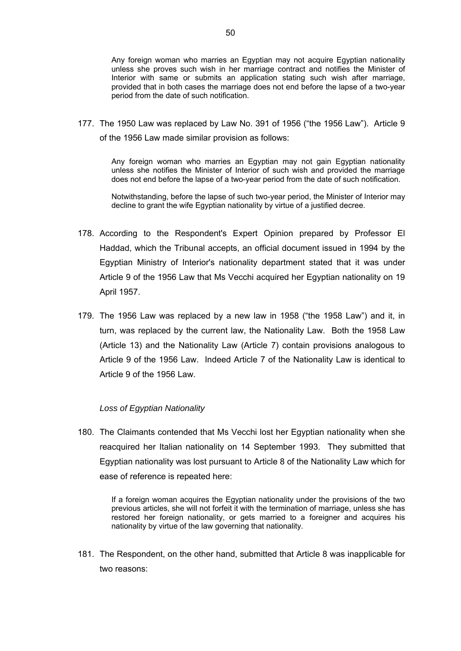<span id="page-49-0"></span>Any foreign woman who marries an Egyptian may not acquire Egyptian nationality unless she proves such wish in her marriage contract and notifies the Minister of Interior with same or submits an application stating such wish after marriage, provided that in both cases the marriage does not end before the lapse of a two-year period from the date of such notification.

177. The 1950 Law was replaced by Law No. 391 of 1956 ("the 1956 Law"). Article 9 of the 1956 Law made similar provision as follows:

Any foreign woman who marries an Egyptian may not gain Egyptian nationality unless she notifies the Minister of Interior of such wish and provided the marriage does not end before the lapse of a two-year period from the date of such notification.

Notwithstanding, before the lapse of such two-year period, the Minister of Interior may decline to grant the wife Egyptian nationality by virtue of a justified decree.

- 178. According to the Respondent's Expert Opinion prepared by Professor El Haddad, which the Tribunal accepts, an official document issued in 1994 by the Egyptian Ministry of Interior's nationality department stated that it was under Article 9 of the 1956 Law that Ms Vecchi acquired her Egyptian nationality on 19 April 1957.
- 179. The 1956 Law was replaced by a new law in 1958 ("the 1958 Law") and it, in turn, was replaced by the current law, the Nationality Law. Both the 1958 Law (Article 13) and the Nationality Law (Article 7) contain provisions analogous to Article 9 of the 1956 Law. Indeed Article 7 of the Nationality Law is identical to Article 9 of the 1956 Law.

#### *Loss of Egyptian Nationality*

180. The Claimants contended that Ms Vecchi lost her Egyptian nationality when she reacquired her Italian nationality on 14 September 1993. They submitted that Egyptian nationality was lost pursuant to Article 8 of the Nationality Law which for ease of reference is repeated here:

> If a foreign woman acquires the Egyptian nationality under the provisions of the two previous articles, she will not forfeit it with the termination of marriage, unless she has restored her foreign nationality, or gets married to a foreigner and acquires his nationality by virtue of the law governing that nationality.

181. The Respondent, on the other hand, submitted that Article 8 was inapplicable for two reasons: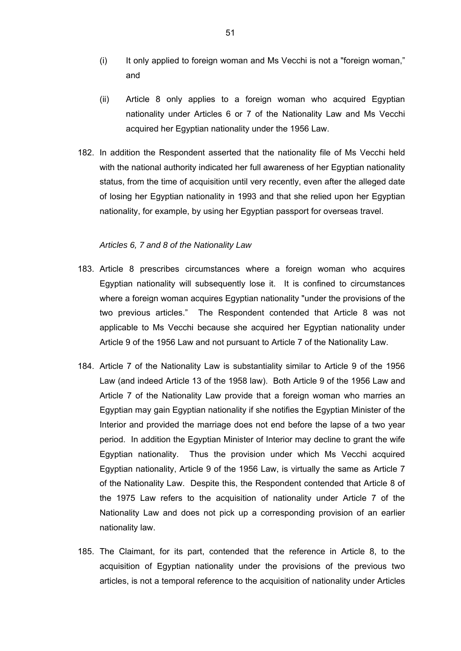- <span id="page-50-0"></span>(i) It only applied to foreign woman and Ms Vecchi is not a "foreign woman," and
- (ii) Article 8 only applies to a foreign woman who acquired Egyptian nationality under Articles 6 or 7 of the Nationality Law and Ms Vecchi acquired her Egyptian nationality under the 1956 Law.
- 182. In addition the Respondent asserted that the nationality file of Ms Vecchi held with the national authority indicated her full awareness of her Egyptian nationality status, from the time of acquisition until very recently, even after the alleged date of losing her Egyptian nationality in 1993 and that she relied upon her Egyptian nationality, for example, by using her Egyptian passport for overseas travel.

#### *Articles 6, 7 and 8 of the Nationality Law*

- 183. Article 8 prescribes circumstances where a foreign woman who acquires Egyptian nationality will subsequently lose it. It is confined to circumstances where a foreign woman acquires Egyptian nationality "under the provisions of the two previous articles." The Respondent contended that Article 8 was not applicable to Ms Vecchi because she acquired her Egyptian nationality under Article 9 of the 1956 Law and not pursuant to Article 7 of the Nationality Law.
- 184. Article 7 of the Nationality Law is substantiality similar to Article 9 of the 1956 Law (and indeed Article 13 of the 1958 law). Both Article 9 of the 1956 Law and Article 7 of the Nationality Law provide that a foreign woman who marries an Egyptian may gain Egyptian nationality if she notifies the Egyptian Minister of the Interior and provided the marriage does not end before the lapse of a two year period. In addition the Egyptian Minister of Interior may decline to grant the wife Egyptian nationality. Thus the provision under which Ms Vecchi acquired Egyptian nationality, Article 9 of the 1956 Law, is virtually the same as Article 7 of the Nationality Law. Despite this, the Respondent contended that Article 8 of the 1975 Law refers to the acquisition of nationality under Article 7 of the Nationality Law and does not pick up a corresponding provision of an earlier nationality law.
- 185. The Claimant, for its part, contended that the reference in Article 8, to the acquisition of Egyptian nationality under the provisions of the previous two articles, is not a temporal reference to the acquisition of nationality under Articles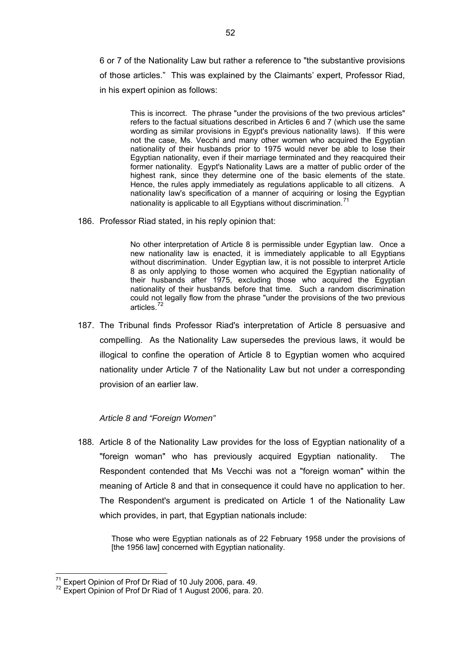<span id="page-51-0"></span>6 or 7 of the Nationality Law but rather a reference to "the substantive provisions of those articles." This was explained by the Claimants' expert, Professor Riad, in his expert opinion as follows:

This is incorrect. The phrase "under the provisions of the two previous articles" refers to the factual situations described in Articles 6 and 7 (which use the same wording as similar provisions in Egypt's previous nationality laws). If this were not the case, Ms. Vecchi and many other women who acquired the Egyptian nationality of their husbands prior to 1975 would never be able to lose their Egyptian nationality, even if their marriage terminated and they reacquired their former nationality. Egypt's Nationality Laws are a matter of public order of the highest rank, since they determine one of the basic elements of the state. Hence, the rules apply immediately as regulations applicable to all citizens. A nationality law's specification of a manner of acquiring or losing the Egyptian nationality is applicable to all Egyptians without discrimination.<sup>[71](#page-51-1)</sup>

186. Professor Riad stated, in his reply opinion that:

No other interpretation of Article 8 is permissible under Egyptian law. Once a new nationality law is enacted, it is immediately applicable to all Egyptians without discrimination. Under Egyptian law, it is not possible to interpret Article 8 as only applying to those women who acquired the Egyptian nationality of their husbands after 1975, excluding those who acquired the Egyptian nationality of their husbands before that time. Such a random discrimination could not legally flow from the phrase "under the provisions of the two previous articles.[72](#page-51-2)

187. The Tribunal finds Professor Riad's interpretation of Article 8 persuasive and compelling. As the Nationality Law supersedes the previous laws, it would be illogical to confine the operation of Article 8 to Egyptian women who acquired nationality under Article 7 of the Nationality Law but not under a corresponding provision of an earlier law.

*Article 8 and "Foreign Women"* 

188. Article 8 of the Nationality Law provides for the loss of Egyptian nationality of a "foreign woman" who has previously acquired Egyptian nationality. The Respondent contended that Ms Vecchi was not a "foreign woman" within the meaning of Article 8 and that in consequence it could have no application to her. The Respondent's argument is predicated on Article 1 of the Nationality Law which provides, in part, that Egyptian nationals include:

> Those who were Egyptian nationals as of 22 February 1958 under the provisions of [the 1956 law] concerned with Egyptian nationality.

<span id="page-51-1"></span><sup>&</sup>lt;sup>71</sup> Expert Opinion of Prof Dr Riad of 10 July 2006, para. 49.

<span id="page-51-2"></span><sup>&</sup>lt;sup>72</sup> Expert Opinion of Prof Dr Riad of 1 August 2006, para. 20.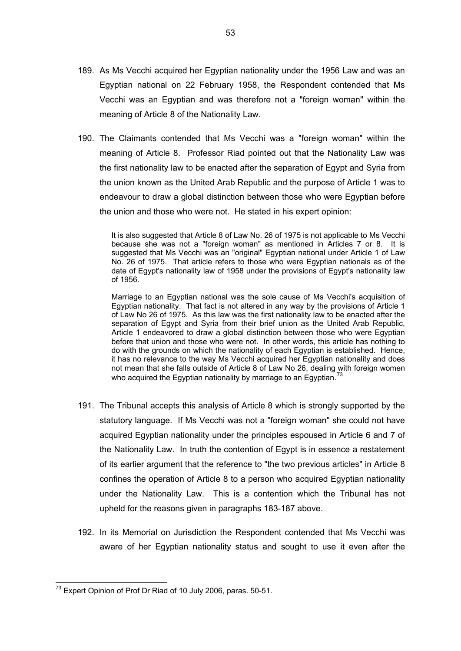- 189. As Ms Vecchi acquired her Egyptian nationality under the 1956 Law and was an Egyptian national on 22 February 1958, the Respondent contended that Ms Vecchi was an Egyptian and was therefore not a "foreign woman" within the meaning of Article 8 of the Nationality Law.
- 190. The Claimants contended that Ms Vecchi was a "foreign woman" within the meaning of Article 8. Professor Riad pointed out that the Nationality Law was the first nationality law to be enacted after the separation of Egypt and Syria from the union known as the United Arab Republic and the purpose of Article 1 was to endeavour to draw a global distinction between those who were Egyptian before the union and those who were not. He stated in his expert opinion:

It is also suggested that Article 8 of Law No. 26 of 1975 is not applicable to Ms Vecchi because she was not a "foreign woman" as mentioned in Articles 7 or 8. It is suggested that Ms Vecchi was an "original" Egyptian national under Article 1 of Law No. 26 of 1975. That article refers to those who were Egyptian nationals as of the date of Egypt's nationality law of 1958 under the provisions of Egypt's nationality law of 1956.

Marriage to an Egyptian national was the sole cause of Ms Vecchi's acquisition of Egyptian nationality. That fact is not altered in any way by the provisions of Article 1 of Law No 26 of 1975. As this law was the first nationality law to be enacted after the separation of Egypt and Syria from their brief union as the United Arab Republic, Article 1 endeavored to draw a global distinction between those who were Egyptian before that union and those who were not. In other words, this article has nothing to do with the grounds on which the nationality of each Egyptian is established. Hence, it has no relevance to the way Ms Vecchi acquired her Egyptian nationality and does not mean that she falls outside of Article 8 of Law No 26, dealing with foreign women who acquired the Egyptian nationality by marriage to an Egyptian.<sup>[73](#page-52-0)</sup>

- 191. The Tribunal accepts this analysis of Article 8 which is strongly supported by the statutory language. If Ms Vecchi was not a "foreign woman" she could not have acquired Egyptian nationality under the principles espoused in Article 6 and 7 of the Nationality Law. In truth the contention of Egypt is in essence a restatement of its earlier argument that the reference to "the two previous articles" in Article 8 confines the operation of Article 8 to a person who acquired Egyptian nationality under the Nationality Law. This is a contention which the Tribunal has not upheld for the reasons given in paragraphs 183-187 above.
- 192. In its Memorial on Jurisdiction the Respondent contended that Ms Vecchi was aware of her Egyptian nationality status and sought to use it even after the

<span id="page-52-0"></span> $\overline{a}$  $^{73}$  Expert Opinion of Prof Dr Riad of 10 July 2006, paras. 50-51.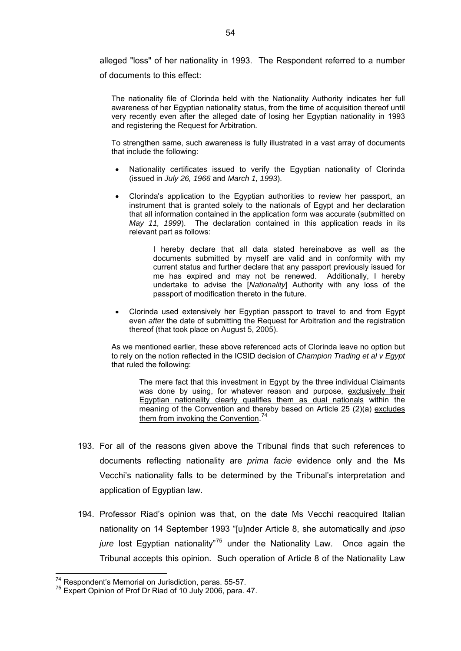alleged "loss" of her nationality in 1993. The Respondent referred to a number of documents to this effect:

The nationality file of Clorinda held with the Nationality Authority indicates her full awareness of her Egyptian nationality status, from the time of acquisition thereof until very recently even after the alleged date of losing her Egyptian nationality in 1993 and registering the Request for Arbitration.

To strengthen same, such awareness is fully illustrated in a vast array of documents that include the following:

- Nationality certificates issued to verify the Egyptian nationality of Clorinda (issued in *July 26, 1966* and *March 1, 1993*).
- Clorinda's application to the Egyptian authorities to review her passport, an instrument that is granted solely to the nationals of Egypt and her declaration that all information contained in the application form was accurate (submitted on *May 11, 1999*). The declaration contained in this application reads in its relevant part as follows:

I hereby declare that all data stated hereinabove as well as the documents submitted by myself are valid and in conformity with my current status and further declare that any passport previously issued for me has expired and may not be renewed. Additionally, I hereby undertake to advise the [*Nationality*] Authority with any loss of the passport of modification thereto in the future.

• Clorinda used extensively her Egyptian passport to travel to and from Egypt even *after* the date of submitting the Request for Arbitration and the registration thereof (that took place on August 5, 2005).

As we mentioned earlier, these above referenced acts of Clorinda leave no option but to rely on the notion reflected in the ICSID decision of *Champion Trading et al v Egypt* that ruled the following:

The mere fact that this investment in Egypt by the three individual Claimants was done by using, for whatever reason and purpose, exclusively their Egyptian nationality clearly qualifies them as dual nationals within the meaning of the Convention and thereby based on Article 25 (2)(a) excludes them from invoking the Convention.<sup>[74](#page-53-0)</sup>

- 193. For all of the reasons given above the Tribunal finds that such references to documents reflecting nationality are *prima facie* evidence only and the Ms Vecchi's nationality falls to be determined by the Tribunal's interpretation and application of Egyptian law.
- 194. Professor Riad's opinion was that, on the date Ms Vecchi reacquired Italian nationality on 14 September 1993 "[u]nder Article 8, she automatically and *ipso jure* lost Egyptian nationality"[75](#page-53-1) under the Nationality Law. Once again the Tribunal accepts this opinion. Such operation of Article 8 of the Nationality Law

<span id="page-53-0"></span><sup>&</sup>lt;sup>74</sup> Respondent's Memorial on Jurisdiction, paras. 55-57.

<span id="page-53-1"></span><sup>&</sup>lt;sup>75</sup> Expert Opinion of Prof Dr Riad of 10 July 2006, para. 47.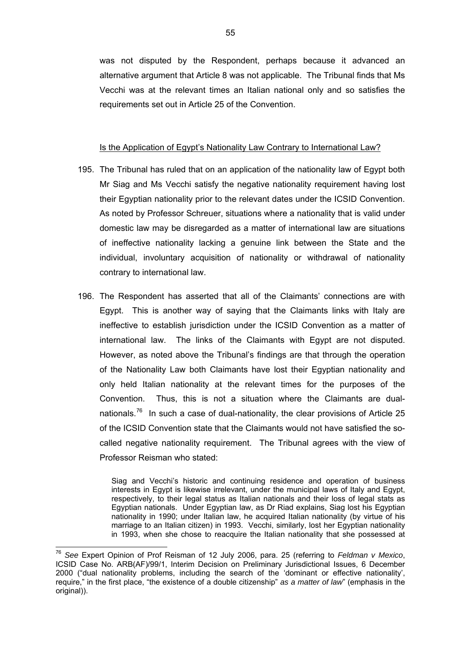<span id="page-54-0"></span>was not disputed by the Respondent, perhaps because it advanced an alternative argument that Article 8 was not applicable. The Tribunal finds that Ms Vecchi was at the relevant times an Italian national only and so satisfies the requirements set out in Article 25 of the Convention.

### Is the Application of Egypt's Nationality Law Contrary to International Law?

- 195. The Tribunal has ruled that on an application of the nationality law of Egypt both Mr Siag and Ms Vecchi satisfy the negative nationality requirement having lost their Egyptian nationality prior to the relevant dates under the ICSID Convention. As noted by Professor Schreuer, situations where a nationality that is valid under domestic law may be disregarded as a matter of international law are situations of ineffective nationality lacking a genuine link between the State and the individual, involuntary acquisition of nationality or withdrawal of nationality contrary to international law.
- 196. The Respondent has asserted that all of the Claimants' connections are with Egypt. This is another way of saying that the Claimants links with Italy are ineffective to establish jurisdiction under the ICSID Convention as a matter of international law. The links of the Claimants with Egypt are not disputed. However, as noted above the Tribunal's findings are that through the operation of the Nationality Law both Claimants have lost their Egyptian nationality and only held Italian nationality at the relevant times for the purposes of the Convention. Thus, this is not a situation where the Claimants are dual-nationals.<sup>[76](#page-54-1)</sup> In such a case of dual-nationality, the clear provisions of Article 25 of the ICSID Convention state that the Claimants would not have satisfied the socalled negative nationality requirement. The Tribunal agrees with the view of Professor Reisman who stated:

Siag and Vecchi's historic and continuing residence and operation of business interests in Egypt is likewise irrelevant, under the municipal laws of Italy and Egypt, respectively, to their legal status as Italian nationals and their loss of legal stats as Egyptian nationals. Under Egyptian law, as Dr Riad explains, Siag lost his Egyptian nationality in 1990; under Italian law, he acquired Italian nationality (by virtue of his marriage to an Italian citizen) in 1993. Vecchi, similarly, lost her Egyptian nationality in 1993, when she chose to reacquire the Italian nationality that she possessed at

1

<span id="page-54-1"></span><sup>76</sup> *See* Expert Opinion of Prof Reisman of 12 July 2006, para. 25 (referring to *Feldman v Mexico*, ICSID Case No. ARB(AF)/99/1, Interim Decision on Preliminary Jurisdictional Issues, 6 December 2000 ("dual nationality problems, including the search of the 'dominant or effective nationality', require," in the first place, "the existence of a double citizenship" *as a matter of law*" (emphasis in the original)).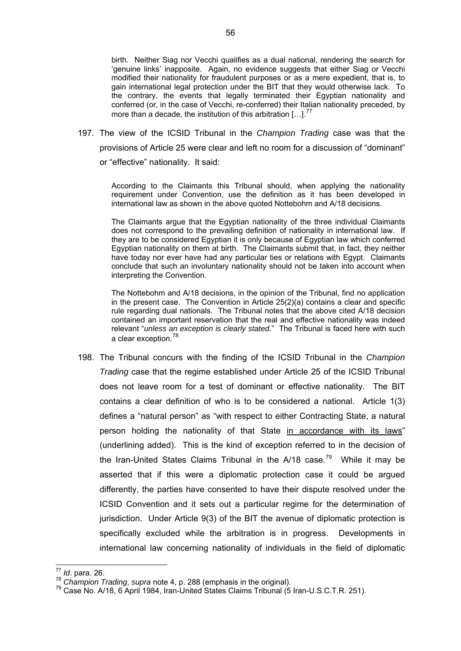birth. Neither Siag nor Vecchi qualifies as a dual national, rendering the search for 'genuine links' inapposite. Again, no evidence suggests that either Siag or Vecchi modified their nationality for fraudulent purposes or as a mere expedient, that is, to gain international legal protection under the BIT that they would otherwise lack. To the contrary, the events that legally terminated their Egyptian nationality and conferred (or, in the case of Vecchi, re-conferred) their Italian nationality preceded, by more than a decade, the institution of this arbitration  $[...]$ .<sup>[77](#page-55-0)</sup>

197. The view of the ICSID Tribunal in the *Champion Trading* case was that the provisions of Article 25 were clear and left no room for a discussion of "dominant" or "effective" nationality. It said:

According to the Claimants this Tribunal should, when applying the nationality requirement under Convention, use the definition as it has been developed in international law as shown in the above quoted Nottebohm and A/18 decisions.

The Claimants argue that the Egyptian nationality of the three individual Claimants does not correspond to the prevailing definition of nationality in international law. If they are to be considered Egyptian it is only because of Egyptian law which conferred Egyptian nationality on them at birth. The Claimants submit that, in fact, they neither have today nor ever have had any particular ties or relations with Egypt. Claimants conclude that such an involuntary nationality should not be taken into account when interpreting the Convention.

The Nottebohm and A/18 decisions, in the opinion of the Tribunal, find no application in the present case. The Convention in Article 25(2)(a) contains a clear and specific rule regarding dual nationals. The Tribunal notes that the above cited A/18 decision contained an important reservation that the real and effective nationality was indeed relevant "*unless an exception is clearly stated.*" The Tribunal is faced here with such a clear exception.<sup>[78](#page-55-1)</sup>

198. The Tribunal concurs with the finding of the ICSID Tribunal in the *Champion Trading* case that the regime established under Article 25 of the ICSID Tribunal does not leave room for a test of dominant or effective nationality. The BIT contains a clear definition of who is to be considered a national. Article 1(3) defines a "natural person" as "with respect to either Contracting State, a natural person holding the nationality of that State in accordance with its laws" (underlining added). This is the kind of exception referred to in the decision of the Iran-United States Claims Tribunal in the  $A/18$  case.<sup>[79](#page-55-2)</sup> While it may be asserted that if this were a diplomatic protection case it could be argued differently, the parties have consented to have their dispute resolved under the ICSID Convention and it sets out a particular regime for the determination of jurisdiction. Under Article 9(3) of the BIT the avenue of diplomatic protection is specifically excluded while the arbitration is in progress. Developments in international law concerning nationality of individuals in the field of diplomatic

1

<span id="page-55-2"></span>

<span id="page-55-1"></span><span id="page-55-0"></span><sup>&</sup>lt;sup>77</sup> *Id.* para. 26.<br><sup>78</sup> Champion Trading, supra note 4, p. 288 (emphasis in the original).<br><sup>79</sup> Case No. A/18, 6 April 1984, Iran-United States Claims Tribunal (5 Iran-U.S.C.T.R. 251).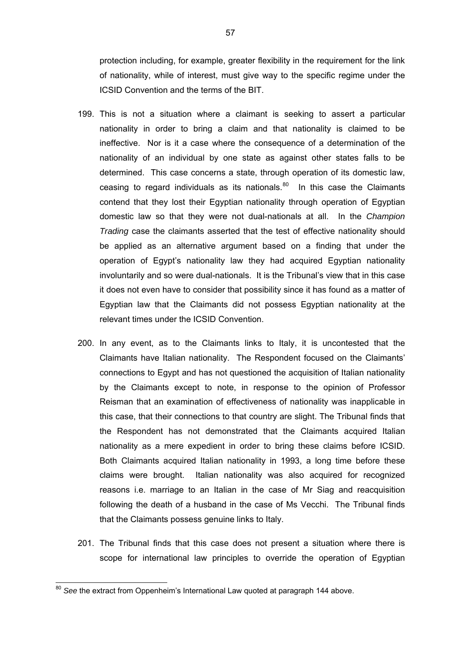protection including, for example, greater flexibility in the requirement for the link of nationality, while of interest, must give way to the specific regime under the ICSID Convention and the terms of the BIT.

- 199. This is not a situation where a claimant is seeking to assert a particular nationality in order to bring a claim and that nationality is claimed to be ineffective. Nor is it a case where the consequence of a determination of the nationality of an individual by one state as against other states falls to be determined. This case concerns a state, through operation of its domestic law, ceasing to regard individuals as its nationals. $80$  In this case the Claimants contend that they lost their Egyptian nationality through operation of Egyptian domestic law so that they were not dual-nationals at all. In the *Champion Trading* case the claimants asserted that the test of effective nationality should be applied as an alternative argument based on a finding that under the operation of Egypt's nationality law they had acquired Egyptian nationality involuntarily and so were dual-nationals. It is the Tribunal's view that in this case it does not even have to consider that possibility since it has found as a matter of Egyptian law that the Claimants did not possess Egyptian nationality at the relevant times under the ICSID Convention.
- 200. In any event, as to the Claimants links to Italy, it is uncontested that the Claimants have Italian nationality. The Respondent focused on the Claimants' connections to Egypt and has not questioned the acquisition of Italian nationality by the Claimants except to note, in response to the opinion of Professor Reisman that an examination of effectiveness of nationality was inapplicable in this case, that their connections to that country are slight. The Tribunal finds that the Respondent has not demonstrated that the Claimants acquired Italian nationality as a mere expedient in order to bring these claims before ICSID. Both Claimants acquired Italian nationality in 1993, a long time before these claims were brought. Italian nationality was also acquired for recognized reasons i.e. marriage to an Italian in the case of Mr Siag and reacquisition following the death of a husband in the case of Ms Vecchi. The Tribunal finds that the Claimants possess genuine links to Italy.
- 201. The Tribunal finds that this case does not present a situation where there is scope for international law principles to override the operation of Egyptian

 $\overline{a}$ 

<span id="page-56-0"></span><sup>80</sup> *See* the extract from Oppenheim's International Law quoted at paragraph 144 above.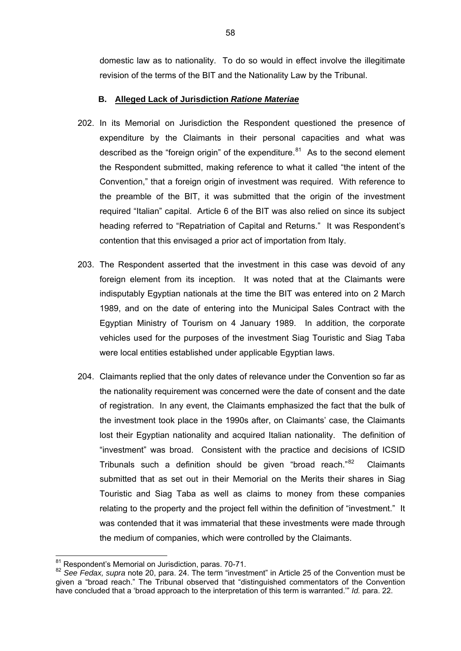<span id="page-57-0"></span>domestic law as to nationality. To do so would in effect involve the illegitimate revision of the terms of the BIT and the Nationality Law by the Tribunal.

### **B. Alleged Lack of Jurisdiction** *Ratione Materiae*

- 202. In its Memorial on Jurisdiction the Respondent questioned the presence of expenditure by the Claimants in their personal capacities and what was described as the "foreign origin" of the expenditure. $81$  As to the second element the Respondent submitted, making reference to what it called "the intent of the Convention," that a foreign origin of investment was required. With reference to the preamble of the BIT, it was submitted that the origin of the investment required "Italian" capital. Article 6 of the BIT was also relied on since its subject heading referred to "Repatriation of Capital and Returns." It was Respondent's contention that this envisaged a prior act of importation from Italy.
- 203. The Respondent asserted that the investment in this case was devoid of any foreign element from its inception. It was noted that at the Claimants were indisputably Egyptian nationals at the time the BIT was entered into on 2 March 1989, and on the date of entering into the Municipal Sales Contract with the Egyptian Ministry of Tourism on 4 January 1989. In addition, the corporate vehicles used for the purposes of the investment Siag Touristic and Siag Taba were local entities established under applicable Egyptian laws.
- 204. Claimants replied that the only dates of relevance under the Convention so far as the nationality requirement was concerned were the date of consent and the date of registration. In any event, the Claimants emphasized the fact that the bulk of the investment took place in the 1990s after, on Claimants' case, the Claimants lost their Egyptian nationality and acquired Italian nationality. The definition of "investment" was broad. Consistent with the practice and decisions of ICSID Tribunals such a definition should be given "broad reach."<sup>[82](#page-57-2)</sup> Claimants submitted that as set out in their Memorial on the Merits their shares in Siag Touristic and Siag Taba as well as claims to money from these companies relating to the property and the project fell within the definition of "investment." It was contended that it was immaterial that these investments were made through the medium of companies, which were controlled by the Claimants.

<sup>81</sup> Respondent's Memorial on Jurisdiction, paras. 70-71.

<span id="page-57-2"></span><span id="page-57-1"></span><sup>&</sup>lt;sup>82</sup> See Fedax, supra note 20, para. 24. The term "investment" in Article 25 of the Convention must be given a "broad reach." The Tribunal observed that "distinguished commentators of the Convention have concluded that a 'broad approach to the interpretation of this term is warranted.'" *Id.* para. 22.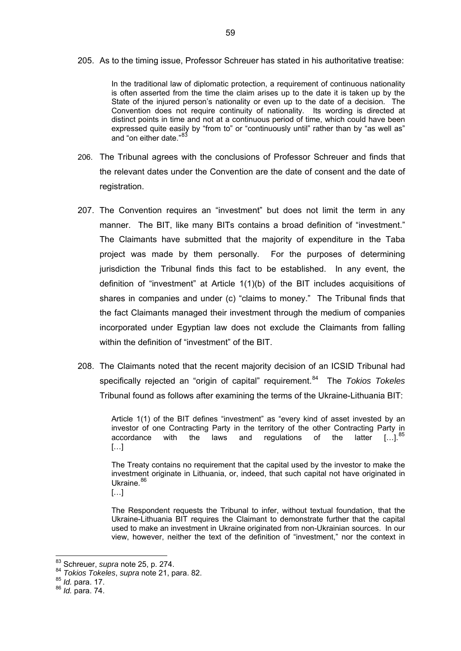#### 205. As to the timing issue, Professor Schreuer has stated in his authoritative treatise:

In the traditional law of diplomatic protection, a requirement of continuous nationality is often asserted from the time the claim arises up to the date it is taken up by the State of the injured person's nationality or even up to the date of a decision. The Convention does not require continuity of nationality. Its wording is directed at distinct points in time and not at a continuous period of time, which could have been expressed quite easily by "from to" or "continuously until" rather than by "as well as" and "on either date."<sup>[83](#page-58-0)</sup>

- 206. The Tribunal agrees with the conclusions of Professor Schreuer and finds that the relevant dates under the Convention are the date of consent and the date of registration.
- 207. The Convention requires an "investment" but does not limit the term in any manner. The BIT, like many BITs contains a broad definition of "investment." The Claimants have submitted that the majority of expenditure in the Taba project was made by them personally. For the purposes of determining jurisdiction the Tribunal finds this fact to be established. In any event, the definition of "investment" at Article 1(1)(b) of the BIT includes acquisitions of shares in companies and under (c) "claims to money." The Tribunal finds that the fact Claimants managed their investment through the medium of companies incorporated under Egyptian law does not exclude the Claimants from falling within the definition of "investment" of the BIT.
- 208. The Claimants noted that the recent majority decision of an ICSID Tribunal had specifically rejected an "origin of capital" requirement.[84](#page-58-1) The *Tokios Tokeles* Tribunal found as follows after examining the terms of the Ukraine-Lithuania BIT:

Article 1(1) of the BIT defines "investment" as "every kind of asset invested by an investor of one Contracting Party in the territory of the other Contracting Party in accordance with the laws and regulations of the latter [...].<sup>[85](#page-58-2)</sup> […]

The Treaty contains no requirement that the capital used by the investor to make the investment originate in Lithuania, or, indeed, that such capital not have originated in Ukraine.<sup>[86](#page-58-3)</sup>

[…]

The Respondent requests the Tribunal to infer, without textual foundation, that the Ukraine-Lithuania BIT requires the Claimant to demonstrate further that the capital used to make an investment in Ukraine originated from non-Ukrainian sources. In our view, however, neither the text of the definition of "investment," nor the context in

<span id="page-58-0"></span><sup>83</sup> Schreuer, supra note 25, p. 274.

<span id="page-58-2"></span><span id="page-58-1"></span><sup>&</sup>lt;sup>84</sup> Tokios Tokeles, *supra* note 21, para. 82.<br><sup>85</sup> *Id.* para. 17. 86 *Id.* para. 74.

<span id="page-58-3"></span>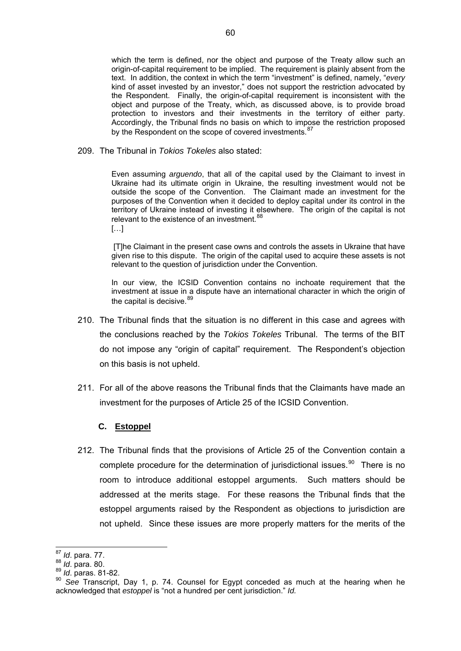<span id="page-59-0"></span>which the term is defined, nor the object and purpose of the Treaty allow such an origin-of-capital requirement to be implied. The requirement is plainly absent from the text. In addition, the context in which the term "investment" is defined, namely, "*every* kind of asset invested by an investor," does not support the restriction advocated by the Respondent. Finally, the origin-of-capital requirement is inconsistent with the object and purpose of the Treaty, which, as discussed above, is to provide broad protection to investors and their investments in the territory of either party. Accordingly, the Tribunal finds no basis on which to impose the restriction proposed by the Respondent on the scope of covered investments.<sup>[87](#page-59-1)</sup>

209. The Tribunal in *Tokios Tokeles* also stated:

Even assuming *arguendo*, that all of the capital used by the Claimant to invest in Ukraine had its ultimate origin in Ukraine, the resulting investment would not be outside the scope of the Convention. The Claimant made an investment for the purposes of the Convention when it decided to deploy capital under its control in the territory of Ukraine instead of investing it elsewhere. The origin of the capital is not relevant to the existence of an investment.<sup>[88](#page-59-2)</sup>  $[...]$ 

 [T]he Claimant in the present case owns and controls the assets in Ukraine that have given rise to this dispute. The origin of the capital used to acquire these assets is not relevant to the question of jurisdiction under the Convention.

In our view, the ICSID Convention contains no inchoate requirement that the investment at issue in a dispute have an international character in which the origin of the capital is decisive.<sup>[89](#page-59-3)</sup>

- 210. The Tribunal finds that the situation is no different in this case and agrees with the conclusions reached by the *Tokios Tokeles* Tribunal. The terms of the BIT do not impose any "origin of capital" requirement. The Respondent's objection on this basis is not upheld.
- 211. For all of the above reasons the Tribunal finds that the Claimants have made an investment for the purposes of Article 25 of the ICSID Convention.

# **C. Estoppel**

212. The Tribunal finds that the provisions of Article 25 of the Convention contain a complete procedure for the determination of jurisdictional issues. $90$  There is no room to introduce additional estoppel arguments. Such matters should be addressed at the merits stage. For these reasons the Tribunal finds that the estoppel arguments raised by the Respondent as objections to jurisdiction are not upheld. Since these issues are more properly matters for the merits of the

<span id="page-59-1"></span><sup>&</sup>lt;sup>87</sup> Id. para. 77.

<span id="page-59-4"></span><span id="page-59-3"></span>

<span id="page-59-2"></span><sup>88</sup> *Id.* para. 80.<br><sup>88</sup> *Id.* para. 80.<br><sup>90</sup> *Id.* paras. 81-82. Day 1, p. 74. Counsel for Egypt conceded as much at the hearing when he acknowledged that *estoppel* is "not a hundred per cent jurisdiction." *Id.*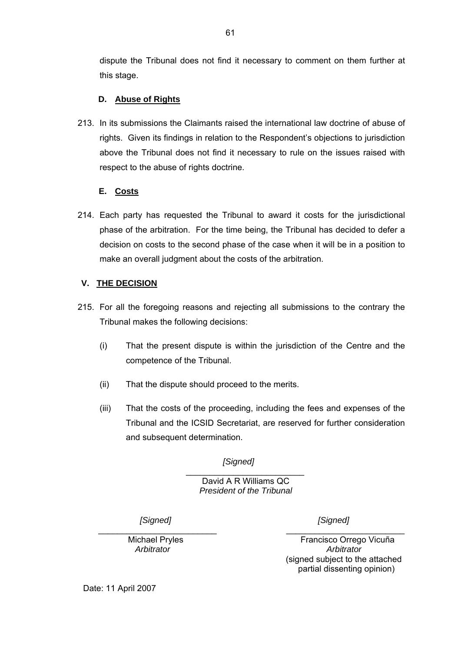<span id="page-60-0"></span>dispute the Tribunal does not find it necessary to comment on them further at this stage.

# **D. Abuse of Rights**

213. In its submissions the Claimants raised the international law doctrine of abuse of rights. Given its findings in relation to the Respondent's objections to jurisdiction above the Tribunal does not find it necessary to rule on the issues raised with respect to the abuse of rights doctrine.

# **E. Costs**

214. Each party has requested the Tribunal to award it costs for the jurisdictional phase of the arbitration. For the time being, the Tribunal has decided to defer a decision on costs to the second phase of the case when it will be in a position to make an overall judgment about the costs of the arbitration.

# **V. THE DECISION**

- 215. For all the foregoing reasons and rejecting all submissions to the contrary the Tribunal makes the following decisions:
	- (i) That the present dispute is within the jurisdiction of the Centre and the competence of the Tribunal.
	- (ii) That the dispute should proceed to the merits.
	- (iii) That the costs of the proceeding, including the fees and expenses of the Tribunal and the ICSID Secretariat, are reserved for further consideration and subsequent determination.

# *[Signed]*

 $\overline{\phantom{a}}$  ,  $\overline{\phantom{a}}$  ,  $\overline{\phantom{a}}$  ,  $\overline{\phantom{a}}$  ,  $\overline{\phantom{a}}$  ,  $\overline{\phantom{a}}$  ,  $\overline{\phantom{a}}$  ,  $\overline{\phantom{a}}$  ,  $\overline{\phantom{a}}$  ,  $\overline{\phantom{a}}$  ,  $\overline{\phantom{a}}$  ,  $\overline{\phantom{a}}$  ,  $\overline{\phantom{a}}$  ,  $\overline{\phantom{a}}$  ,  $\overline{\phantom{a}}$  ,  $\overline{\phantom{a}}$ 

 $\mathcal{L}_\text{max}$  and  $\mathcal{L}_\text{max}$  and  $\mathcal{L}_\text{max}$  and  $\mathcal{L}_\text{max}$  and  $\mathcal{L}_\text{max}$  David A R Williams QC  *President of the Tribunal* 

*[Signed] [Signed]*

Michael Pryles **Francisco** Orrego Vicuña *Arbitrator Arbitrator* (signed subject to the attached partial dissenting opinion)

Date: 11 April 2007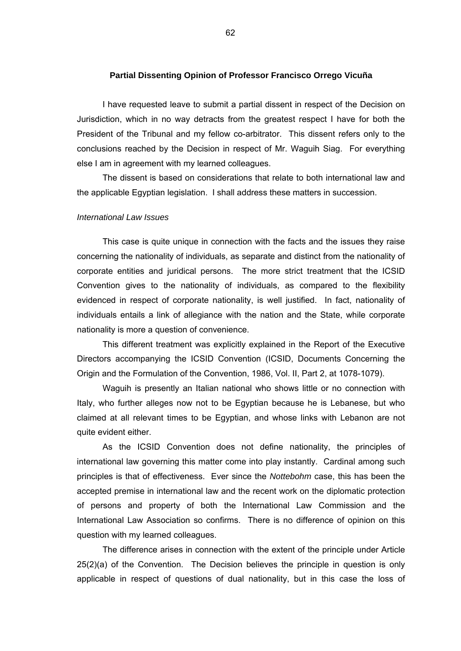#### **Partial Dissenting Opinion of Professor Francisco Orrego Vicuña**

<span id="page-61-0"></span>I have requested leave to submit a partial dissent in respect of the Decision on Jurisdiction, which in no way detracts from the greatest respect I have for both the President of the Tribunal and my fellow co-arbitrator. This dissent refers only to the conclusions reached by the Decision in respect of Mr. Waguih Siag. For everything else I am in agreement with my learned colleagues.

The dissent is based on considerations that relate to both international law and the applicable Egyptian legislation. I shall address these matters in succession.

#### *International Law Issues*

This case is quite unique in connection with the facts and the issues they raise concerning the nationality of individuals, as separate and distinct from the nationality of corporate entities and juridical persons. The more strict treatment that the ICSID Convention gives to the nationality of individuals, as compared to the flexibility evidenced in respect of corporate nationality, is well justified. In fact, nationality of individuals entails a link of allegiance with the nation and the State, while corporate nationality is more a question of convenience.

This different treatment was explicitly explained in the Report of the Executive Directors accompanying the ICSID Convention (ICSID, Documents Concerning the Origin and the Formulation of the Convention, 1986, Vol. II, Part 2, at 1078-1079).

Waguih is presently an Italian national who shows little or no connection with Italy, who further alleges now not to be Egyptian because he is Lebanese, but who claimed at all relevant times to be Egyptian, and whose links with Lebanon are not quite evident either.

As the ICSID Convention does not define nationality, the principles of international law governing this matter come into play instantly. Cardinal among such principles is that of effectiveness. Ever since the *Nottebohm* case, this has been the accepted premise in international law and the recent work on the diplomatic protection of persons and property of both the International Law Commission and the International Law Association so confirms. There is no difference of opinion on this question with my learned colleagues.

The difference arises in connection with the extent of the principle under Article 25(2)(a) of the Convention. The Decision believes the principle in question is only applicable in respect of questions of dual nationality, but in this case the loss of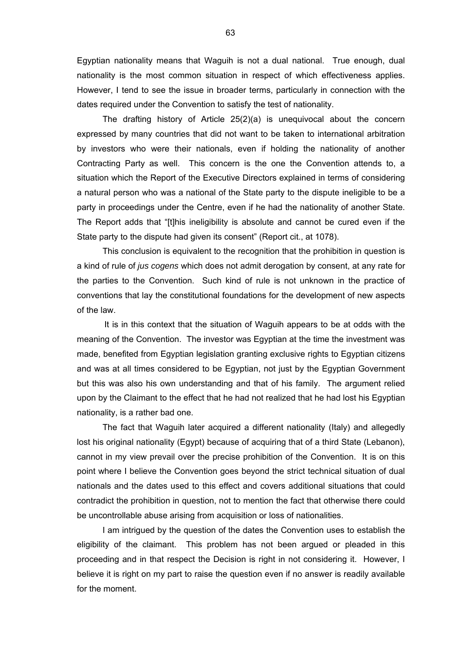Egyptian nationality means that Waguih is not a dual national. True enough, dual nationality is the most common situation in respect of which effectiveness applies. However, I tend to see the issue in broader terms, particularly in connection with the dates required under the Convention to satisfy the test of nationality.

The drafting history of Article 25(2)(a) is unequivocal about the concern expressed by many countries that did not want to be taken to international arbitration by investors who were their nationals, even if holding the nationality of another Contracting Party as well. This concern is the one the Convention attends to, a situation which the Report of the Executive Directors explained in terms of considering a natural person who was a national of the State party to the dispute ineligible to be a party in proceedings under the Centre, even if he had the nationality of another State. The Report adds that "[t]his ineligibility is absolute and cannot be cured even if the State party to the dispute had given its consent" (Report cit., at 1078).

This conclusion is equivalent to the recognition that the prohibition in question is a kind of rule of *jus cogens* which does not admit derogation by consent, at any rate for the parties to the Convention. Such kind of rule is not unknown in the practice of conventions that lay the constitutional foundations for the development of new aspects of the law.

It is in this context that the situation of Waguih appears to be at odds with the meaning of the Convention. The investor was Egyptian at the time the investment was made, benefited from Egyptian legislation granting exclusive rights to Egyptian citizens and was at all times considered to be Egyptian, not just by the Egyptian Government but this was also his own understanding and that of his family. The argument relied upon by the Claimant to the effect that he had not realized that he had lost his Egyptian nationality, is a rather bad one.

The fact that Waguih later acquired a different nationality (Italy) and allegedly lost his original nationality (Egypt) because of acquiring that of a third State (Lebanon), cannot in my view prevail over the precise prohibition of the Convention. It is on this point where I believe the Convention goes beyond the strict technical situation of dual nationals and the dates used to this effect and covers additional situations that could contradict the prohibition in question, not to mention the fact that otherwise there could be uncontrollable abuse arising from acquisition or loss of nationalities.

I am intrigued by the question of the dates the Convention uses to establish the eligibility of the claimant. This problem has not been argued or pleaded in this proceeding and in that respect the Decision is right in not considering it. However, I believe it is right on my part to raise the question even if no answer is readily available for the moment.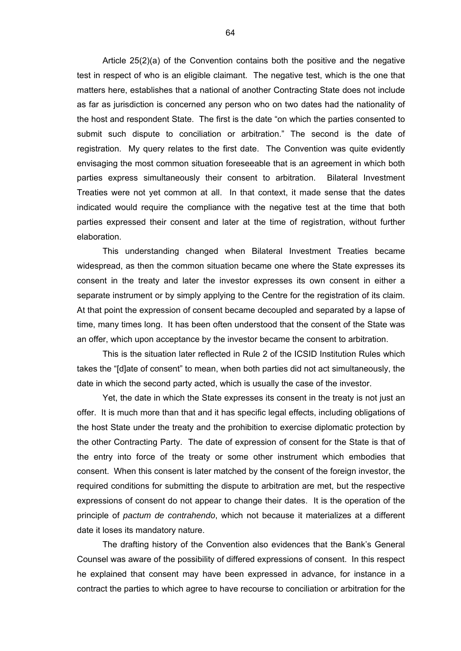Article 25(2)(a) of the Convention contains both the positive and the negative test in respect of who is an eligible claimant. The negative test, which is the one that matters here, establishes that a national of another Contracting State does not include as far as jurisdiction is concerned any person who on two dates had the nationality of the host and respondent State. The first is the date "on which the parties consented to submit such dispute to conciliation or arbitration." The second is the date of registration. My query relates to the first date. The Convention was quite evidently envisaging the most common situation foreseeable that is an agreement in which both parties express simultaneously their consent to arbitration. Bilateral Investment Treaties were not yet common at all. In that context, it made sense that the dates indicated would require the compliance with the negative test at the time that both parties expressed their consent and later at the time of registration, without further elaboration.

This understanding changed when Bilateral Investment Treaties became widespread, as then the common situation became one where the State expresses its consent in the treaty and later the investor expresses its own consent in either a separate instrument or by simply applying to the Centre for the registration of its claim. At that point the expression of consent became decoupled and separated by a lapse of time, many times long. It has been often understood that the consent of the State was an offer, which upon acceptance by the investor became the consent to arbitration.

This is the situation later reflected in Rule 2 of the ICSID Institution Rules which takes the "[d]ate of consent" to mean, when both parties did not act simultaneously, the date in which the second party acted, which is usually the case of the investor.

Yet, the date in which the State expresses its consent in the treaty is not just an offer. It is much more than that and it has specific legal effects, including obligations of the host State under the treaty and the prohibition to exercise diplomatic protection by the other Contracting Party. The date of expression of consent for the State is that of the entry into force of the treaty or some other instrument which embodies that consent. When this consent is later matched by the consent of the foreign investor, the required conditions for submitting the dispute to arbitration are met, but the respective expressions of consent do not appear to change their dates. It is the operation of the principle of *pactum de contrahendo*, which not because it materializes at a different date it loses its mandatory nature.

The drafting history of the Convention also evidences that the Bank's General Counsel was aware of the possibility of differed expressions of consent. In this respect he explained that consent may have been expressed in advance, for instance in a contract the parties to which agree to have recourse to conciliation or arbitration for the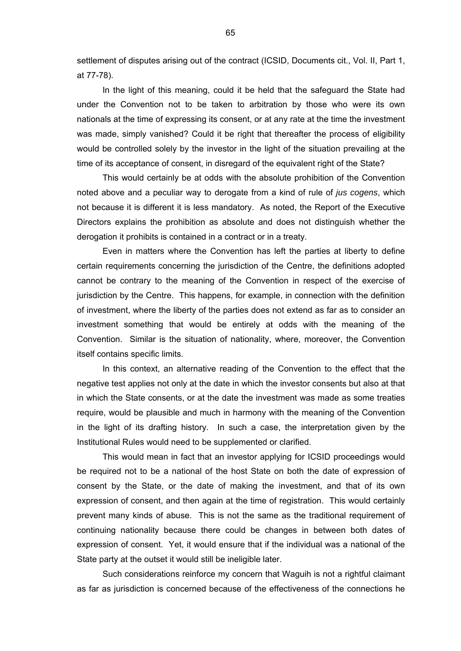settlement of disputes arising out of the contract (ICSID, Documents cit., Vol. II, Part 1, at 77-78).

In the light of this meaning, could it be held that the safeguard the State had under the Convention not to be taken to arbitration by those who were its own nationals at the time of expressing its consent, or at any rate at the time the investment was made, simply vanished? Could it be right that thereafter the process of eligibility would be controlled solely by the investor in the light of the situation prevailing at the time of its acceptance of consent, in disregard of the equivalent right of the State?

This would certainly be at odds with the absolute prohibition of the Convention noted above and a peculiar way to derogate from a kind of rule of *jus cogens*, which not because it is different it is less mandatory. As noted, the Report of the Executive Directors explains the prohibition as absolute and does not distinguish whether the derogation it prohibits is contained in a contract or in a treaty.

Even in matters where the Convention has left the parties at liberty to define certain requirements concerning the jurisdiction of the Centre, the definitions adopted cannot be contrary to the meaning of the Convention in respect of the exercise of jurisdiction by the Centre. This happens, for example, in connection with the definition of investment, where the liberty of the parties does not extend as far as to consider an investment something that would be entirely at odds with the meaning of the Convention. Similar is the situation of nationality, where, moreover, the Convention itself contains specific limits.

In this context, an alternative reading of the Convention to the effect that the negative test applies not only at the date in which the investor consents but also at that in which the State consents, or at the date the investment was made as some treaties require, would be plausible and much in harmony with the meaning of the Convention in the light of its drafting history. In such a case, the interpretation given by the Institutional Rules would need to be supplemented or clarified.

This would mean in fact that an investor applying for ICSID proceedings would be required not to be a national of the host State on both the date of expression of consent by the State, or the date of making the investment, and that of its own expression of consent, and then again at the time of registration. This would certainly prevent many kinds of abuse. This is not the same as the traditional requirement of continuing nationality because there could be changes in between both dates of expression of consent. Yet, it would ensure that if the individual was a national of the State party at the outset it would still be ineligible later.

Such considerations reinforce my concern that Waguih is not a rightful claimant as far as jurisdiction is concerned because of the effectiveness of the connections he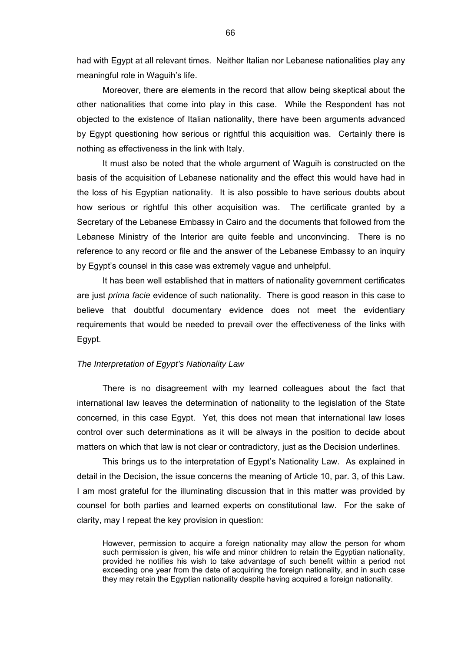had with Egypt at all relevant times. Neither Italian nor Lebanese nationalities play any meaningful role in Waguih's life.

Moreover, there are elements in the record that allow being skeptical about the other nationalities that come into play in this case. While the Respondent has not objected to the existence of Italian nationality, there have been arguments advanced by Egypt questioning how serious or rightful this acquisition was. Certainly there is nothing as effectiveness in the link with Italy.

It must also be noted that the whole argument of Waguih is constructed on the basis of the acquisition of Lebanese nationality and the effect this would have had in the loss of his Egyptian nationality. It is also possible to have serious doubts about how serious or rightful this other acquisition was. The certificate granted by a Secretary of the Lebanese Embassy in Cairo and the documents that followed from the Lebanese Ministry of the Interior are quite feeble and unconvincing. There is no reference to any record or file and the answer of the Lebanese Embassy to an inquiry by Egypt's counsel in this case was extremely vague and unhelpful.

It has been well established that in matters of nationality government certificates are just *prima facie* evidence of such nationality. There is good reason in this case to believe that doubtful documentary evidence does not meet the evidentiary requirements that would be needed to prevail over the effectiveness of the links with Egypt.

#### *The Interpretation of Egypt's Nationality Law*

There is no disagreement with my learned colleagues about the fact that international law leaves the determination of nationality to the legislation of the State concerned, in this case Egypt. Yet, this does not mean that international law loses control over such determinations as it will be always in the position to decide about matters on which that law is not clear or contradictory, just as the Decision underlines.

This brings us to the interpretation of Egypt's Nationality Law. As explained in detail in the Decision, the issue concerns the meaning of Article 10, par. 3, of this Law. I am most grateful for the illuminating discussion that in this matter was provided by counsel for both parties and learned experts on constitutional law. For the sake of clarity, may I repeat the key provision in question:

However, permission to acquire a foreign nationality may allow the person for whom such permission is given, his wife and minor children to retain the Egyptian nationality, provided he notifies his wish to take advantage of such benefit within a period not exceeding one year from the date of acquiring the foreign nationality, and in such case they may retain the Egyptian nationality despite having acquired a foreign nationality.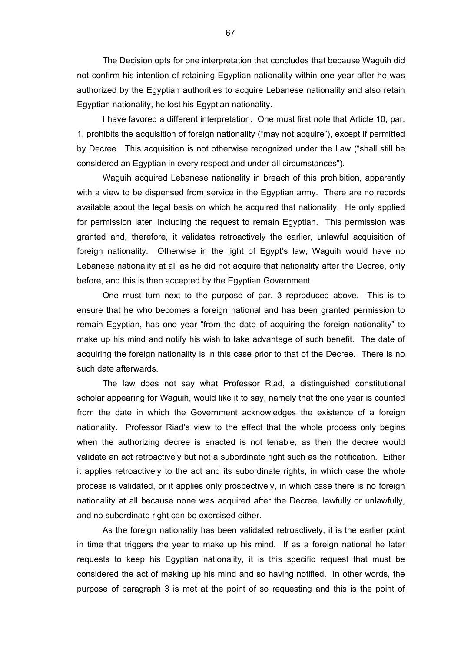The Decision opts for one interpretation that concludes that because Waguih did not confirm his intention of retaining Egyptian nationality within one year after he was authorized by the Egyptian authorities to acquire Lebanese nationality and also retain Egyptian nationality, he lost his Egyptian nationality.

I have favored a different interpretation. One must first note that Article 10, par. 1, prohibits the acquisition of foreign nationality ("may not acquire"), except if permitted by Decree. This acquisition is not otherwise recognized under the Law ("shall still be considered an Egyptian in every respect and under all circumstances").

Waguih acquired Lebanese nationality in breach of this prohibition, apparently with a view to be dispensed from service in the Egyptian army. There are no records available about the legal basis on which he acquired that nationality. He only applied for permission later, including the request to remain Egyptian. This permission was granted and, therefore, it validates retroactively the earlier, unlawful acquisition of foreign nationality. Otherwise in the light of Egypt's law, Waguih would have no Lebanese nationality at all as he did not acquire that nationality after the Decree, only before, and this is then accepted by the Egyptian Government.

One must turn next to the purpose of par. 3 reproduced above. This is to ensure that he who becomes a foreign national and has been granted permission to remain Egyptian, has one year "from the date of acquiring the foreign nationality" to make up his mind and notify his wish to take advantage of such benefit. The date of acquiring the foreign nationality is in this case prior to that of the Decree. There is no such date afterwards.

The law does not say what Professor Riad, a distinguished constitutional scholar appearing for Waguih, would like it to say, namely that the one year is counted from the date in which the Government acknowledges the existence of a foreign nationality. Professor Riad's view to the effect that the whole process only begins when the authorizing decree is enacted is not tenable, as then the decree would validate an act retroactively but not a subordinate right such as the notification. Either it applies retroactively to the act and its subordinate rights, in which case the whole process is validated, or it applies only prospectively, in which case there is no foreign nationality at all because none was acquired after the Decree, lawfully or unlawfully, and no subordinate right can be exercised either.

As the foreign nationality has been validated retroactively, it is the earlier point in time that triggers the year to make up his mind. If as a foreign national he later requests to keep his Egyptian nationality, it is this specific request that must be considered the act of making up his mind and so having notified. In other words, the purpose of paragraph 3 is met at the point of so requesting and this is the point of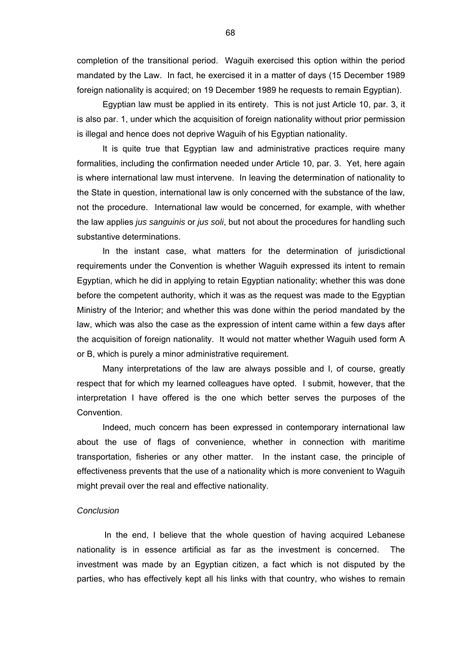completion of the transitional period. Waguih exercised this option within the period mandated by the Law. In fact, he exercised it in a matter of days (15 December 1989 foreign nationality is acquired; on 19 December 1989 he requests to remain Egyptian).

Egyptian law must be applied in its entirety. This is not just Article 10, par. 3, it is also par. 1, under which the acquisition of foreign nationality without prior permission is illegal and hence does not deprive Waguih of his Egyptian nationality.

It is quite true that Egyptian law and administrative practices require many formalities, including the confirmation needed under Article 10, par. 3. Yet, here again is where international law must intervene. In leaving the determination of nationality to the State in question, international law is only concerned with the substance of the law, not the procedure. International law would be concerned, for example, with whether the law applies *jus sanguinis* or *jus soli*, but not about the procedures for handling such substantive determinations.

In the instant case, what matters for the determination of jurisdictional requirements under the Convention is whether Waguih expressed its intent to remain Egyptian, which he did in applying to retain Egyptian nationality; whether this was done before the competent authority, which it was as the request was made to the Egyptian Ministry of the Interior; and whether this was done within the period mandated by the law, which was also the case as the expression of intent came within a few days after the acquisition of foreign nationality. It would not matter whether Waguih used form A or B, which is purely a minor administrative requirement.

Many interpretations of the law are always possible and I, of course, greatly respect that for which my learned colleagues have opted. I submit, however, that the interpretation I have offered is the one which better serves the purposes of the **Convention** 

Indeed, much concern has been expressed in contemporary international law about the use of flags of convenience, whether in connection with maritime transportation, fisheries or any other matter. In the instant case, the principle of effectiveness prevents that the use of a nationality which is more convenient to Waguih might prevail over the real and effective nationality.

#### *Conclusion*

In the end, I believe that the whole question of having acquired Lebanese nationality is in essence artificial as far as the investment is concerned. The investment was made by an Egyptian citizen, a fact which is not disputed by the parties, who has effectively kept all his links with that country, who wishes to remain